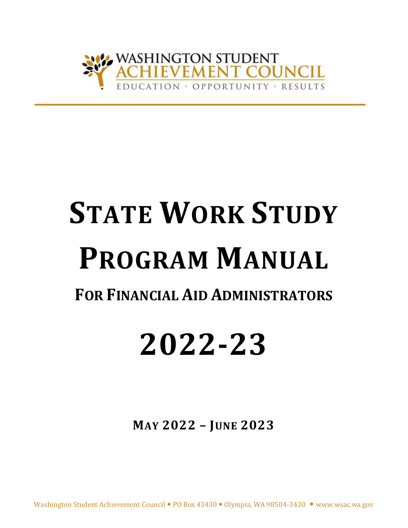

# **STATE WORK STUDY PROGRAM MANUAL FOR FINANCIAL AID ADMINISTRATORS**

# **2022-23**

**MAY 2022 – JUNE 2023**

Washington Student Achievement Council . PO Box 43430 . Olympia, WA 98504-3430 . www.wsac.wa.gov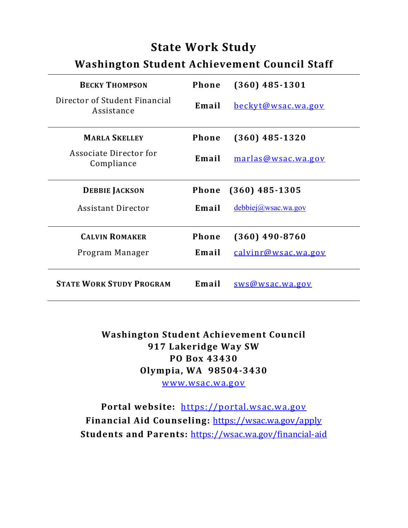# **State Work Study**

# **Washington Student Achievement Council Staff**

| <b>BECKY THOMPSON</b>                       | <b>Phone</b> | $(360)$ 485-1301          |
|---------------------------------------------|--------------|---------------------------|
| Director of Student Financial<br>Assistance | Email        | <u>beckyt@wsac.wa.gov</u> |
| <b>MARLA SKELLEY</b>                        | <b>Phone</b> | $(360)$ 485-1320          |
| Associate Director for<br>Compliance        | Email        | marlas@wsac.wa.gov        |
| <b>DEBBIE JACKSON</b>                       | <b>Phone</b> | $(360)$ 485-1305          |
| <b>Assistant Director</b>                   | Email        | $debbiej(a)$ wsac.wa.gov  |
| <b>CALVIN ROMAKER</b>                       | Phone        | $(360)$ 490-8760          |
| Program Manager                             | Email        | calvinr@wsac.wa.gov       |
| <b>STATE WORK STUDY PROGRAM</b>             | Email        | sws@wsac.wa.gov           |

**Washington Student Achievement Council 917 Lakeridge Way SW PO Box 43430 Olympia, WA 98504-3430** [www.wsac.wa.gov](http://www.wsac.wa.gov/)

**Portal website:** [https://portal.wsac.wa.gov](https://portal.wsac.wa.gov/) **Financial Aid Counseling:** <https://wsac.wa.gov/apply> **Students and Parents:** <https://wsac.wa.gov/financial-aid>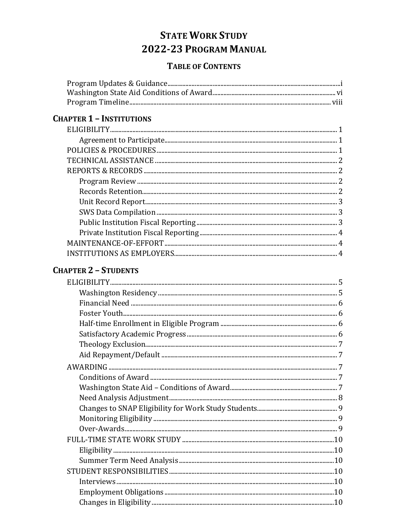# **STATE WORK STUDY** 2022-23 PROGRAM MANUAL

## **TABLE OF CONTENTS**

# **CHAPTER 1 - INSTITUTIONS**

# **CHAPTER 2 - STUDENTS**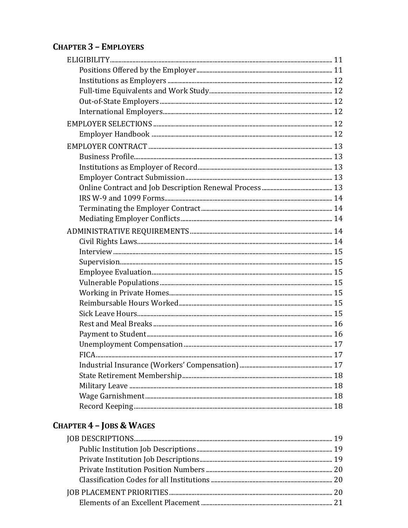# **CHAPTER 3 - EMPLOYERS**

# **CHAPTER 4 - JOBS & WAGES**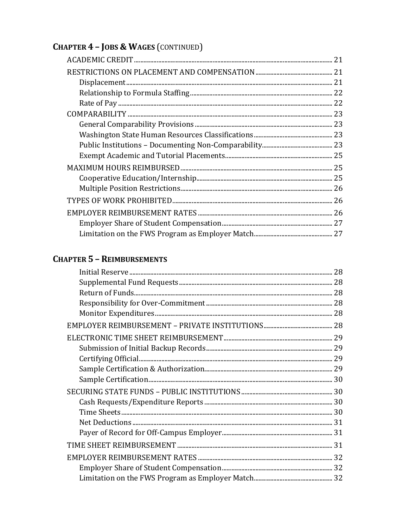# **CHAPTER 4 - JOBS & WAGES (CONTINUED)**

# **CHAPTER 5 - REIMBURSEMENTS**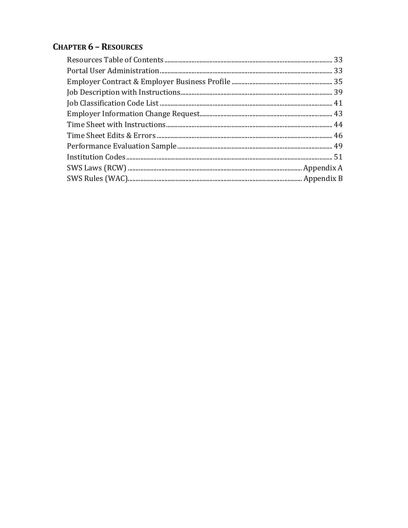# **CHAPTER 6 - RESOURCES**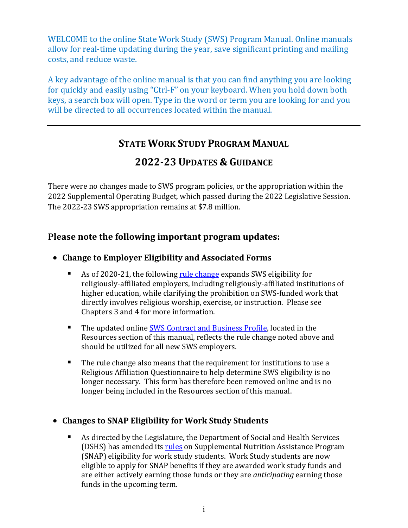WELCOME to the online State Work Study (SWS) Program Manual. Online manuals allow for real-time updating during the year, save significant printing and mailing costs, and reduce waste.

A key advantage of the online manual is that you can find anything you are looking for quickly and easily using "Ctrl-F" on your keyboard. When you hold down both keys, a search box will open. Type in the word or term you are looking for and you will be directed to all occurrences located within the manual.

# **STATE WORK STUDY PROGRAM MANUAL**

# **2022-23 UPDATES & GUIDANCE**

There were no changes made to SWS program policies, or the appropriation within the 2022 Supplemental Operating Budget, which passed during the 2022 Legislative Session. The 2022-23 SWS appropriation remains at \$7.8 million.

## **Please note the following important program updates:**

## • **Change to Employer Eligibility and Associated Forms**

- As of 2020-21, the following [rule change](http://lawfilesext.leg.wa.gov/law/wsr/2019/23/19-23-047.htm) expands SWS eligibility for religiously-affiliated employers, including religiously-affiliated institutions of higher education, while clarifying the prohibition on SWS-funded work that directly involves religious worship, exercise, or instruction. Please see Chapters 3 and 4 for more information.
- The updated online [SWS Contract and Business Profile,](https://wsac.wa.gov/sites/default/files/2020.01.SWS.Employee.Contract.Profile.pdf) located in the Resources section of this manual, reflects the rule change noted above and should be utilized for all new SWS employers.
- The rule change also means that the requirement for institutions to use a Religious Affiliation Questionnaire to help determine SWS eligibility is no longer necessary. This form has therefore been removed online and is no longer being included in the Resources section of this manual.

## • **Changes to SNAP Eligibility for Work Study Students**

 As directed by the Legislature, the Department of Social and Health Services (DSHS) has amended its [rules](https://app.leg.wa.gov/WAC/default.aspx?cite=388-482-0005) on Supplemental Nutrition Assistance Program (SNAP) eligibility for work study students. Work Study students are now eligible to apply for SNAP benefits if they are awarded work study funds and are either actively earning those funds or they are *anticipating* earning those funds in the upcoming term.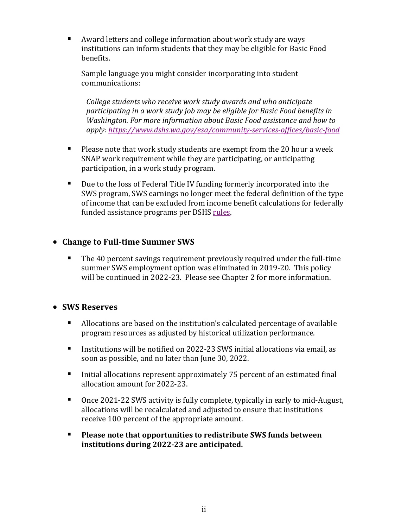Award letters and college information about work study are ways institutions can inform students that they may be eligible for Basic Food benefits.

Sample language you might consider incorporating into student communications:

*College students who receive work study awards and who anticipate participating in a work study job may be eligible for Basic Food benefits in Washington. For more information about Basic Food assistance and how to apply:<https://www.dshs.wa.gov/esa/community-services-offices/basic-food>*

- $\blacksquare$  Please note that work study students are exempt from the 20 hour a week SNAP work requirement while they are participating, or anticipating participation, in a work study program.
- Due to the loss of Federal Title IV funding formerly incorporated into the SWS program, SWS earnings no longer meet the federal definition of the type of income that can be excluded from income benefit calculations for federally funded assistance programs per DSHS [rules.](https://app.leg.wa.gov/WAC/default.aspx?cite=388-450-0035)

## • **Change to Full-time Summer SWS**

**The 40 percent savings requirement previously required under the full-time** summer SWS employment option was eliminated in 2019-20. This policy will be continued in 2022-23. Please see Chapter 2 for more information.

### • **SWS Reserves**

- Allocations are based on the institution's calculated percentage of available program resources as adjusted by historical utilization performance.
- Institutions will be notified on 2022-23 SWS initial allocations via email, as soon as possible, and no later than June 30, 2022.
- Initial allocations represent approximately 75 percent of an estimated final allocation amount for 2022-23.
- Once 2021-22 SWS activity is fully complete, typically in early to mid-August, allocations will be recalculated and adjusted to ensure that institutions receive 100 percent of the appropriate amount.
- **Please note that opportunities to redistribute SWS funds between institutions during 2022-23 are anticipated.**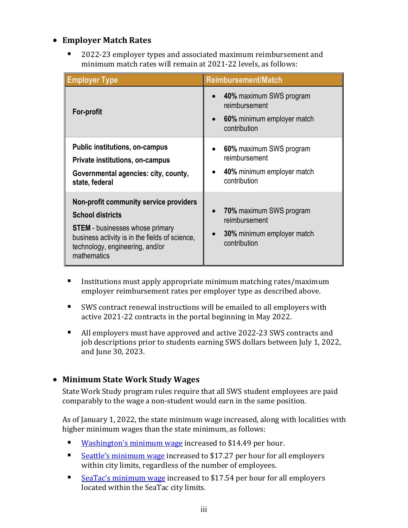## • **Employer Match Rates**

 2022-23 employer types and associated maximum reimbursement and minimum match rates will remain at 2021-22 levels, as follows:

| <b>Employer Type</b>                                                                                                                                                                                            | <b>Reimbursement/Match</b>                                                                    |
|-----------------------------------------------------------------------------------------------------------------------------------------------------------------------------------------------------------------|-----------------------------------------------------------------------------------------------|
| <b>For-profit</b>                                                                                                                                                                                               | 40% maximum SWS program<br>reimbursement<br>60% minimum employer match<br>contribution        |
| <b>Public institutions, on-campus</b><br>Private institutions, on-campus<br>Governmental agencies: city, county,<br>state, federal                                                                              | 60% maximum SWS program<br>reimbursement<br>40% minimum employer match<br>contribution        |
| Non-profit community service providers<br><b>School districts</b><br><b>STEM</b> - businesses whose primary<br>business activity is in the fields of science,<br>technology, engineering, and/or<br>mathematics | <b>70%</b> maximum SWS program<br>reimbursement<br>30% minimum employer match<br>contribution |

- **IF** Institutions must apply appropriate minimum matching rates/maximum employer reimbursement rates per employer type as described above.
- SWS contract renewal instructions will be emailed to all employers with active 2021-22 contracts in the portal beginning in May 2022.
- All employers must have approved and active 2022-23 SWS contracts and job descriptions prior to students earning SWS dollars between July 1, 2022, and June 30, 2023.

## • **Minimum State Work Study Wages**

State Work Study program rules require that all SWS student employees are paid comparably to the wage a non-student would earn in the same position.

As of January 1, 2022, the state minimum wage increased, along with localities with higher minimum wages than the state minimum, as follows:

- **[Washington's minimum wage](https://lni.wa.gov/workers-rights/wages/minimum-wage/) increased to \$14.49 per hour.**
- [Seattle's minimum wage](http://www.seattle.gov/laborstandards/ordinances/minimum-wage) increased to \$17.27 per hour for all employers within city limits, regardless of the number of employees.
- [SeaTac's minimum wage](http://www.seatacwa.gov/our-city/employment-standards-ordinance) increased to \$17.54 per hour for all employers located within the SeaTac city limits.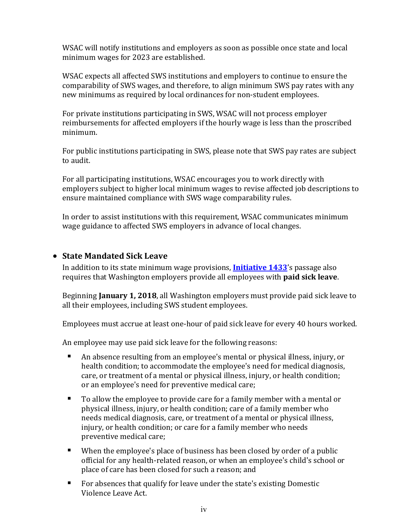WSAC will notify institutions and employers as soon as possible once state and local minimum wages for 2023 are established.

WSAC expects all affected SWS institutions and employers to continue to ensure the comparability of SWS wages, and therefore, to align minimum SWS pay rates with any new minimums as required by local ordinances for non-student employees.

For private institutions participating in SWS, WSAC will not process employer reimbursements for affected employers if the hourly wage is less than the proscribed minimum.

For public institutions participating in SWS, please note that SWS pay rates are subject to audit.

For all participating institutions, WSAC encourages you to work directly with employers subject to higher local minimum wages to revise affected job descriptions to ensure maintained compliance with SWS wage comparability rules.

In order to assist institutions with this requirement, WSAC communicates minimum wage guidance to affected SWS employers in advance of local changes.

## • **State Mandated Sick Leave**

In addition to its state minimum wage provisions, **[Initiative 1433](https://sos.wa.gov/_assets/elections/initiatives/FinalText_954.pdf)**'s passage also requires that Washington employers provide all employees with **paid sick leave**.

Beginning **January 1, 2018**, all Washington employers must provide paid sick leave to all their employees, including SWS student employees.

Employees must accrue at least one-hour of paid sick leave for every 40 hours worked.

An employee may use paid sick leave for the following reasons:

- An absence resulting from an employee's mental or physical illness, injury, or health condition; to accommodate the employee's need for medical diagnosis, care, or treatment of a mental or physical illness, injury, or health condition; or an employee's need for preventive medical care;
- To allow the employee to provide care for a family member with a mental or physical illness, injury, or health condition; care of a family member who needs medical diagnosis, care, or treatment of a mental or physical illness, injury, or health condition; or care for a family member who needs preventive medical care;
- When the employee's place of business has been closed by order of a public official for any health-related reason, or when an employee's child's school or place of care has been closed for such a reason; and
- For absences that qualify for leave under the state's existing Domestic Violence Leave Act.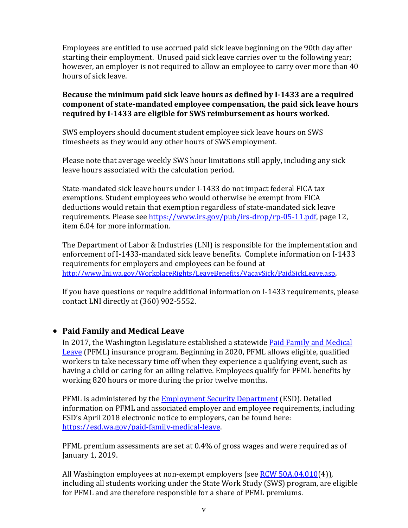Employees are entitled to use accrued paid sick leave beginning on the 90th day after starting their employment. Unused paid sick leave carries over to the following year; however, an employer is not required to allow an employee to carry over more than 40 hours of sick leave.

**Because the minimum paid sick leave hours as defined by I-1433 are a required component of state-mandated employee compensation, the paid sick leave hours required by I-1433 are eligible for SWS reimbursement as hours worked.** 

SWS employers should document student employee sick leave hours on SWS timesheets as they would any other hours of SWS employment.

Please note that average weekly SWS hour limitations still apply, including any sick leave hours associated with the calculation period.

State-mandated sick leave hours under I-1433 do not impact federal FICA tax exemptions. Student employees who would otherwise be exempt from FICA deductions would retain that exemption regardless of state-mandated sick leave requirements. Please see [https://www.irs.gov/pub/irs-drop/rp-05-11.pdf,](https://www.irs.gov/pub/irs-drop/rp-05-11.pdf) page 12, item 6.04 for more information.

The Department of Labor & Industries (LNI) is responsible for the implementation and enforcement of I-1433-mandated sick leave benefits. Complete information on I-1433 requirements for employers and employees can be found at [http://www.lni.wa.gov/WorkplaceRights/LeaveBenefits/VacaySick/PaidSickLeave.asp.](http://www.lni.wa.gov/WorkplaceRights/LeaveBenefits/VacaySick/PaidSickLeave.asp) 

If you have questions or require additional information on I-1433 requirements, please contact LNI directly at (360) 902-5552.

### • **Paid Family and Medical Leave**

In 2017, the Washington Legislature established a statewide Paid Family and Medical [Leave](http://app.leg.wa.gov/RCW/default.aspx?cite=50A.04) (PFML) insurance program. Beginning in 2020, PFML allows eligible, qualified workers to take necessary time off when they experience a qualifying event, such as having a child or caring for an ailing relative. Employees qualify for PFML benefits by working 820 hours or more during the prior twelve months.

PFML is administered by the [Employment Security Department](https://www.esd.wa.gov/) (ESD). Detailed information on PFML and associated employer and employee requirements, including ESD's April 2018 electronic notice to employers, can be found here: [https://esd.wa.gov/paid-family-medical-leave.](https://esd.wa.gov/paid-family-medical-leave)

PFML premium assessments are set at 0.4% of gross wages and were required as of January 1, 2019.

All Washington employees at non-exempt employers (see [RCW 50A.04.010\(](http://app.leg.wa.gov/RCW/default.aspx?cite=50A.04.010)4)), including all students working under the State Work Study (SWS) program, are eligible for PFML and are therefore responsible for a share of PFML premiums.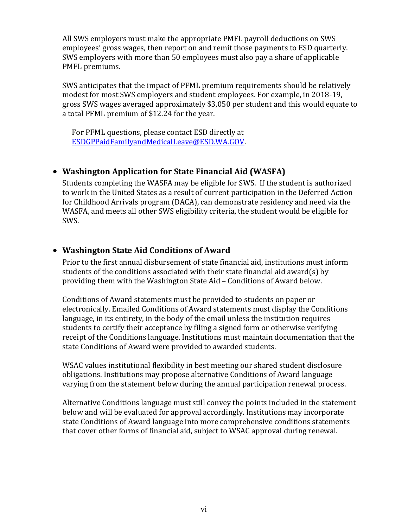All SWS employers must make the appropriate PMFL payroll deductions on SWS employees' gross wages, then report on and remit those payments to ESD quarterly. SWS employers with more than 50 employees must also pay a share of applicable PMFL premiums.

SWS anticipates that the impact of PFML premium requirements should be relatively modest for most SWS employers and student employees. For example, in 2018-19, gross SWS wages averaged approximately \$3,050 per student and this would equate to a total PFML premium of \$12.24 for the year.

For PFML questions, please contact ESD directly at [ESDGPPaidFamilyandMedicalLeave@ESD.WA.GOV.](mailto:ESDGPPaidFamilyandMedicalLeave@ESD.WA.GOV)

## • **Washington Application for State Financial Aid (WASFA)**

Students completing the WASFA may be eligible for SWS. If the student is authorized to work in the United States as a result of current participation in the Deferred Action for Childhood Arrivals program (DACA), can demonstrate residency and need via the WASFA, and meets all other SWS eligibility criteria, the student would be eligible for SWS.

## • **Washington State Aid Conditions of Award**

Prior to the first annual disbursement of state financial aid, institutions must inform students of the conditions associated with their state financial aid award(s) by providing them with the Washington State Aid – Conditions of Award below.

Conditions of Award statements must be provided to students on paper or electronically. Emailed Conditions of Award statements must display the Conditions language, in its entirety, in the body of the email unless the institution requires students to certify their acceptance by filing a signed form or otherwise verifying receipt of the Conditions language. Institutions must maintain documentation that the state Conditions of Award were provided to awarded students.

WSAC values institutional flexibility in best meeting our shared student disclosure obligations. Institutions may propose alternative Conditions of Award language varying from the statement below during the annual participation renewal process.

Alternative Conditions language must still convey the points included in the statement below and will be evaluated for approval accordingly. Institutions may incorporate state Conditions of Award language into more comprehensive conditions statements that cover other forms of financial aid, subject to WSAC approval during renewal.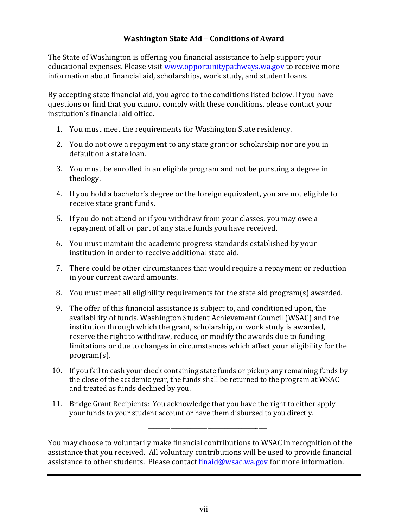### **Washington State Aid – Conditions of Award**

The State of Washington is offering you financial assistance to help support your educational expenses. Please visi[t www.opportunitypathways.wa.gov](http://www.opportunitypathways.wa.gov/) to receive more information about financial aid, scholarships, work study, and student loans.

By accepting state financial aid, you agree to the conditions listed below. If you have questions or find that you cannot comply with these conditions, please contact your institution's financial aid office.

- 1. You must meet the requirements for Washington State residency.
- 2. You do not owe a repayment to any state grant or scholarship nor are you in default on a state loan.
- 3. You must be enrolled in an eligible program and not be pursuing a degree in theology.
- 4. If you hold a bachelor's degree or the foreign equivalent, you are not eligible to receive state grant funds.
- 5. If you do not attend or if you withdraw from your classes, you may owe a repayment of all or part of any state funds you have received.
- 6. You must maintain the academic progress standards established by your institution in order to receive additional state aid.
- 7. There could be other circumstances that would require a repayment or reduction in your current award amounts.
- 8. You must meet all eligibility requirements for the state aid program(s) awarded.
- 9. The offer of this financial assistance is subject to, and conditioned upon, the availability of funds. Washington Student Achievement Council (WSAC) and the institution through which the grant, scholarship, or work study is awarded, reserve the right to withdraw, reduce, or modify the awards due to funding limitations or due to changes in circumstances which affect your eligibility for the program(s).
- 10. If you fail to cash your check containing state funds or pickup any remaining funds by the close of the academic year, the funds shall be returned to the program at WSAC and treated as funds declined by you.
- 11. Bridge Grant Recipients: You acknowledge that you have the right to either apply your funds to your student account or have them disbursed to you directly.

You may choose to voluntarily make financial contributions to WSAC in recognition of the assistance that you received. All voluntary contributions will be used to provide financial assistance to other students. Please contact [finaid@wsac.wa.gov](mailto:finaid@wsac.wa.gov) for more information.

\_\_\_\_\_\_\_\_\_\_\_\_\_\_\_\_\_\_\_\_\_\_\_\_\_\_\_\_\_\_\_\_\_\_\_\_\_\_\_\_\_\_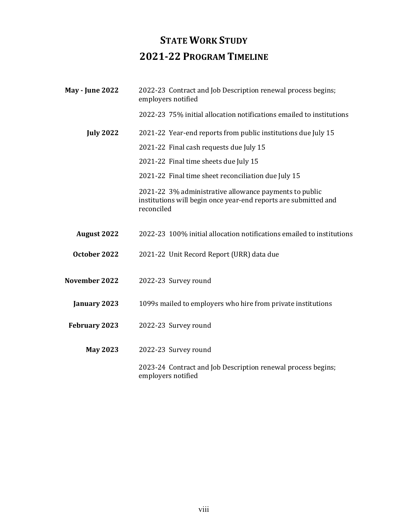# **STATE WORK STUDY 2021-22 PROGRAM TIMELINE**

| <b>May - June 2022</b> | 2022-23 Contract and Job Description renewal process begins;<br>employers notified                                                      |
|------------------------|-----------------------------------------------------------------------------------------------------------------------------------------|
|                        | 2022-23 75% initial allocation notifications emailed to institutions                                                                    |
| <b>July 2022</b>       | 2021-22 Year-end reports from public institutions due July 15                                                                           |
|                        | 2021-22 Final cash requests due July 15                                                                                                 |
|                        | 2021-22 Final time sheets due July 15                                                                                                   |
|                        | 2021-22 Final time sheet reconciliation due July 15                                                                                     |
|                        | 2021-22 3% administrative allowance payments to public<br>institutions will begin once year-end reports are submitted and<br>reconciled |
| <b>August 2022</b>     | 2022-23 100% initial allocation notifications emailed to institutions                                                                   |
| October 2022           | 2021-22 Unit Record Report (URR) data due                                                                                               |
| November 2022          | 2022-23 Survey round                                                                                                                    |
| January 2023           | 1099s mailed to employers who hire from private institutions                                                                            |
| February 2023          | 2022-23 Survey round                                                                                                                    |
| <b>May 2023</b>        | 2022-23 Survey round                                                                                                                    |
|                        | 2023-24 Contract and Job Description renewal process begins;<br>employers notified                                                      |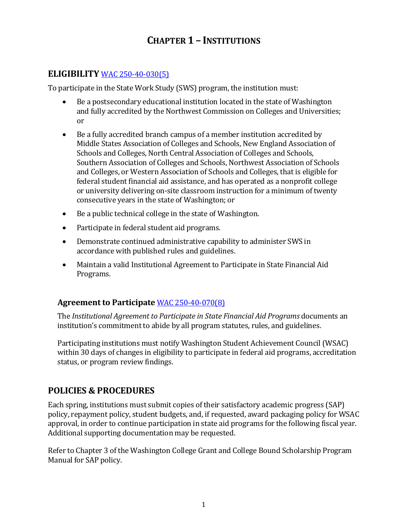## **CHAPTER 1 – INSTITUTIONS**

## **ELIGIBILITY** [WAC 250-40-030\(5\)](http://apps.leg.wa.gov/WAC/default.aspx?cite=250-40&full=true#250-40-030)

To participate in the State Work Study (SWS) program, the institution must:

- Be a postsecondary educational institution located in the state of Washington and fully accredited by the Northwest Commission on Colleges and Universities; or
- Be a fully accredited branch campus of a member institution accredited by Middle States Association of Colleges and Schools, New England Association of Schools and Colleges, North Central Association of Colleges and Schools, Southern Association of Colleges and Schools, Northwest Association of Schools and Colleges, or Western Association of Schools and Colleges, that is eligible for federal student financial aid assistance, and has operated as a nonprofit college or university delivering on-site classroom instruction for a minimum of twenty consecutive years in the state of Washington; or
- Be a public technical college in the state of Washington.
- Participate in federal student aid programs.
- Demonstrate continued administrative capability to administer SWS in accordance with published rules and guidelines.
- Maintain a valid Institutional Agreement to Participate in State Financial Aid Programs.

## **Agreement to Participate** [WAC 250-40-070\(8\)](http://apps.leg.wa.gov/WAC/default.aspx?cite=250-40-070)

The *Institutional Agreement to Participate in State Financial Aid Programs* documents an institution's commitment to abide by all program statutes, rules, and guidelines.

Participating institutions must notify Washington Student Achievement Council (WSAC) within 30 days of changes in eligibility to participate in federal aid programs, accreditation status, or program review findings.

## **POLICIES & PROCEDURES**

Each spring, institutions must submit copies of their satisfactory academic progress (SAP) policy, repayment policy, student budgets, and, if requested, award packaging policy for WSAC approval, in order to continue participation in state aid programs for the following fiscal year. Additional supporting documentation may be requested.

Refer to Chapter 3 of the Washington College Grant and College Bound Scholarship Program Manual for SAP policy.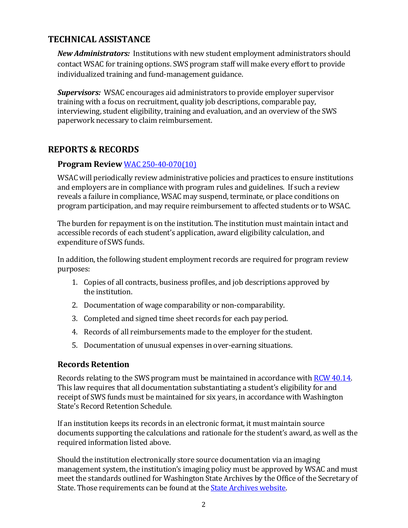## **TECHNICAL ASSISTANCE**

*New Administrators:* Institutions with new student employment administrators should contact WSAC for training options. SWS program staff will make every effort to provide individualized training and fund-management guidance.

*Supervisors:* WSAC encourages aid administrators to provide employer supervisor training with a focus on recruitment, quality job descriptions, comparable pay, interviewing, student eligibility, training and evaluation, and an overview of the SWS paperwork necessary to claim reimbursement.

## **REPORTS & RECORDS**

## **Program Review** [WAC 250-40-070\(10\)](http://apps.leg.wa.gov/WAC/default.aspx?cite=250-40-070)

WSAC will periodically review administrative policies and practices to ensure institutions and employers are in compliance with program rules and guidelines. If such a review reveals a failure in compliance, WSAC may suspend, terminate, or place conditions on program participation, and may require reimbursement to affected students or to WSAC.

The burden for repayment is on the institution. The institution must maintain intact and accessible records of each student's application, award eligibility calculation, and expenditure of SWS funds.

In addition, the following student employment records are required for program review purposes:

- 1. Copies of all contracts, business profiles, and job descriptions approved by the institution.
- 2. Documentation of wage comparability or non-comparability.
- 3. Completed and signed time sheet records for each pay period.
- 4. Records of all reimbursements made to the employer for the student.
- 5. Documentation of unusual expenses in over-earning situations.

### **Records Retention**

Records relating to the SWS program must be maintained in accordance with [RCW 40.14.](http://apps.leg.wa.gov/rcw/default.aspx?cite=40.14)  This law requires that all documentation substantiating a student's eligibility for and receipt of SWS funds must be maintained for six years, in accordance with Washington State's Record Retention Schedule.

If an institution keeps its records in an electronic format, it must maintain source documents supporting the calculations and rationale for the student's award, as well as the required information listed above.

Should the institution electronically store source documentation via an imaging management system, the institution's imaging policy must be approved by WSAC and must meet the standards outlined for Washington State Archives by the Office of the Secretary of State. Those requirements can be found at th[e State Archives website.](https://www.sos.wa.gov/archives/)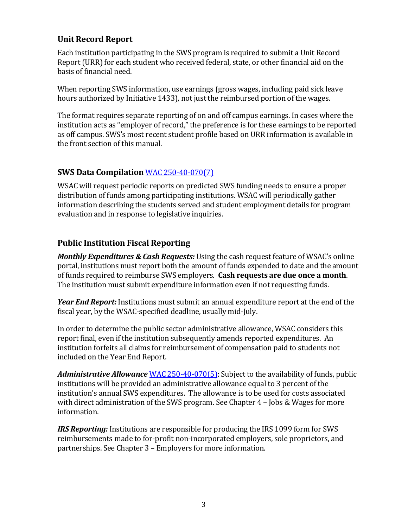## **Unit Record Report**

Each institution participating in the SWS program is required to submit a Unit Record Report (URR) for each student who received federal, state, or other financial aid on the basis of financial need.

When reporting SWS information, use earnings (gross wages, including paid sick leave hours authorized by Initiative 1433), not just the reimbursed portion of the wages.

The format requires separate reporting of on and off campus earnings. In cases where the institution acts as "employer of record," the preference is for these earnings to be reported as off campus. SWS's most recent student profile based on URR information is available in the front section of this manual.

## **SWS Data Compilation** [WAC 250-40-070\(7\)](http://apps.leg.wa.gov/WAC/default.aspx?cite=250-40&full=true#250-40-070)

WSAC will request periodic reports on predicted SWS funding needs to ensure a proper distribution of funds among participating institutions. WSAC will periodically gather information describing the students served and student employment details for program evaluation and in response to legislative inquiries.

## **Public Institution Fiscal Reporting**

*Monthly Expenditures & Cash Requests:* Using the cash request feature of WSAC's online portal, institutions must report both the amount of funds expended to date and the amount of funds required to reimburse SWS employers. **Cash requests are due once a month**. The institution must submit expenditure information even if not requesting funds.

*Year End Report:* Institutions must submit an annual expenditure report at the end of the fiscal year, by the WSAC-specified deadline, usually mid-July.

In order to determine the public sector administrative allowance, WSAC considers this report final, even if the institution subsequently amends reported expenditures. An institution forfeits all claims for reimbursement of compensation paid to students not included on the Year End Report.

*Administrative Allowance* [WAC 250-40-070\(5\):](http://apps.leg.wa.gov/WAC/default.aspx?cite=250-40&full=true#250-40-070) Subject to the availability of funds, public institutions will be provided an administrative allowance equal to 3 percent of the institution's annual SWS expenditures. The allowance is to be used for costs associated with direct administration of the SWS program. See Chapter 4 – Jobs & Wages for more information.

*IRS Reporting:* Institutions are responsible for producing the IRS 1099 form for SWS reimbursements made to for-profit non-incorporated employers, sole proprietors, and partnerships. See Chapter 3 – Employers for more information.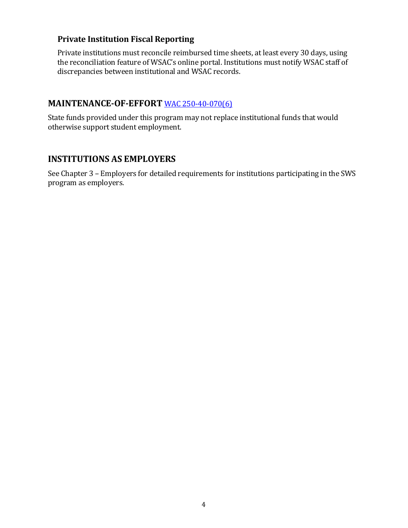## **Private Institution Fiscal Reporting**

Private institutions must reconcile reimbursed time sheets, at least every 30 days, using the reconciliation feature of WSAC's online portal. Institutions must notify WSAC staff of discrepancies between institutional and WSAC records.

### **MAINTENANCE-OF-EFFORT** [WAC 250-40-070\(6\)](http://apps.leg.wa.gov/WAC/default.aspx?cite=250-40&full=true#250-40-070)

State funds provided under this program may not replace institutional funds that would otherwise support student employment.

## **INSTITUTIONS AS EMPLOYERS**

See Chapter 3 – Employers for detailed requirements for institutions participating in the SWS program as employers.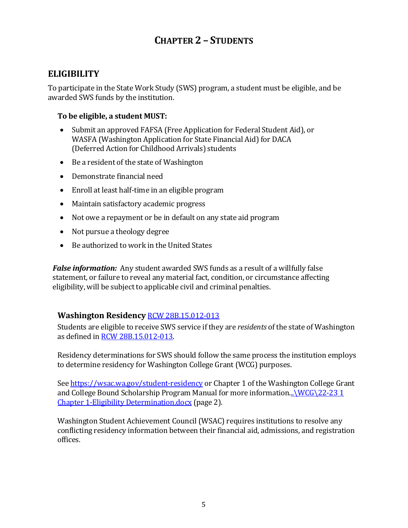# **CHAPTER 2 – STUDENTS**

## **ELIGIBILITY**

To participate in the State Work Study (SWS) program, a student must be eligible, and be awarded SWS funds by the institution.

#### **To be eligible, a student MUST:**

- Submit an approved FAFSA (Free Application for Federal Student Aid), or WASFA (Washington Application for State Financial Aid) for DACA (Deferred Action for Childhood Arrivals) students
- Be a resident of the state of Washington
- Demonstrate financial need
- Enroll at least half-time in an eligible program
- Maintain satisfactory academic progress
- Not owe a repayment or be in default on any state aid program
- Not pursue a theology degree
- Be authorized to work in the United States

*False information:* Any student awarded SWS funds as a result of a willfully false statement, or failure to reveal any material fact, condition, or circumstance affecting eligibility, will be subject to applicable civil and criminal penalties.

### **Washington Residency** [RCW 28B.15.012-013](http://app.leg.wa.gov/RCW/default.aspx?cite=28B.15.012)

Students are eligible to receive SWS service if they are *residents* of the state of Washington as defined in [RCW 28B.15.012-013.](http://app.leg.wa.gov/RCW/default.aspx?cite=28B.15.012)

Residency determinations for SWS should follow the same process the institution employs to determine residency for Washington College Grant (WCG) purposes.

See<https://wsac.wa.gov/student-residency> or Chapter 1 of the Washington College Grant and College Bound Scholarship Program Manual for more information... $\WCG\22-231$ Chapter 1-Eligibility Determination.docx (page 2).

Washington Student Achievement Council (WSAC) requires institutions to resolve any conflicting residency information between their financial aid, admissions, and registration offices.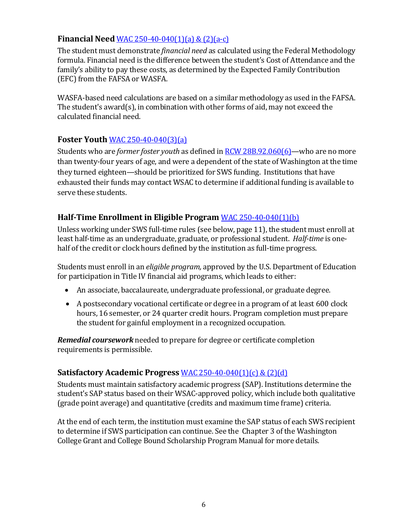## **Financial Need** [WAC 250-40-040\(1\)\(a\)](http://apps.leg.wa.gov/WAC/default.aspx?cite=250-40&full=true#250-40-040) & (2)(a-c)

The student must demonstrate *financial need* as calculated using the Federal Methodology formula. Financial need is the difference between the student's Cost of Attendance and the family's ability to pay these costs, as determined by the Expected Family Contribution (EFC) from the FAFSA or WASFA.

WASFA-based need calculations are based on a similar methodology as used in the FAFSA. The student's award(s), in combination with other forms of aid, may not exceed the calculated financial need.

## **Foster Youth** [WAC 250-40-040\(3\)\(a\)](http://apps.leg.wa.gov/WAC/default.aspx?cite=250-40&full=true#250-40-040)

Students who are *former foster youth* as defined in [RCW 28B.92.060\(6\)—](http://apps.leg.wa.gov/rcw/default.aspx?cite=28B.92.060)who are no more than twenty-four years of age, and were a dependent of the state of Washington at the time they turned eighteen—should be prioritized for SWS funding. Institutions that have exhausted their funds may contact WSAC to determine if additional funding is available to serve these students.

## **Half-Time Enrollment in Eligible Program** [WAC 250-40-040\(1\)\(b\)](http://apps.leg.wa.gov/WAC/default.aspx?cite=250-40&full=true#250-40-040)

Unless working under SWS full-time rules (see below, page 11), the student must enroll at least half-time as an undergraduate, graduate, or professional student. *Half-time* is onehalf of the credit or clock hours defined by the institution as full-time progress.

Students must enroll in an *eligible program,* approved by the U.S. Department of Education for participation in Title IV financial aid programs, which leads to either:

- An associate, baccalaureate, undergraduate professional, or graduate degree.
- A postsecondary vocational certificate or degree in a program of at least 600 clock hours, 16 semester, or 24 quarter credit hours. Program completion must prepare the student for gainful employment in a recognized occupation.

*Remedial coursework* needed to prepare for degree or certificate completion requirements is permissible.

### **Satisfactory Academic Progress** [WAC 250-40-040\(1\)\(c\) & \(2\)\(d\)](http://apps.leg.wa.gov/WAC/default.aspx?cite=250-40&full=true#250-40-040)

Students must maintain satisfactory academic progress (SAP). Institutions determine the student's SAP status based on their WSAC-approved policy, which include both qualitative (grade point average) and quantitative (credits and maximum time frame) criteria.

At the end of each term, the institution must examine the SAP status of each SWS recipient to determine if SWS participation can continue. See the Chapter 3 of the Washington College Grant and College Bound Scholarship Program Manual for more details.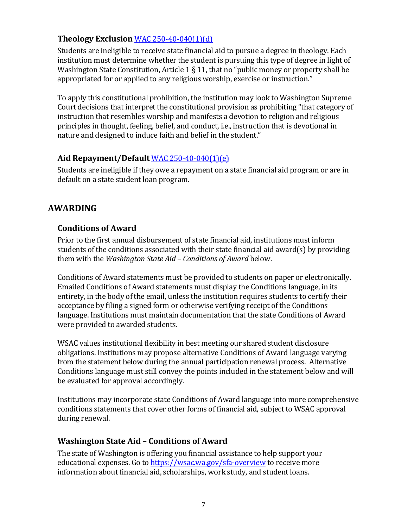## **Theology Exclusion** [WAC 250-40-040\(1\)\(d\)](http://apps.leg.wa.gov/WAC/default.aspx?cite=250-40&full=true#250-40-040)

Students are ineligible to receive state financial aid to pursue a degree in theology. Each institution must determine whether the student is pursuing this type of degree in light of Washington State Constitution, Article 1 § 11, that no "public money or property shall be appropriated for or applied to any religious worship, exercise or instruction."

To apply this constitutional prohibition, the institution may look to Washington Supreme Court decisions that interpret the constitutional provision as prohibiting "that category of instruction that resembles worship and manifests a devotion to religion and religious principles in thought, feeling, belief, and conduct, i.e., instruction that is devotional in nature and designed to induce faith and belief in the student."

#### **Aid Repayment/Default** [WAC 250-40-040\(1\)\(e\)](http://apps.leg.wa.gov/WAC/default.aspx?cite=250-40&full=true#250-40-040)

Students are ineligible if they owe a repayment on a state financial aid program or are in default on a state student loan program.

## **AWARDING**

### **Conditions of Award**

Prior to the first annual disbursement of state financial aid, institutions must inform students of the conditions associated with their state financial aid award(s) by providing them with the *Washington State Aid – Conditions of Award* below.

Conditions of Award statements must be provided to students on paper or electronically. Emailed Conditions of Award statements must display the Conditions language, in its entirety, in the body of the email, unless the institution requires students to certify their acceptance by filing a signed form or otherwise verifying receipt of the Conditions language. Institutions must maintain documentation that the state Conditions of Award were provided to awarded students.

WSAC values institutional flexibility in best meeting our shared student disclosure obligations. Institutions may propose alternative Conditions of Award language varying from the statement below during the annual participation renewal process. Alternative Conditions language must still convey the points included in the statement below and will be evaluated for approval accordingly.

Institutions may incorporate state Conditions of Award language into more comprehensive conditions statements that cover other forms of financial aid, subject to WSAC approval during renewal.

### **Washington State Aid – Conditions of Award**

The state of Washington is offering you financial assistance to help support your educational expenses. Go to <https://wsac.wa.gov/sfa-overview> to receive more information about financial aid, scholarships, work study, and student loans.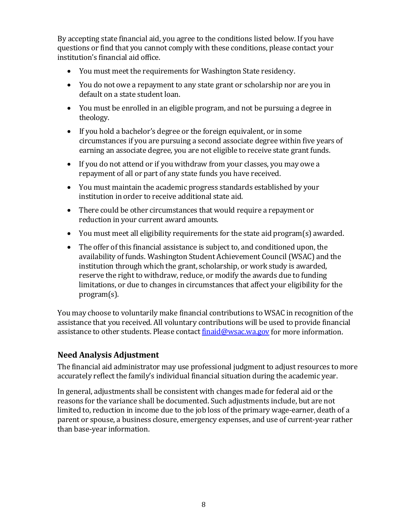By accepting state financial aid, you agree to the conditions listed below. If you have questions or find that you cannot comply with these conditions, please contact your institution's financial aid office.

- You must meet the requirements for Washington State residency.
- You do not owe a repayment to any state grant or scholarship nor are you in default on a state student loan.
- You must be enrolled in an eligible program, and not be pursuing a degree in theology.
- If you hold a bachelor's degree or the foreign equivalent, or in some circumstances if you are pursuing a second associate degree within five years of earning an associate degree, you are not eligible to receive state grant funds.
- If you do not attend or if you withdraw from your classes, you may owe a repayment of all or part of any state funds you have received.
- You must maintain the academic progress standards established by your institution in order to receive additional state aid.
- There could be other circumstances that would require a repayment or reduction in your current award amounts.
- You must meet all eligibility requirements for the state aid program(s) awarded.
- The offer of this financial assistance is subject to, and conditioned upon, the availability of funds. Washington Student Achievement Council (WSAC) and the institution through which the grant, scholarship, or work study is awarded, reserve the right to withdraw, reduce, or modify the awards due to funding limitations, or due to changes in circumstances that affect your eligibility for the program(s).

You may choose to voluntarily make financial contributions to WSAC in recognition of the assistance that you received. All voluntary contributions will be used to provide financial assistance to other students. Please contact [finaid@wsac.wa.gov](mailto:finaid@wsac.wa.gov) for more information.

## **Need Analysis Adjustment**

The financial aid administrator may use professional judgment to adjust resources to more accurately reflect the family's individual financial situation during the academic year.

In general, adjustments shall be consistent with changes made for federal aid or the reasons for the variance shall be documented. Such adjustments include, but are not limited to, reduction in income due to the job loss of the primary wage-earner, death of a parent or spouse, a business closure, emergency expenses, and use of current-year rather than base-year information.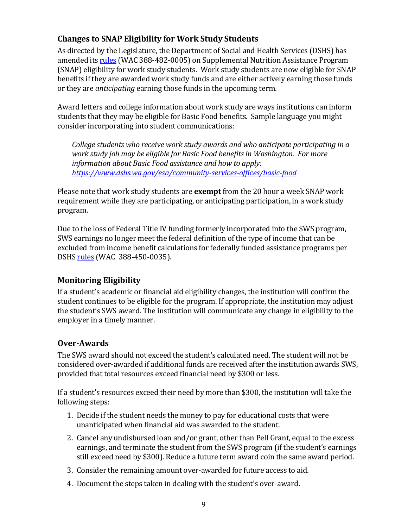## **Changes to SNAP Eligibility for Work Study Students**

As directed by the Legislature, the Department of Social and Health Services (DSHS) has amended its [rules](https://app.leg.wa.gov/WAC/default.aspx?cite=388-482-0005) (WAC 388-482-0005) on Supplemental Nutrition Assistance Program (SNAP) eligibility for work study students. Work study students are now eligible for SNAP benefits if they are awarded work study funds and are either actively earning those funds or they are *anticipating* earning those funds in the upcoming term.

Award letters and college information about work study are ways institutions can inform students that they may be eligible for Basic Food benefits. Sample language you might consider incorporating into student communications:

*College students who receive work study awards and who anticipate participating in a work study job may be eligible for Basic Food benefits in Washington. For more information about Basic Food assistance and how to apply: <https://www.dshs.wa.gov/esa/community-services-offices/basic-food>*

Please note that work study students are **exempt** from the 20 hour a week SNAP work requirement while they are participating, or anticipating participation, in a work study program.

Due to the loss of Federal Title IV funding formerly incorporated into the SWS program, SWS earnings no longer meet the federal definition of the type of income that can be excluded from income benefit calculations for federally funded assistance programs per DSHS [rules](https://app.leg.wa.gov/WAC/default.aspx?cite=388-450-0035) (WAC 388-450-0035).

## **Monitoring Eligibility**

If a student's academic or financial aid eligibility changes, the institution will confirm the student continues to be eligible for the program. If appropriate, the institution may adjust the student's SWS award. The institution will communicate any change in eligibility to the employer in a timely manner.

## **Over-Awards**

The SWS award should not exceed the student's calculated need. The student will not be considered over-awarded if additional funds are received after the institution awards SWS, provided that total resources exceed financial need by \$300 or less.

If a student's resources exceed their need by more than \$300, the institution will take the following steps:

- 1. Decide if the student needs the money to pay for educational costs that were unanticipated when financial aid was awarded to the student.
- 2. Cancel any undisbursed loan and/or grant, other than Pell Grant, equal to the excess earnings, and terminate the student from the SWS program (if the student's earnings still exceed need by \$300). Reduce a future term award coin the same award period.
- 3. Consider the remaining amount over-awarded for future access to aid.
- 4. Document the steps taken in dealing with the student's over-award.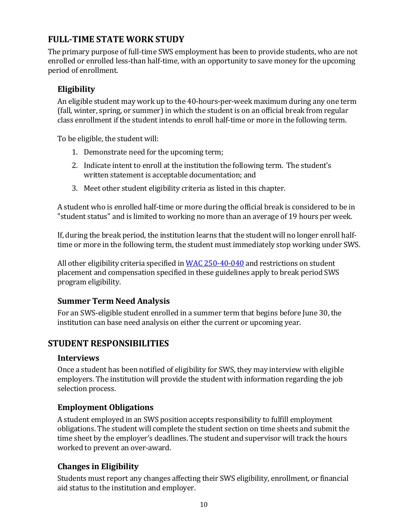## **FULL-TIME STATE WORK STUDY**

The primary purpose of full-time SWS employment has been to provide students, who are not enrolled or enrolled less-than half-time, with an opportunity to save money for the upcoming period of enrollment.

## **Eligibility**

An eligible student may work up to the 40-hours-per-week maximum during any one term (fall, winter, spring, or summer) in which the student is on an official break from regular class enrollment if the student intends to enroll half-time or more in the following term.

To be eligible, the student will:

- 1. Demonstrate need for the upcoming term;
- 2. Indicate intent to enroll at the institution the following term. The student's written statement is acceptable documentation; and
- 3. Meet other student eligibility criteria as listed in this chapter.

A student who is enrolled half-time or more during the official break is considered to be in "student status" and is limited to working no more than an average of 19 hours per week.

If, during the break period, the institution learns that the student will no longer enroll halftime or more in the following term, the student must immediately stop working under SWS.

All other eligibility criteria specified in [WAC 250-40-040](http://apps.leg.wa.gov/WAC/default.aspx?cite=250-40&full=true#250-40-040) and restrictions on student placement and compensation specified in these guidelines apply to break period SWS program eligibility.

## **Summer Term Need Analysis**

For an SWS-eligible student enrolled in a summer term that begins before June 30, the institution can base need analysis on either the current or upcoming year.

## **STUDENT RESPONSIBILITIES**

#### **Interviews**

Once a student has been notified of eligibility for SWS, they may interview with eligible employers. The institution will provide the student with information regarding the job selection process.

### **Employment Obligations**

A student employed in an SWS position accepts responsibility to fulfill employment obligations. The student will complete the student section on time sheets and submit the time sheet by the employer's deadlines. The student and supervisor will track the hours worked to prevent an over-award.

## **Changes in Eligibility**

Students must report any changes affecting their SWS eligibility, enrollment, or financial aid status to the institution and employer.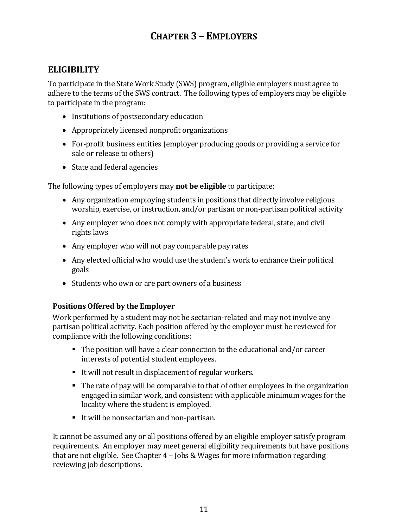# **CHAPTER 3 – EMPLOYERS**

## **ELIGIBILITY**

To participate in the State Work Study (SWS) program, eligible employers must agree to adhere to the terms of the SWS contract. The following types of employers may be eligible to participate in the program:

- Institutions of postsecondary education
- Appropriately licensed nonprofit organizations
- For-profit business entities (employer producing goods or providing a service for sale or release to others)
- State and federal agencies

The following types of employers may **not be eligible** to participate:

- Any organization employing students in positions that directly involve religious worship, exercise, or instruction, and/or partisan or non-partisan political activity
- Any employer who does not comply with appropriate federal, state, and civil rights laws
- Any employer who will not pay comparable pay rates
- Any elected official who would use the student's work to enhance their political goals
- Students who own or are part owners of a business

#### **Positions Offered by the Employer**

Work performed by a student may not be sectarian-related and may not involve any partisan political activity. Each position offered by the employer must be reviewed for compliance with the following conditions:

- The position will have a clear connection to the educational and/or career interests of potential student employees.
- It will not result in displacement of regular workers.
- The rate of pay will be comparable to that of other employees in the organization engaged in similar work, and consistent with applicable minimum wages for the locality where the student is employed.
- It will be nonsectarian and non-partisan.

It cannot be assumed any or all positions offered by an eligible employer satisfy program requirements. An employer may meet general eligibility requirements but have positions that are not eligible. See Chapter 4 – Jobs & Wages for more information regarding reviewing job descriptions.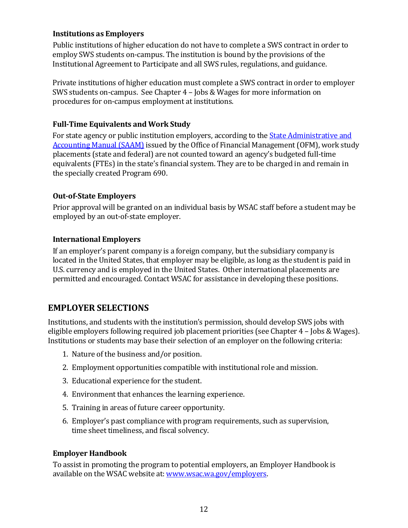#### **Institutions as Employers**

Public institutions of higher education do not have to complete a SWS contract in order to employ SWS students on-campus. The institution is bound by the provisions of the Institutional Agreement to Participate and all SWS rules, regulations, and guidance.

Private institutions of higher education must complete a SWS contract in order to employer SWS students on-campus. See Chapter 4 – Jobs & Wages for more information on procedures for on-campus employment at institutions.

#### **Full-Time Equivalents and Work Study**

For state agency or public institution employers, according to the **State Administrative and** [Accounting Manual \(SAAM\)](http://www.ofm.wa.gov/policy/SAAM.pdf) issued by the Office of Financial Management (OFM), work study placements (state and federal) are not counted toward an agency's budgeted full-time equivalents (FTEs) in the state's financial system. They are to be charged in and remain in the specially created Program 690.

#### **Out-of-State Employers**

Prior approval will be granted on an individual basis by WSAC staff before a student may be employed by an out-of-state employer.

#### **International Employers**

If an employer's parent company is a foreign company, but the subsidiary company is located in the United States, that employer may be eligible, as long as the student is paid in U.S. currency and is employed in the United States. Other international placements are permitted and encouraged. Contact WSAC for assistance in developing these positions.

## **EMPLOYER SELECTIONS**

Institutions, and students with the institution's permission, should develop SWS jobs with eligible employers following required job placement priorities (see Chapter 4 – Jobs & Wages). Institutions or students may base their selection of an employer on the following criteria:

- 1. Nature of the business and/or position.
- 2. Employment opportunities compatible with institutional role and mission.
- 3. Educational experience for the student.
- 4. Environment that enhances the learning experience.
- 5. Training in areas of future career opportunity.
- 6. Employer's past compliance with program requirements, such as supervision, time sheet timeliness, and fiscal solvency.

#### **Employer Handbook**

To assist in promoting the program to potential employers, an Employer Handbook is available on the WSAC website at: [www.wsac.wa.gov/employers.](http://www.wsac.wa.gov/employers)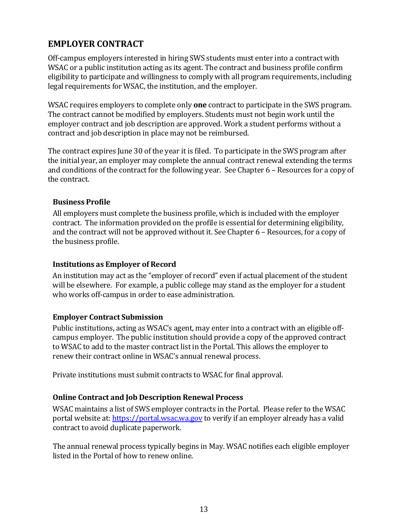## **EMPLOYER CONTRACT**

Off-campus employers interested in hiring SWS students must enter into a contract with WSAC or a public institution acting as its agent. The contract and business profile confirm eligibility to participate and willingness to comply with all program requirements, including legal requirements for WSAC, the institution, and the employer.

WSAC requires employers to complete only **one** contract to participate in the SWS program. The contract cannot be modified by employers. Students must not begin work until the employer contract and job description are approved. Work a student performs without a contract and job description in place may not be reimbursed.

The contract expires June 30 of the year it is filed. To participate in the SWS program after the initial year, an employer may complete the annual contract renewal extending the terms and conditions of the contract for the following year. See Chapter 6 – Resources for a copy of the contract.

#### **Business Profile**

All employers must complete the business profile, which is included with the employer contract. The information provided on the profile is essential for determining eligibility, and the contract will not be approved without it. See Chapter 6 – Resources, for a copy of the business profile.

#### **Institutions as Employer of Record**

An institution may act as the "employer of record" even if actual placement of the student will be elsewhere. For example, a public college may stand as the employer for a student who works off-campus in order to ease administration.

#### **Employer Contract Submission**

Public institutions, acting as WSAC's agent, may enter into a contract with an eligible offcampus employer. The public institution should provide a copy of the approved contract to WSAC to add to the master contract list in the Portal. This allows the employer to renew their contract online in WSAC's annual renewal process.

Private institutions must submit contracts to WSAC for final approval.

### **Online Contract and Job Description Renewal Process**

WSAC maintains a list of SWS employer contracts in the Portal. Please refer to the WSAC portal website at[: https://portal.wsac.wa.gov](https://gcc02.safelinks.protection.outlook.com/?url=https%3A%2F%2Fportal.wsac.wa.gov%2F&data=04%7C01%7CColleenS%40wsac.wa.gov%7Cd80f75e6d866451bc6f308d910d2c6fa%7C11d0e217264e400a8ba057dcc127d72d%7C0%7C0%7C637559319727332472%7CUnknown%7CTWFpbGZsb3d8eyJWIjoiMC4wLjAwMDAiLCJQIjoiV2luMzIiLCJBTiI6Ik1haWwiLCJXVCI6Mn0%3D%7C1000&sdata=O%2B7Dv3nXvakSYw7%2BdnjiX%2BsyR2BqNMTUL3hDcE1%2FStE%3D&reserved=0) to verify if an employer already has a valid contract to avoid duplicate paperwork.

The annual renewal process typically begins in May. WSAC notifies each eligible employer listed in the Portal of how to renew online.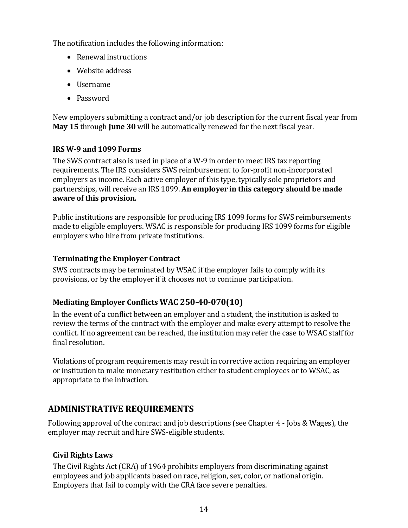The notification includes the following information:

- Renewal instructions
- Website address
- Username
- Password

New employers submitting a contract and/or job description for the current fiscal year from **May 15** through **June 30** will be automatically renewed for the next fiscal year.

### **IRS W-9 and 1099 Forms**

The SWS contract also is used in place of a W-9 in order to meet IRS tax reporting requirements. The IRS considers SWS reimbursement to for-profit non-incorporated employers as income. Each active employer of this type, typically sole proprietors and partnerships, will receive an IRS 1099. **An employer in this category should be made aware of this provision.**

Public institutions are responsible for producing IRS 1099 forms for SWS reimbursements made to eligible employers. WSAC is responsible for producing IRS 1099 forms for eligible employers who hire from private institutions.

#### **Terminating the Employer Contract**

SWS contracts may be terminated by WSAC if the employer fails to comply with its provisions, or by the employer if it chooses not to continue participation.

### **Mediating Employer Conflicts [WAC 250-40-070\(10\)](http://apps.leg.wa.gov/WAC/default.aspx?cite=250-40-070)**

In the event of a conflict between an employer and a student, the institution is asked to review the terms of the contract with the employer and make every attempt to resolve the conflict. If no agreement can be reached, the institution may refer the case to WSAC staff for final resolution.

Violations of program requirements may result in corrective action requiring an employer or institution to make monetary restitution either to student employees or to WSAC, as appropriate to the infraction.

## **ADMINISTRATIVE REQUIREMENTS**

Following approval of the contract and job descriptions (see Chapter 4 - Jobs & Wages), the employer may recruit and hire SWS-eligible students.

### **Civil Rights Laws**

The Civil Rights Act (CRA) of 1964 prohibits employers from discriminating against employees and job applicants based on race, religion, sex, color, or national origin. Employers that fail to comply with the CRA face severe penalties.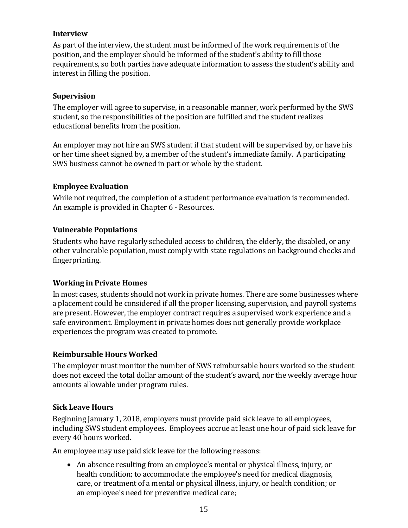#### **Interview**

As part of the interview, the student must be informed of the work requirements of the position, and the employer should be informed of the student's ability to fill those requirements, so both parties have adequate information to assess the student's ability and interest in filling the position.

#### **Supervision**

The employer will agree to supervise, in a reasonable manner, work performed by the SWS student, so the responsibilities of the position are fulfilled and the student realizes educational benefits from the position.

An employer may not hire an SWS student if that student will be supervised by, or have his or her time sheet signed by, a member of the student's immediate family. A participating SWS business cannot be owned in part or whole by the student.

#### **Employee Evaluation**

While not required, the completion of a student performance evaluation is recommended. An example is provided in Chapter 6 - Resources.

#### **Vulnerable Populations**

Students who have regularly scheduled access to children, the elderly, the disabled, or any other vulnerable population, must comply with state regulations on background checks and fingerprinting.

#### **Working in Private Homes**

In most cases, students should not work in private homes. There are some businesses where a placement could be considered if all the proper licensing, supervision, and payroll systems are present. However, the employer contract requires a supervised work experience and a safe environment. Employment in private homes does not generally provide workplace experiences the program was created to promote.

#### **Reimbursable Hours Worked**

The employer must monitor the number of SWS reimbursable hours worked so the student does not exceed the total dollar amount of the student's award, nor the weekly average hour amounts allowable under program rules.

#### **Sick Leave Hours**

Beginning January 1, 2018, employers must provide paid sick leave to all employees, including SWS student employees. Employees accrue at least one hour of paid sick leave for every 40 hours worked.

An employee may use paid sick leave for the following reasons:

• An absence resulting from an employee's mental or physical illness, injury, or health condition; to accommodate the employee's need for medical diagnosis, care, or treatment of a mental or physical illness, injury, or health condition; or an employee's need for preventive medical care;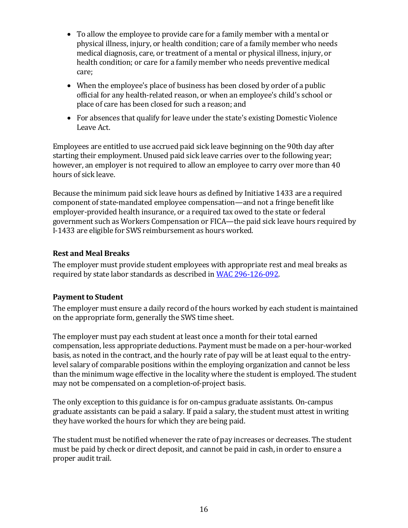- To allow the employee to provide care for a family member with a mental or physical illness, injury, or health condition; care of a family member who needs medical diagnosis, care, or treatment of a mental or physical illness, injury, or health condition; or care for a family member who needs preventive medical care;
- When the employee's place of business has been closed by order of a public official for any health-related reason, or when an employee's child's school or place of care has been closed for such a reason; and
- For absences that qualify for leave under the state's existing Domestic Violence Leave Act.

Employees are entitled to use accrued paid sick leave beginning on the 90th day after starting their employment. Unused paid sick leave carries over to the following year; however, an employer is not required to allow an employee to carry over more than 40 hours of sick leave.

Because the minimum paid sick leave hours as defined by Initiative 1433 are a required component of state-mandated employee compensation—and not a fringe benefit like employer-provided health insurance, or a required tax owed to the state or federal government such as Workers Compensation or FICA—the paid sick leave hours required by I-1433 are eligible for SWS reimbursement as hours worked.

#### **Rest and Meal Breaks**

The employer must provide student employees with appropriate rest and meal breaks as required by state labor standards as described i[n WAC 296-126-092.](http://app.leg.wa.gov/wac/default.aspx?cite=296-126-092)

### **Payment to Student**

The employer must ensure a daily record of the hours worked by each student is maintained on the appropriate form, generally the SWS time sheet.

The employer must pay each student at least once a month for their total earned compensation, less appropriate deductions. Payment must be made on a per-hour-worked basis, as noted in the contract, and the hourly rate of pay will be at least equal to the entrylevel salary of comparable positions within the employing organization and cannot be less than the minimum wage effective in the locality where the student is employed. The student may not be compensated on a completion-of-project basis.

The only exception to this guidance is for on-campus graduate assistants. On-campus graduate assistants can be paid a salary. If paid a salary, the student must attest in writing they have worked the hours for which they are being paid.

The student must be notified whenever the rate of pay increases or decreases. The student must be paid by check or direct deposit, and cannot be paid in cash, in order to ensure a proper audit trail.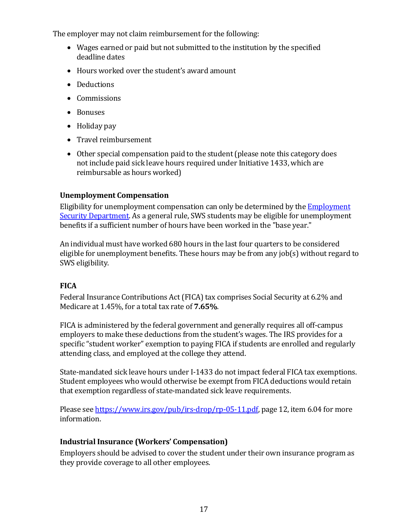The employer may not claim reimbursement for the following:

- Wages earned or paid but not submitted to the institution by the specified deadline dates
- Hours worked over the student's award amount
- Deductions
- Commissions
- Bonuses
- Holiday pay
- Travel reimbursement
- Other special compensation paid to the student (please note this category does not include paid sick leave hours required under Initiative 1433, which are reimbursable as hours worked)

### **Unemployment Compensation**

Eligibility for unemployment compensation can only be determined by the  $Emplovment$ [Security Department.](https://www.esd.wa.gov/) As a general rule, SWS students may be eligible for unemployment benefits if a sufficient number of hours have been worked in the "base year."

An individual must have worked 680 hours in the last four quarters to be considered eligible for unemployment benefits. These hours may be from any job(s) without regard to SWS eligibility.

## **FICA**

Federal Insurance Contributions Act (FICA) tax comprises Social Security at 6.2% and Medicare at 1.45%, for a total tax rate of **7.65%**.

FICA is administered by the federal government and generally requires all off-campus employers to make these deductions from the student's wages. The IRS provides for a specific "student worker" exemption to paying FICA if students are enrolled and regularly attending class, and employed at the college they attend.

State-mandated sick leave hours under I-1433 do not impact federal FICA tax exemptions. Student employees who would otherwise be exempt from FICA deductions would retain that exemption regardless of state-mandated sick leave requirements.

Please see [https://www.irs.gov/pub/irs-drop/rp-05-11.pdf,](https://www.irs.gov/pub/irs-drop/rp-05-11.pdf) page 12, item 6.04 for more information.

### **Industrial Insurance (Workers' Compensation)**

Employers should be advised to cover the student under their own insurance program as they provide coverage to all other employees.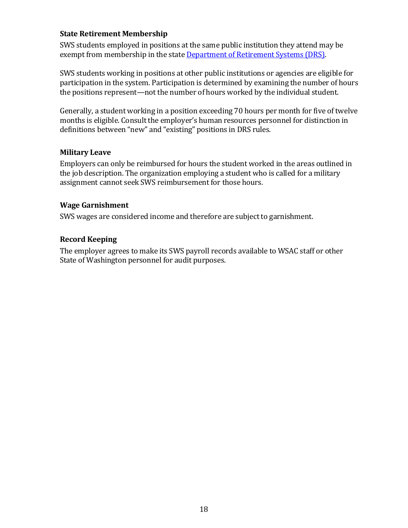#### **State Retirement Membership**

SWS students employed in positions at the same public institution they attend may be exempt from membership in the state [Department of Retirement Systems \(DRS\).](http://www.drs.wa.gov/)

SWS students working in positions at other public institutions or agencies are eligible for participation in the system. Participation is determined by examining the number of hours the positions represent—not the number of hours worked by the individual student.

Generally, a student working in a position exceeding 70 hours per month for five of twelve months is eligible. Consult the employer's human resources personnel for distinction in definitions between "new" and "existing" positions in DRS rules.

#### **Military Leave**

Employers can only be reimbursed for hours the student worked in the areas outlined in the job description. The organization employing a student who is called for a military assignment cannot seek SWS reimbursement for those hours.

#### **Wage Garnishment**

SWS wages are considered income and therefore are subject to garnishment.

#### **Record Keeping**

The employer agrees to make its SWS payroll records available to WSAC staff or other State of Washington personnel for audit purposes.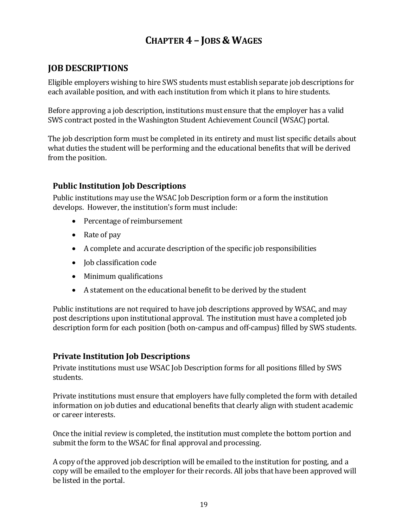# **CHAPTER 4 – JOBS &WAGES**

## **JOB DESCRIPTIONS**

Eligible employers wishing to hire SWS students must establish separate job descriptions for each available position, and with each institution from which it plans to hire students.

Before approving a job description, institutions must ensure that the employer has a valid SWS contract posted in the Washington Student Achievement Council (WSAC) portal.

The job description form must be completed in its entirety and must list specific details about what duties the student will be performing and the educational benefits that will be derived from the position.

## **Public Institution Job Descriptions**

Public institutions may use the WSAC Job Description form or a form the institution develops. However, the institution's form must include:

- Percentage of reimbursement
- Rate of pay
- A complete and accurate description of the specific job responsibilities
- **Job classification code**
- Minimum qualifications
- A statement on the educational benefit to be derived by the student

Public institutions are not required to have job descriptions approved by WSAC, and may post descriptions upon institutional approval. The institution must have a completed job description form for each position (both on-campus and off-campus) filled by SWS students.

## **Private Institution Job Descriptions**

Private institutions must use WSAC Job Description forms for all positions filled by SWS students.

Private institutions must ensure that employers have fully completed the form with detailed information on job duties and educational benefits that clearly align with student academic or career interests.

Once the initial review is completed, the institution must complete the bottom portion and submit the form to the WSAC for final approval and processing.

A copy of the approved job description will be emailed to the institution for posting, and a copy will be emailed to the employer for their records. All jobs that have been approved will be listed in the portal.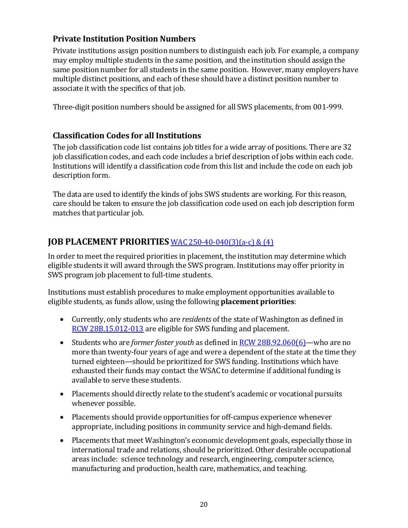## **Private Institution Position Numbers**

Private institutions assign position numbers to distinguish each job. For example, a company may employ multiple students in the same position, and the institution should assign the same position number for all students in the same position. However, many employers have multiple distinct positions, and each of these should have a distinct position number to associate it with the specifics of that job.

Three-digit position numbers should be assigned for all SWS placements, from 001-999.

## **Classification Codes for all Institutions**

The job classification code list contains job titles for a wide array of positions. There are 32 job classification codes, and each code includes a brief description of jobs within each code. Institutions will identify a classification code from this list and include the code on each job description form.

The data are used to identify the kinds of jobs SWS students are working. For this reason, care should be taken to ensure the job classification code used on each job description form matches that particular job.

## **JOB PLACEMENT PRIORITIES** [WAC 250-40-040\(3\)\(a-c\) & \(4\)](http://apps.leg.wa.gov/WAC/default.aspx?cite=250-40-040)

In order to meet the required priorities in placement, the institution may determine which eligible students it will award through the SWS program. Institutions may offer priority in SWS program job placement to full-time students.

Institutions must establish procedures to make employment opportunities available to eligible students, as funds allow, using the following **placement priorities**:

- Currently, only students who are *residents* of the state of Washington as defined in [RCW 28B.15.012-013](http://apps.leg.wa.gov/rcw/default.aspx?Cite=28B.15.012) are eligible for SWS funding and placement.
- Students who are *former foster youth* as defined i[n RCW 28B.92.060\(](http://apps.leg.wa.gov/rcw/default.aspx?cite=28B.92.060)6)—who are no more than twenty-four years of age and were a dependent of the state at the time they turned eighteen—should be prioritized for SWS funding. Institutions which have exhausted their funds may contact the WSAC to determine if additional funding is available to serve these students.
- Placements should directly relate to the student's academic or vocational pursuits whenever possible.
- Placements should provide opportunities for off-campus experience whenever appropriate, including positions in community service and high-demand fields.
- Placements that meet Washington's economic development goals, especially those in international trade and relations, should be prioritized. Other desirable occupational areas include: science technology and research, engineering, computer science, manufacturing and production, health care, mathematics, and teaching.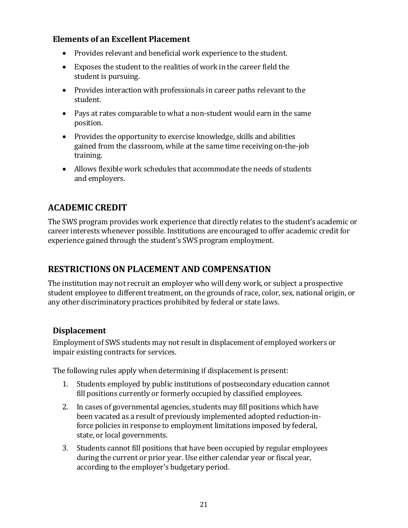## **Elements of an Excellent Placement**

- Provides relevant and beneficial work experience to the student.
- Exposes the student to the realities of work in the career field the student is pursuing.
- Provides interaction with professionals in career paths relevant to the student.
- Pays at rates comparable to what a non-student would earn in the same position.
- Provides the opportunity to exercise knowledge, skills and abilities gained from the classroom, while at the same time receiving on-the-job training.
- Allows flexible work schedules that accommodate the needs of students and employers.

## **ACADEMIC CREDIT**

The SWS program provides work experience that directly relates to the student's academic or career interests whenever possible. Institutions are encouraged to offer academic credit for experience gained through the student's SWS program employment.

## **RESTRICTIONS ON PLACEMENT AND COMPENSATION**

The institution may not recruit an employer who will deny work, or subject a prospective student employee to different treatment, on the grounds of race, color, sex, national origin, or any other discriminatory practices prohibited by federal or state laws.

### **Displacement**

Employment of SWS students may not result in displacement of employed workers or impair existing contracts for services.

The following rules apply when determining if displacement is present:

- 1. Students employed by public institutions of postsecondary education cannot fill positions currently or formerly occupied by classified employees.
- 2. In cases of governmental agencies, students may fill positions which have been vacated as a result of previously implemented adopted reduction-inforce policies in response to employment limitations imposed by federal, state, or local governments.
- 3. Students cannot fill positions that have been occupied by regular employees during the current or prior year. Use either calendar year or fiscal year, according to the employer's budgetary period.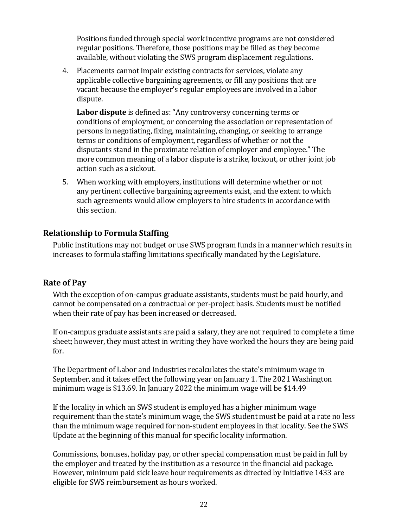Positions funded through special work incentive programs are not considered regular positions. Therefore, those positions may be filled as they become available, without violating the SWS program displacement regulations.

4. Placements cannot impair existing contracts for services, violate any applicable collective bargaining agreements, or fill any positions that are vacant because the employer's regular employees are involved in a labor dispute.

**Labor dispute** is defined as: "Any controversy concerning terms or conditions of employment, or concerning the association or representation of persons in negotiating, fixing, maintaining, changing, or seeking to arrange terms or conditions of employment, regardless of whether or not the disputants stand in the proximate relation of employer and employee." The more common meaning of a labor dispute is a strike, lockout, or other joint job action such as a sickout.

5. When working with employers, institutions will determine whether or not any pertinent collective bargaining agreements exist, and the extent to which such agreements would allow employers to hire students in accordance with this section.

### **Relationship to Formula Staffing**

Public institutions may not budget or use SWS program funds in a manner which results in increases to formula staffing limitations specifically mandated by the Legislature.

## **Rate of Pay**

With the exception of on-campus graduate assistants, students must be paid hourly, and cannot be compensated on a contractual or per-project basis. Students must be notified when their rate of pay has been increased or decreased.

If on-campus graduate assistants are paid a salary, they are not required to complete a time sheet; however, they must attest in writing they have worked the hours they are being paid for.

The Department of Labor and Industries recalculates the state's minimum wage in September, and it takes effect the following year on January 1. The 2021 Washington minimum wage is \$13.69. In January 2022 the minimum wage will be \$14.49

If the locality in which an SWS student is employed has a higher minimum wage requirement than the state's minimum wage, the SWS student must be paid at a rate no less than the minimum wage required for non-student employees in that locality. See the SWS Update at the beginning of this manual for specific locality information.

Commissions, bonuses, holiday pay, or other special compensation must be paid in full by the employer and treated by the institution as a resource in the financial aid package. However, minimum paid sick leave hour requirements as directed by Initiative 1433 are eligible for SWS reimbursement as hours worked.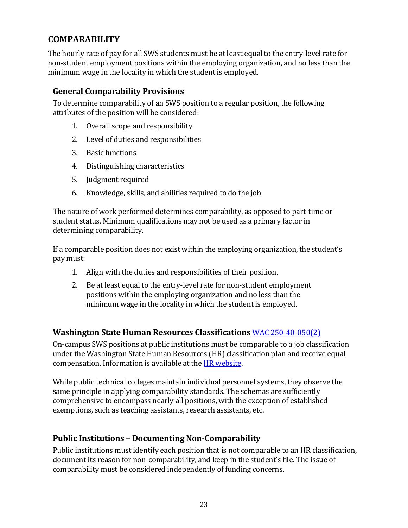# **COMPARABILITY**

The hourly rate of pay for all SWS students must be at least equal to the entry-level rate for non-student employment positions within the employing organization, and no less than the minimum wage in the locality in which the student is employed.

## **General Comparability Provisions**

To determine comparability of an SWS position to a regular position, the following attributes of the position will be considered:

- 1. Overall scope and responsibility
- 2. Level of duties and responsibilities
- 3. Basic functions
- 4. Distinguishing characteristics
- 5. Judgment required
- 6. Knowledge, skills, and abilities required to do the job

The nature of work performed determines comparability, as opposed to part-time or student status. Minimum qualifications may not be used as a primary factor in determining comparability.

If a comparable position does not exist within the employing organization, the student's pay must:

- 1. Align with the duties and responsibilities of their position.
- 2. Be at least equal to the entry-level rate for non-student employment positions within the employing organization and no less than the minimum wage in the locality in which the student is employed.

### **Washington State Human Resources Classifications** [WAC 250-40-050\(2\)](http://apps.leg.wa.gov/wac/default.aspx?cite=250-40-050)

On-campus SWS positions at public institutions must be comparable to a job classification under the Washington State Human Resources (HR) classification plan and receive equal compensation. Information is available at th[e HR website.](http://hr.wa.gov/Pages/default.aspx) 

While public technical colleges maintain individual personnel systems, they observe the same principle in applying comparability standards. The schemas are sufficiently comprehensive to encompass nearly all positions, with the exception of established exemptions, such as teaching assistants, research assistants, etc.

## **Public Institutions – Documenting Non-Comparability**

Public institutions must identify each position that is not comparable to an HR classification, document its reason for non-comparability, and keep in the student's file. The issue of comparability must be considered independently of funding concerns.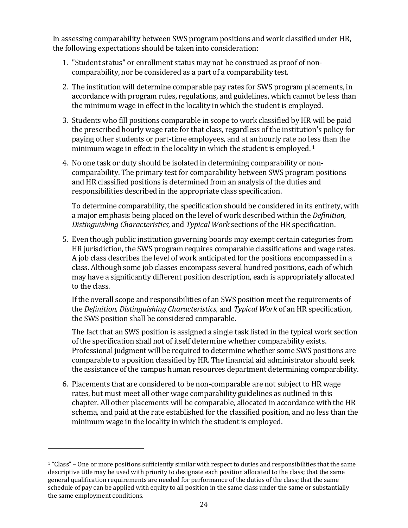In assessing comparability between SWS program positions and work classified under HR, the following expectations should be taken into consideration:

- 1. "Student status" or enrollment status may not be construed as proof of noncomparability, nor be considered as a part of a comparability test.
- 2. The institution will determine comparable pay rates for SWS program placements, in accordance with program rules, regulations, and guidelines, which cannot be less than the minimum wage in effect in the locality in which the student is employed.
- 3. Students who fill positions comparable in scope to work classified by HR will be paid the prescribed hourly wage rate for that class, regardless of the institution's policy for paying other students or part-time employees, and at an hourly rate no less than the minimum wage in effect in the locality in which the student is employed.<sup>[1](#page-37-0)</sup>
- 4. No one task or duty should be isolated in determining comparability or noncomparability. The primary test for comparability between SWS program positions and HR classified positions is determined from an analysis of the duties and responsibilities described in the appropriate class specification.

To determine comparability, the specification should be considered in its entirety, with a major emphasis being placed on the level of work described within the *Definition, Distinguishing Characteristics,* and *Typical Work* sections of the HR specification.

5. Even though public institution governing boards may exempt certain categories from HR jurisdiction, the SWS program requires comparable classifications and wage rates. A job class describes the level of work anticipated for the positions encompassed in a class. Although some job classes encompass several hundred positions, each of which may have a significantly different position description, each is appropriately allocated to the class.

If the overall scope and responsibilities of an SWS position meet the requirements of the *Definition, Distinguishing Characteristics,* and *Typical Work* of an HR specification, the SWS position shall be considered comparable.

The fact that an SWS position is assigned a single task listed in the typical work section of the specification shall not of itself determine whether comparability exists. Professional judgment will be required to determine whether some SWS positions are comparable to a position classified by HR. The financial aid administrator should seek the assistance of the campus human resources department determining comparability.

6. Placements that are considered to be non-comparable are not subject to HR wage rates, but must meet all other wage comparability guidelines as outlined in this chapter. All other placements will be comparable, allocated in accordance with the HR schema, and paid at the rate established for the classified position, and no less than the minimum wage in the locality in which the student is employed.

<span id="page-37-0"></span><sup>1</sup> "Class" – One or more positions sufficiently similar with respect to duties and responsibilities that the same descriptive title may be used with priority to designate each position allocated to the class; that the same general qualification requirements are needed for performance of the duties of the class; that the same schedule of pay can be applied with equity to all position in the same class under the same or substantially the same employment conditions.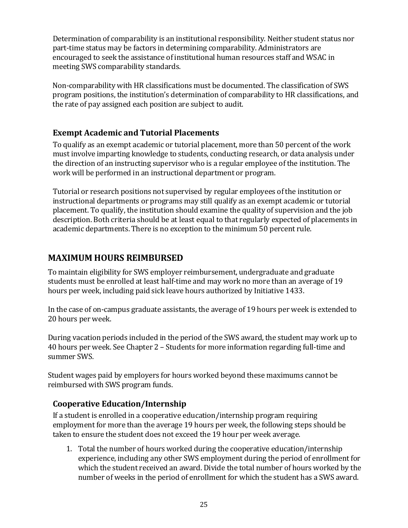Determination of comparability is an institutional responsibility. Neither student status nor part-time status may be factors in determining comparability. Administrators are encouraged to seek the assistance of institutional human resources staff and WSAC in meeting SWS comparability standards.

Non-comparability with HR classifications must be documented. The classification of SWS program positions, the institution's determination of comparability to HR classifications, and the rate of pay assigned each position are subject to audit.

## **Exempt Academic and Tutorial Placements**

To qualify as an exempt academic or tutorial placement, more than 50 percent of the work must involve imparting knowledge to students, conducting research, or data analysis under the direction of an instructing supervisor who is a regular employee of the institution. The work will be performed in an instructional department or program.

Tutorial or research positions not supervised by regular employees of the institution or instructional departments or programs may still qualify as an exempt academic or tutorial placement. To qualify, the institution should examine the quality of supervision and the job description. Both criteria should be at least equal to that regularly expected of placements in academic departments. There is no exception to the minimum 50 percent rule.

# **MAXIMUM HOURS REIMBURSED**

To maintain eligibility for SWS employer reimbursement, undergraduate and graduate students must be enrolled at least half-time and may work no more than an average of 19 hours per week, including paid sick leave hours authorized by Initiative 1433.

In the case of on-campus graduate assistants, the average of 19 hours per week is extended to 20 hours per week.

During vacation periods included in the period of the SWS award, the student may work up to 40 hours per week. See Chapter 2 – Students for more information regarding full-time and summer SWS.

Student wages paid by employers for hours worked beyond these maximums cannot be reimbursed with SWS program funds.

## **Cooperative Education/Internship**

If a student is enrolled in a cooperative education/internship program requiring employment for more than the average 19 hours per week, the following steps should be taken to ensure the student does not exceed the 19 hour per week average.

1. Total the number of hours worked during the cooperative education/internship experience, including any other SWS employment during the period of enrollment for which the student received an award. Divide the total number of hours worked by the number of weeks in the period of enrollment for which the student has a SWS award.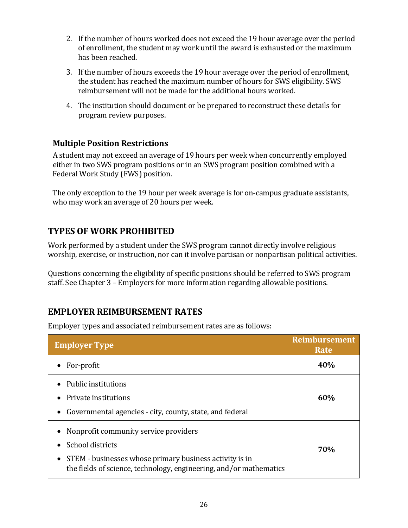- 2. If the number of hours worked does not exceed the 19 hour average over the period of enrollment, the student may work until the award is exhausted or the maximum has been reached.
- 3. If the number of hours exceeds the 19 hour average over the period of enrollment, the student has reached the maximum number of hours for SWS eligibility. SWS reimbursement will not be made for the additional hours worked.
- 4. The institution should document or be prepared to reconstruct these details for program review purposes.

## **Multiple Position Restrictions**

A student may not exceed an average of 19 hours per week when concurrently employed either in two SWS program positions or in an SWS program position combined with a Federal Work Study (FWS) position.

The only exception to the 19 hour per week average is for on-campus graduate assistants, who may work an average of 20 hours per week.

# **TYPES OF WORK PROHIBITED**

Work performed by a student under the SWS program cannot directly involve religious worship, exercise, or instruction, nor can it involve partisan or nonpartisan political activities.

Questions concerning the eligibility of specific positions should be referred to SWS program staff. See Chapter 3 – Employers for more information regarding allowable positions.

# **EMPLOYER REIMBURSEMENT RATES**

Employer types and associated reimbursement rates are as follows:

| <b>Employer Type</b>                                                                                                                                                                                         | <b>Reimbursement</b><br>Rate |
|--------------------------------------------------------------------------------------------------------------------------------------------------------------------------------------------------------------|------------------------------|
| For-profit                                                                                                                                                                                                   | 40%                          |
| Public institutions<br>Private institutions<br>Governmental agencies - city, county, state, and federal<br>$\bullet$                                                                                         | 60%                          |
| Nonprofit community service providers<br>٠<br>School districts<br>STEM - businesses whose primary business activity is in<br>$\bullet$<br>the fields of science, technology, engineering, and/or mathematics | <b>70%</b>                   |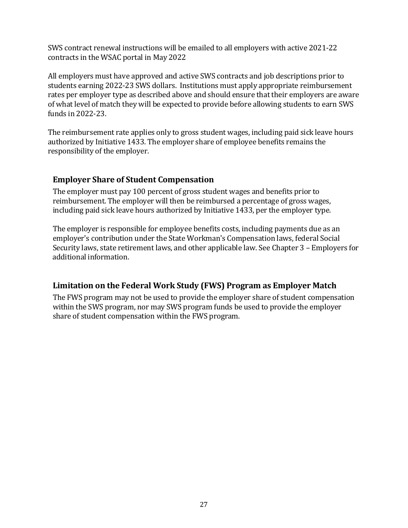SWS contract renewal instructions will be emailed to all employers with active 2021-22 contracts in the WSAC portal in May 2022

All employers must have approved and active SWS contracts and job descriptions prior to students earning 2022-23 SWS dollars. Institutions must apply appropriate reimbursement rates per employer type as described above and should ensure that their employers are aware of what level of match they will be expected to provide before allowing students to earn SWS funds in 2022-23.

The reimbursement rate applies only to gross student wages, including paid sick leave hours authorized by Initiative 1433. The employer share of employee benefits remains the responsibility of the employer.

### **Employer Share of Student Compensation**

The employer must pay 100 percent of gross student wages and benefits prior to reimbursement. The employer will then be reimbursed a percentage of gross wages, including paid sick leave hours authorized by Initiative 1433, per the employer type.

The employer is responsible for employee benefits costs, including payments due as an employer's contribution under the State Workman's Compensation laws, federal Social Security laws, state retirement laws, and other applicable law. See Chapter 3 – Employers for additional information.

## **Limitation on the Federal Work Study (FWS) Program as Employer Match**

The FWS program may not be used to provide the employer share of student compensation within the SWS program, nor may SWS program funds be used to provide the employer share of student compensation within the FWS program.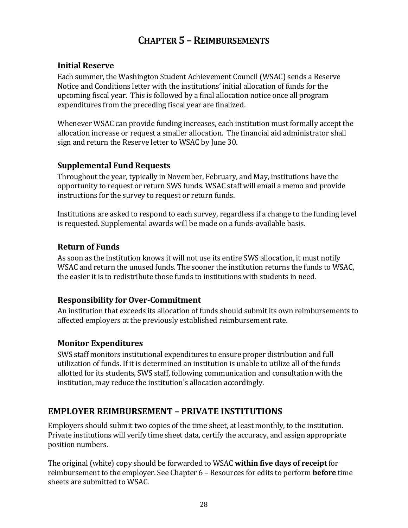# **CHAPTER 5 –REIMBURSEMENTS**

### **Initial Reserve**

Each summer, the Washington Student Achievement Council (WSAC) sends a Reserve Notice and Conditions letter with the institutions' initial allocation of funds for the upcoming fiscal year. This is followed by a final allocation notice once all program expenditures from the preceding fiscal year are finalized.

Whenever WSAC can provide funding increases, each institution must formally accept the allocation increase or request a smaller allocation. The financial aid administrator shall sign and return the Reserve letter to WSAC by June 30.

#### **Supplemental Fund Requests**

Throughout the year, typically in November, February, and May, institutions have the opportunity to request or return SWS funds. WSAC staff will email a memo and provide instructions for the survey to request or return funds.

Institutions are asked to respond to each survey, regardless if a change to the funding level is requested. Supplemental awards will be made on a funds-available basis.

### **Return of Funds**

As soon as the institution knows it will not use its entire SWS allocation, it must notify WSAC and return the unused funds. The sooner the institution returns the funds to WSAC, the easier it is to redistribute those funds to institutions with students in need.

### **Responsibility for Over-Commitment**

An institution that exceeds its allocation of funds should submit its own reimbursements to affected employers at the previously established reimbursement rate.

### **Monitor Expenditures**

SWS staff monitors institutional expenditures to ensure proper distribution and full utilization of funds. If it is determined an institution is unable to utilize all of the funds allotted for its students, SWS staff, following communication and consultation with the institution, may reduce the institution's allocation accordingly.

## **EMPLOYER REIMBURSEMENT – PRIVATE INSTITUTIONS**

Employers should submit two copies of the time sheet, at least monthly, to the institution. Private institutions will verify time sheet data, certify the accuracy, and assign appropriate position numbers.

The original (white) copy should be forwarded to WSAC **within five days of receipt**for reimbursement to the employer. See Chapter 6 – Resources for edits to perform **before** time sheets are submitted to WSAC.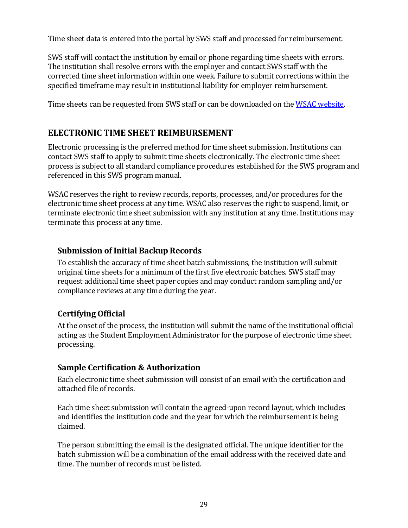Time sheet data is entered into the portal by SWS staff and processed for reimbursement.

SWS staff will contact the institution by email or phone regarding time sheets with errors. The institution shall resolve errors with the employer and contact SWS staff with the corrected time sheet information within one week. Failure to submit corrections within the specified timeframe may result in institutional liability for employer reimbursement.

Time sheets can be requested from SWS staff or can be downloaded on the [WSAC website.](http://wsac.wa.gov/sites/default/files/2017.SWS.Time.Sheet.with.Instructions.pdf)

## **ELECTRONIC TIME SHEET REIMBURSEMENT**

Electronic processing is the preferred method for time sheet submission. Institutions can contact SWS staff to apply to submit time sheets electronically. The electronic time sheet process is subject to all standard compliance procedures established for the SWS program and referenced in this SWS program manual.

WSAC reserves the right to review records, reports, processes, and/or procedures for the electronic time sheet process at any time. WSAC also reserves the right to suspend, limit, or terminate electronic time sheet submission with any institution at any time. Institutions may terminate this process at any time.

### **Submission of Initial Backup Records**

To establish the accuracy of time sheet batch submissions, the institution will submit original time sheets for a minimum of the first five electronic batches. SWS staff may request additional time sheet paper copies and may conduct random sampling and/or compliance reviews at any time during the year.

## **Certifying Official**

At the onset of the process, the institution will submit the name of the institutional official acting as the Student Employment Administrator for the purpose of electronic time sheet processing.

## **Sample Certification & Authorization**

Each electronic time sheet submission will consist of an email with the certification and attached file of records.

Each time sheet submission will contain the agreed-upon record layout, which includes and identifies the institution code and the year for which the reimbursement is being claimed.

The person submitting the email is the designated official. The unique identifier for the batch submission will be a combination of the email address with the received date and time. The number of records must be listed.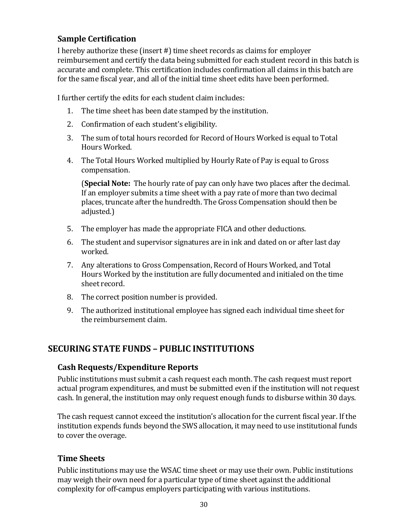## **Sample Certification**

I hereby authorize these (insert #) time sheet records as claims for employer reimbursement and certify the data being submitted for each student record in this batch is accurate and complete. This certification includes confirmation all claims in this batch are for the same fiscal year, and all of the initial time sheet edits have been performed.

I further certify the edits for each student claim includes:

- 1. The time sheet has been date stamped by the institution.
- 2. Confirmation of each student's eligibility.
- 3. The sum of total hours recorded for Record of Hours Worked is equal to Total Hours Worked.
- 4. The Total Hours Worked multiplied by Hourly Rate of Pay is equal to Gross compensation.

(**Special Note:** The hourly rate of pay can only have two places after the decimal. If an employer submits a time sheet with a pay rate of more than two decimal places, truncate after the hundredth. The Gross Compensation should then be adjusted.)

- 5. The employer has made the appropriate FICA and other deductions.
- 6. The student and supervisor signatures are in ink and dated on or after last day worked.
- 7. Any alterations to Gross Compensation, Record of Hours Worked, and Total Hours Worked by the institution are fully documented and initialed on the time sheet record.
- 8. The correct position number is provided.
- 9. The authorized institutional employee has signed each individual time sheet for the reimbursement claim.

## **SECURING STATE FUNDS – PUBLIC INSTITUTIONS**

### **Cash Requests/Expenditure Reports**

Public institutions must submit a cash request each month. The cash request must report actual program expenditures, and must be submitted even if the institution will not request cash. In general, the institution may only request enough funds to disburse within 30 days.

The cash request cannot exceed the institution's allocation for the current fiscal year. If the institution expends funds beyond the SWS allocation, it may need to use institutional funds to cover the overage.

### **Time Sheets**

Public institutions may use the WSAC time sheet or may use their own. Public institutions may weigh their own need for a particular type of time sheet against the additional complexity for off-campus employers participating with various institutions.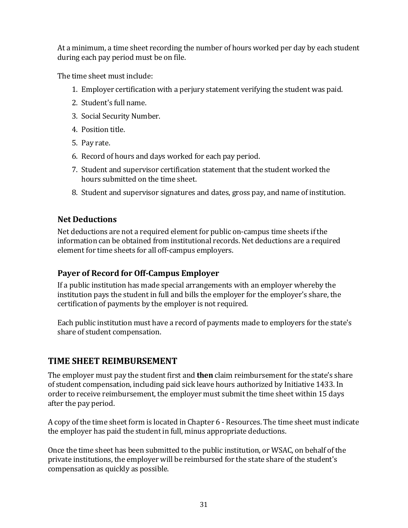At a minimum, a time sheet recording the number of hours worked per day by each student during each pay period must be on file.

The time sheet must include:

- 1. Employer certification with a perjury statement verifying the student was paid.
- 2. Student's full name.
- 3. Social Security Number.
- 4. Position title.
- 5. Pay rate.
- 6. Record of hours and days worked for each pay period.
- 7. Student and supervisor certification statement that the student worked the hours submitted on the time sheet.
- 8. Student and supervisor signatures and dates, gross pay, and name of institution.

## **Net Deductions**

Net deductions are not a required element for public on-campus time sheets if the information can be obtained from institutional records. Net deductions are a required element for time sheets for all off-campus employers.

## **Payer of Record for Off-Campus Employer**

If a public institution has made special arrangements with an employer whereby the institution pays the student in full and bills the employer for the employer's share, the certification of payments by the employer is not required.

Each public institution must have a record of payments made to employers for the state's share of student compensation.

# **TIME SHEET REIMBURSEMENT**

The employer must pay the student first and **then** claim reimbursement for the state's share of student compensation, including paid sick leave hours authorized by Initiative 1433. In order to receive reimbursement, the employer must submit the time sheet within 15 days after the pay period.

A copy of the time sheet form is located in Chapter 6 - Resources. The time sheet must indicate the employer has paid the student in full, minus appropriate deductions.

Once the time sheet has been submitted to the public institution, or WSAC, on behalf of the private institutions, the employer will be reimbursed for the state share of the student's compensation as quickly as possible.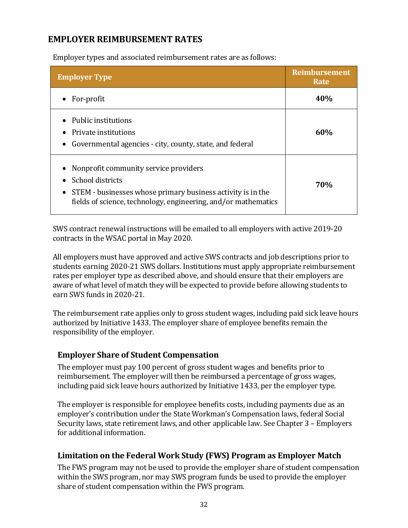## **EMPLOYER REIMBURSEMENT RATES**

Employer types and associated reimbursement rates are as follows:

| <b>Employer Type</b>                                                                                                                                                                                    | <b>Reimbursement</b><br>Rate |
|---------------------------------------------------------------------------------------------------------------------------------------------------------------------------------------------------------|------------------------------|
| $\bullet$ For-profit                                                                                                                                                                                    | 40%                          |
| • Public institutions<br>• Private institutions<br>• Governmental agencies - city, county, state, and federal                                                                                           | 60%                          |
| Nonprofit community service providers<br>School districts<br>STEM - businesses whose primary business activity is in the<br>$\bullet$<br>fields of science, technology, engineering, and/or mathematics | <b>70%</b>                   |

SWS contract renewal instructions will be emailed to all employers with active 2019-20 contracts in the WSAC portal in May 2020.

All employers must have approved and active SWS contracts and job descriptions prior to students earning 2020-21 SWS dollars. Institutions must apply appropriate reimbursement rates per employer type as described above, and should ensure that their employers are aware of what level of match they will be expected to provide before allowing students to earn SWS funds in 2020-21.

The reimbursement rate applies only to gross student wages, including paid sick leave hours authorized by Initiative 1433. The employer share of employee benefits remain the responsibility of the employer.

### **Employer Share of Student Compensation**

The employer must pay 100 percent of gross student wages and benefits prior to reimbursement. The employer will then be reimbursed a percentage of gross wages, including paid sick leave hours authorized by Initiative 1433, per the employer type.

The employer is responsible for employee benefits costs, including payments due as an employer's contribution under the State Workman's Compensation laws, federal Social Security laws, state retirement laws, and other applicable law. See Chapter 3 – Employers for additional information.

## **Limitation on the Federal Work Study (FWS) Program as Employer Match**

The FWS program may not be used to provide the employer share of student compensation within the SWS program, nor may SWS program funds be used to provide the employer share of student compensation within the FWS program.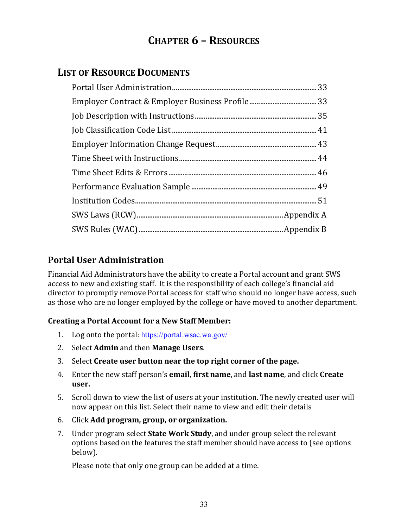# **CHAPTER 6 – RESOURCES**

# **LIST OF RESOURCE DOCUMENTS**

# **Portal User Administration**

Financial Aid Administrators have the ability to create a Portal account and grant SWS access to new and existing staff. It is the responsibility of each college's financial aid director to promptly remove Portal access for staff who should no longer have access, such as those who are no longer employed by the college or have moved to another department.

### **Creating a Portal Account for a New Staff Member:**

- 1. Log onto the portal: <https://portal.wsac.wa.gov/>
- 2. Select **Admin** and then **Manage Users**.
- 3. Select **Create user button near the top right corner of the page.**
- 4. Enter the new staff person's **email**, **first name**, and **last name**, and click **Create user.**
- 5. Scroll down to view the list of users at your institution. The newly created user will now appear on this list. Select their name to view and edit their details
- 6. Click **Add program, group, or organization.**
- 7. Under program select **State Work Study**, and under group select the relevant options based on the features the staff member should have access to (see options below).

Please note that only one group can be added at a time.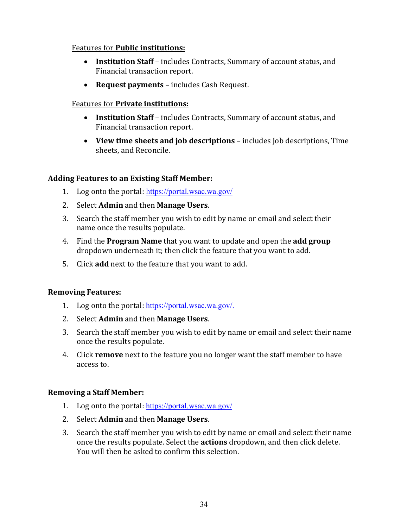#### Features for **Public institutions:**

- **Institution Staff** includes Contracts, Summary of account status, and Financial transaction report.
- **Request payments** includes Cash Request.

#### Features for **Private institutions:**

- **Institution Staff** includes Contracts, Summary of account status, and Financial transaction report.
- **View time sheets and job descriptions** includes Job descriptions, Time sheets, and Reconcile.

#### **Adding Features to an Existing Staff Member:**

- 1. Log onto the portal: <https://portal.wsac.wa.gov/>
- 2. Select **Admin** and then **Manage Users**.
- 3. Search the staff member you wish to edit by name or email and select their name once the results populate.
- 4. Find the **Program Name** that you want to update and open the **add group**  dropdown underneath it; then click the feature that you want to add.
- 5. Click **add** next to the feature that you want to add.

#### **Removing Features:**

- 1. Log onto the portal: [https://portal.wsac.wa.gov/.](https://portal.wsac.wa.gov/)
- 2. Select **Admin** and then **Manage Users**.
- 3. Search the staff member you wish to edit by name or email and select their name once the results populate.
- 4. Click **remove** next to the feature you no longer want the staff member to have access to.

#### **Removing a Staff Member:**

- 1. Log onto the portal: <https://portal.wsac.wa.gov/>
- 2. Select **Admin** and then **Manage Users**.
- 3. Search the staff member you wish to edit by name or email and select their name once the results populate. Select the **actions** dropdown, and then click delete. You will then be asked to confirm this selection.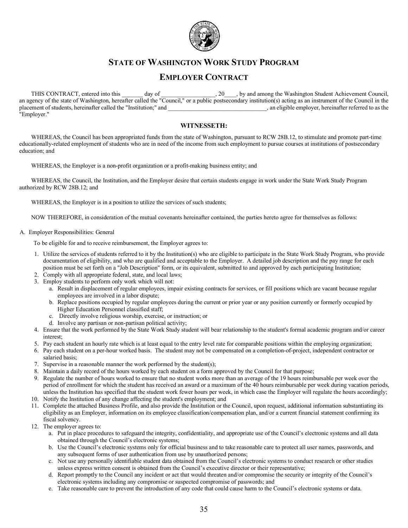

### **STATE OF WASHINGTON WORK STUDY PROGRAM**

#### **EMPLOYER CONTRACT**

THIS CONTRACT, entered into this \_\_\_\_\_\_ day of \_\_\_\_\_\_\_\_\_\_\_\_\_\_\_\_, 20\_\_\_\_, by and among the Washington Student Achievement Council, an agency of the state of Washington, hereafter called the "Council," or a public postsecondary institution(s) acting as an instrument of the Council in the placement of students, hereinafter called the "Institution;" and placement of students, hereinafter called the "Institution;" and "Employer."

#### **WITNESSETH:**

WHEREAS, the Council has been appropriated funds from the state of Washington, pursuant to RCW 28B.12, to stimulate and promote part-time educationally-related employment of students who are in need of the income from such employment to pursue courses at institutions of postsecondary education; and

WHEREAS, the Employer is a non-profit organization or a profit-making business entity; and

WHEREAS, the Council, the Institution, and the Employer desire that certain students engage in work under the State Work Study Program authorized by RCW 28B.12; and

WHEREAS, the Employer is in a position to utilize the services of such students;

NOW THEREFORE, in consideration of the mutual covenants hereinafter contained, the parties hereto agree for themselves as follows:

A. Employer Responsibilities: General

To be eligible for and to receive reimbursement, the Employer agrees to:

- 1. Utilize the services of students referred to it by the Institution(s) who are eligible to participate in the State Work Study Program, who provide documentation of eligibility, and who are qualified and acceptable to the Employer. A detailed job description and the pay range for each position must be set forth on a "Job Description" form, or its equivalent, submitted to and approved by each participating Institution;
- 2. Comply with all appropriate federal, state, and local laws;
- 3. Employ students to perform only work which will not:
	- a. Result in displacement of regular employees, impair existing contracts for services, or fill positions which are vacant because regular employees are involved in a labor dispute;
	- b. Replace positions occupied by regular employees during the current or prior year or any position currently or formerly occupied by Higher Education Personnel classified staff;
	- c. Directly involve religious worship, exercise, or instruction; or
	- d. Involve any partisan or non-partisan political activity;
- 4. Ensure that the work performed by the State Work Study student will bear relationship to the student's formal academic program and/or career interest;
- 5. Pay each student an hourly rate which is at least equal to the entry level rate for comparable positions within the employing organization;
- 6. Pay each student on a per-hour worked basis. The student may not be compensated on a completion-of-project, independent contractor or salaried basis;
- 7. Supervise in a reasonable manner the work performed by the student(s);
- 8. Maintain a daily record of the hours worked by each student on a form approved by the Council for that purpose;
- 9. Regulate the number of hours worked to ensure that no student works more than an average of the 19 hours reimbursable per week over the period of enrollment for which the student has received an award or a maximum of the 40 hours reimbursable per week during vacation periods, unless the Institution has specified that the student work fewer hours per week, in which case the Employer will regulate the hours accordingly;
- 10. Notify the Institution of any change affecting the student's employment; and
- 11. Complete the attached Business Profile, and also provide the Institution or the Council, upon request, additional information substantiating its eligibility as an Employer, information on its employee classification/compensation plan, and/or a current financial statement confirming its fiscal solvency.
- 12. The employer agrees to:
	- a. Put in place procedures to safeguard the integrity, confidentiality, and appropriate use of the Council's electronic systems and all data obtained through the Council's electronic systems;
	- b. Use the Council's electronic systems only for official business and to take reasonable care to protect all user names, passwords, and any subsequent forms of user authentication from use by unauthorized persons;
	- c. Not use any personally identifiable student data obtained from the Council's electronic systems to conduct research or other studies unless express written consent is obtained from the Council's executive director or their representative;
	- d. Report promptly to the Council any incident or act that would threaten and/or compromise the security or integrity of the Council's electronic systems including any compromise or suspected compromise of passwords; and
	- e. Take reasonable care to prevent the introduction of any code that could cause harm to the Council's electronic systems or data.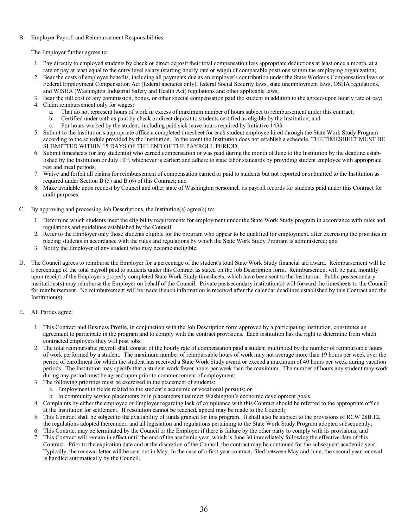#### B. Employer Payroll and Reimbursement Responsibilities:

The Employer further agrees to:

- 1. Pay directly to employed students by check or direct deposit their total compensation less appropriate deductions at least once a month, at a rate of pay at least equal to the entry level salary (starting hourly rate or wage) of comparable positions within the employing organization;
- 2. Bear the costs of employee benefits, including all payments due as an employer's contribution under the State Worker's Compensation laws or Federal Employment Compensation Act (federal agencies only), federal Social Security laws, state unemployment laws, OSHA regulations, and WISHA (Washington Industrial Safety and Health Act) regulations and other applicable laws;
- 3. Bear the full cost of any commission, bonus, or other special compensation paid the student in addition to the agreed-upon hourly rate of pay;
- 4. Claim reimbursement only for wages:
	- a. That do not represent hours of work in excess of maximum number of hours subject to reimbursement under this contract;
	- b. Certified under oath as paid by check or direct deposit to students certified as eligible by the Institution; and
	- c. For hours worked by the student, including paid sick leave hours required by Initiative 1433.
- 5. Submit to the Institution's appropriate office a completed timesheet for each student employee hired through the State Work Study Program according to the schedule provided by the Institution. In the event the Institution does not establish a schedule, THE TIMESHEET MUST BE SUBMITTED WITHIN 15 DAYS OF THE END OF THE PAYROLL PERIOD;
- 6. Submit timesheets for any student(s) who earned compensation or was paid during the month of June to the Institution by the deadline established by the Institution or July 10<sup>th</sup>, whichever is earlier; and adhere to state labor standards by providing student employee with appropriate rest and meal periods;
- 7. Waive and forfeit all claims for reimbursement of compensation earned or paid to students but not reported or submitted to the Institution as required under Section B (5) and B (6) of this Contract; and
- 8. Make available upon request by Council and other state of Washington personnel, its payroll records for students paid under this Contract for audit purposes.
- C. By approving and processing Job Descriptions, the Institution(s) agree(s) to:
	- 1. Determine which students meet the eligibility requirements for employment under the State Work Study program in accordance with rules and regulations and guidelines established by the Council;
	- 2. Refer to the Employer only those students eligible for the program who appear to be qualified for employment, after exercising the priorities in placing students in accordance with the rules and regulations by which the State Work Study Program is administered; and
	- 3. Notify the Employer of any student who may become ineligible.
- D. The Council agrees to reimburse the Employer for a percentage of the student's total State Work Study financial aid award. Reimbursement will be a percentage of the total payroll paid to students under this Contract as stated on the Job Description form. Reimbursement will be paid monthly upon receipt of the Employer's properly completed State Work Study timesheets, which have been sent to the Institution. Public postsecondary institutions(s) may reimburse the Employer on behalf of the Council. Private postsecondary institution(s) will forward the timesheets to the Council for reimbursement. No reimbursement will be made if such information is received after the calendar deadlines established by this Contract and the Institution(s).
- E. All Parties agree:
	- 1. This Contract and Business Profile, in conjunction with the Job Description form approved by a participating institution, constitutes an agreement to participate in the program and to comply with the contract provisions. Each institution has the right to determine from which contracted employers they will post jobs;
	- 2. The total reimbursable payroll shall consist of the hourly rate of compensation paid a student multiplied by the number of reimbursable hours of work performed by a student. The maximum number of reimbursable hours of work may not average more than 19 hours per week over the period of enrollment for which the student has received a State Work Study award or exceed a maximum of 40 hours per week during vacation periods. The Institution may specify that a student work fewer hours per week than the maximum. The number of hours any student may work during any period must be agreed upon prior to commencement of employment;
	- 3. The following priorities must be exercised in the placement of students:
		- a. Employment in fields related to the student's academic or vocational pursuits; or
		- b. In community service placements or in placements that meet Washington's economic development goals.
	- 4. Complaints by either the employee or Employer regarding lack of compliance with this Contract should be referred to the appropriate office at the Institution for settlement. If resolution cannot be reached, appeal may be made to the Council;
	- 5. This Contract shall be subject to the availability of funds granted for this program. It shall also be subject to the provisions of RCW 28B.12, the regulations adopted thereunder, and all legislation and regulations pertaining to the State Work Study Program adopted subsequently;
	- 6. This Contract may be terminated by the Council or the Employer if there is failure by the other party to comply with its provisions; and 7. This Contract will remain in effect until the end of the academic year, which is June 30 immediately following the effective date of this Contract. Prior to the expiration date and at the discretion of the Council, the contract may be continued for the subsequent academic year. Typically, the renewal letter will be sent out in May. In the case of a first year contract, filed between May and June, the second year renewal is handled automatically by the Council.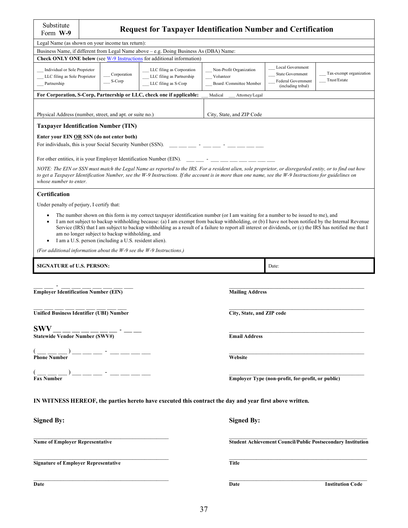| Substitute<br>Form W-9                                                                                                                                                                   |  | <b>Request for Taxpayer Identification Number and Certification</b>                                      |                                                                                                                                                                                                                                                                                                                                                                                                                                                    |                                                                 |                                                            |                                                                     |  |
|------------------------------------------------------------------------------------------------------------------------------------------------------------------------------------------|--|----------------------------------------------------------------------------------------------------------|----------------------------------------------------------------------------------------------------------------------------------------------------------------------------------------------------------------------------------------------------------------------------------------------------------------------------------------------------------------------------------------------------------------------------------------------------|-----------------------------------------------------------------|------------------------------------------------------------|---------------------------------------------------------------------|--|
| Legal Name (as shown on your income tax return):                                                                                                                                         |  |                                                                                                          |                                                                                                                                                                                                                                                                                                                                                                                                                                                    |                                                                 |                                                            |                                                                     |  |
|                                                                                                                                                                                          |  |                                                                                                          | Business Name, if different from Legal Name above - e.g. Doing Business As (DBA) Name:                                                                                                                                                                                                                                                                                                                                                             |                                                                 |                                                            |                                                                     |  |
|                                                                                                                                                                                          |  |                                                                                                          | <b>Check ONLY ONE below</b> (see W-9 Instructions for additional information)                                                                                                                                                                                                                                                                                                                                                                      |                                                                 |                                                            |                                                                     |  |
| Individual or Sole Proprietor<br>LLC filing as Corporation<br>Corporation<br>LLC filing as Sole Proprietor<br>LLC filing as Partnership<br>S-Corp<br>Partnership<br>LLC filing as S-Corp |  |                                                                                                          |                                                                                                                                                                                                                                                                                                                                                                                                                                                    | Non-Profit Organization<br>Volunteer<br>Board /Committee Member | Local Government<br>State Government<br>Federal Government | Tax-exempt organization<br>Trust/Estate                             |  |
|                                                                                                                                                                                          |  |                                                                                                          | For Corporation, S-Corp, Partnership or LLC, check one if applicable:                                                                                                                                                                                                                                                                                                                                                                              | Medical<br>Attorney/Legal                                       | (including tribal)                                         |                                                                     |  |
|                                                                                                                                                                                          |  |                                                                                                          |                                                                                                                                                                                                                                                                                                                                                                                                                                                    |                                                                 |                                                            |                                                                     |  |
| Physical Address (number, street, and apt. or suite no.)                                                                                                                                 |  |                                                                                                          |                                                                                                                                                                                                                                                                                                                                                                                                                                                    | City, State, and ZIP Code                                       |                                                            |                                                                     |  |
| <b>Taxpayer Identification Number (TIN)</b>                                                                                                                                              |  |                                                                                                          |                                                                                                                                                                                                                                                                                                                                                                                                                                                    |                                                                 |                                                            |                                                                     |  |
| Enter your EIN OR SSN (do not enter both)                                                                                                                                                |  |                                                                                                          |                                                                                                                                                                                                                                                                                                                                                                                                                                                    |                                                                 |                                                            |                                                                     |  |
| For individuals, this is your Social Security Number (SSN).                                                                                                                              |  |                                                                                                          |                                                                                                                                                                                                                                                                                                                                                                                                                                                    |                                                                 |                                                            |                                                                     |  |
| For other entities, it is your Employer Identification Number (EIN).                                                                                                                     |  |                                                                                                          |                                                                                                                                                                                                                                                                                                                                                                                                                                                    |                                                                 |                                                            |                                                                     |  |
|                                                                                                                                                                                          |  |                                                                                                          | NOTE: The EIN or SSN must match the Legal Name as reported to the IRS. For a resident alien, sole proprietor, or disregarded entity, or to find out how                                                                                                                                                                                                                                                                                            |                                                                 |                                                            |                                                                     |  |
| whose number to enter.                                                                                                                                                                   |  |                                                                                                          | to get a Taxpayer Identification Number, see the W-9 Instructions. If the account is in more than one name, see the W-9 Instructions for guidelines on                                                                                                                                                                                                                                                                                             |                                                                 |                                                            |                                                                     |  |
| <b>Certification</b>                                                                                                                                                                     |  |                                                                                                          |                                                                                                                                                                                                                                                                                                                                                                                                                                                    |                                                                 |                                                            |                                                                     |  |
| Under penalty of perjury, I certify that:                                                                                                                                                |  |                                                                                                          |                                                                                                                                                                                                                                                                                                                                                                                                                                                    |                                                                 |                                                            |                                                                     |  |
| $\bullet$                                                                                                                                                                                |  | am no longer subject to backup withholding, and<br>I am a U.S. person (including a U.S. resident alien). | The number shown on this form is my correct taxpayer identification number (or I am waiting for a number to be issued to me), and<br>I am not subject to backup withholding because: (a) I am exempt from backup withholding, or (b) I have not been notified by the Internal Revenue<br>Service (IRS) that I am subject to backup withholding as a result of a failure to report all interest or dividends, or (c) the IRS has notified me that I |                                                                 |                                                            |                                                                     |  |
|                                                                                                                                                                                          |  |                                                                                                          | (For additional information about the W-9 see the W-9 Instructions.)                                                                                                                                                                                                                                                                                                                                                                               |                                                                 |                                                            |                                                                     |  |
|                                                                                                                                                                                          |  |                                                                                                          |                                                                                                                                                                                                                                                                                                                                                                                                                                                    |                                                                 |                                                            |                                                                     |  |
| <b>SIGNATURE of U.S. PERSON:</b>                                                                                                                                                         |  |                                                                                                          |                                                                                                                                                                                                                                                                                                                                                                                                                                                    |                                                                 | Date:                                                      |                                                                     |  |
|                                                                                                                                                                                          |  |                                                                                                          |                                                                                                                                                                                                                                                                                                                                                                                                                                                    |                                                                 |                                                            |                                                                     |  |
| <b>Employer Identification Number (EIN)</b>                                                                                                                                              |  |                                                                                                          |                                                                                                                                                                                                                                                                                                                                                                                                                                                    | <b>Mailing Address</b>                                          |                                                            |                                                                     |  |
| Unified Business Identifier (UBI) Number                                                                                                                                                 |  |                                                                                                          |                                                                                                                                                                                                                                                                                                                                                                                                                                                    | City, State, and ZIP code                                       |                                                            |                                                                     |  |
|                                                                                                                                                                                          |  |                                                                                                          |                                                                                                                                                                                                                                                                                                                                                                                                                                                    |                                                                 |                                                            |                                                                     |  |
| <b>SWV</b><br>$\frac{\text{SWV}}{\text{Statewide Vendor Number (SWV#)}}$                                                                                                                 |  |                                                                                                          |                                                                                                                                                                                                                                                                                                                                                                                                                                                    | <b>Email Address</b>                                            |                                                            |                                                                     |  |
|                                                                                                                                                                                          |  |                                                                                                          |                                                                                                                                                                                                                                                                                                                                                                                                                                                    | Website                                                         |                                                            |                                                                     |  |
|                                                                                                                                                                                          |  |                                                                                                          |                                                                                                                                                                                                                                                                                                                                                                                                                                                    |                                                                 |                                                            |                                                                     |  |
| $(\underbrace{\phantom{a}}_{\text{Fax Number}})$                                                                                                                                         |  |                                                                                                          |                                                                                                                                                                                                                                                                                                                                                                                                                                                    |                                                                 | Employer Type (non-profit, for-profit, or public)          |                                                                     |  |
|                                                                                                                                                                                          |  |                                                                                                          | IN WITNESS HEREOF, the parties hereto have executed this contract the day and year first above written.                                                                                                                                                                                                                                                                                                                                            |                                                                 |                                                            |                                                                     |  |
| <b>Signed By:</b>                                                                                                                                                                        |  |                                                                                                          |                                                                                                                                                                                                                                                                                                                                                                                                                                                    | <b>Signed By:</b>                                               |                                                            |                                                                     |  |
| <b>Name of Employer Representative</b>                                                                                                                                                   |  |                                                                                                          |                                                                                                                                                                                                                                                                                                                                                                                                                                                    |                                                                 |                                                            | <b>Student Achievement Council/Public Postsecondary Institution</b> |  |
| <b>Signature of Employer Representative</b>                                                                                                                                              |  |                                                                                                          |                                                                                                                                                                                                                                                                                                                                                                                                                                                    | <b>Title</b>                                                    |                                                            |                                                                     |  |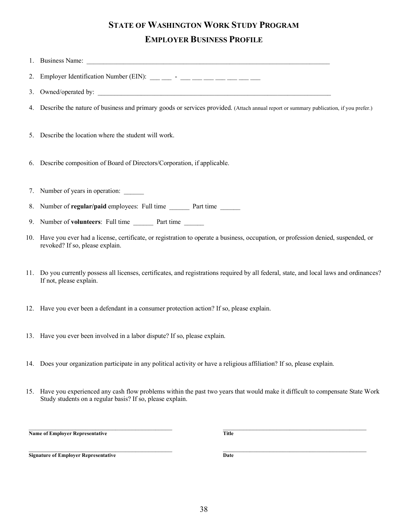# **STATE OF WASHINGTON WORK STUDY PROGRAM EMPLOYER BUSINESS PROFILE**

|    | 2. Employer Identification Number (EIN): $\frac{1}{\sqrt{2}}$ - $\frac{1}{\sqrt{2}}$ - $\frac{1}{\sqrt{2}}$ - $\frac{1}{\sqrt{2}}$                                      |
|----|-------------------------------------------------------------------------------------------------------------------------------------------------------------------------|
|    |                                                                                                                                                                         |
|    | 4. Describe the nature of business and primary goods or services provided. (Attach annual report or summary publication, if you prefer.)                                |
|    | 5. Describe the location where the student will work.                                                                                                                   |
|    | 6. Describe composition of Board of Directors/Corporation, if applicable.                                                                                               |
|    | 7. Number of years in operation:                                                                                                                                        |
| 8. | Number of regular/paid employees: Full time _______ Part time ______                                                                                                    |
|    | 9. Number of volunteers: Full time ________ Part time ______                                                                                                            |
|    | 10. Have you ever had a license, certificate, or registration to operate a business, occupation, or profession denied, suspended, or<br>revoked? If so, please explain. |
|    | 11. Do you currently possess all licenses, certificates, and registrations required by all federal, state, and local laws and ordinances?<br>If not, please explain.    |
|    | 12. Have you ever been a defendant in a consumer protection action? If so, please explain.                                                                              |
|    | 13. Have you ever been involved in a labor dispute? If so, please explain.                                                                                              |
|    | 14. Does your organization participate in any political activity or have a religious affiliation? If so, please explain.                                                |
|    | 15 Have you experienced any cash flow problems within the next two years that would make it difficult to compensate State Work                                          |

15. Have you experienced any cash flow problems within the past two years that would make it difficult to compensate State Work Study students on a regular basis? If so, please explain.

 $\overline{\phantom{a}}$  , and the contribution of the contribution of the contribution of the contribution of the contribution of the contribution of the contribution of the contribution of the contribution of the contribution of the **Name of Employer Representative Title**

**Signature of Employer Representative Date** 

 $\overline{\phantom{a}}$  , and the contribution of the contribution of the contribution of the contribution of the contribution of the contribution of the contribution of the contribution of the contribution of the contribution of the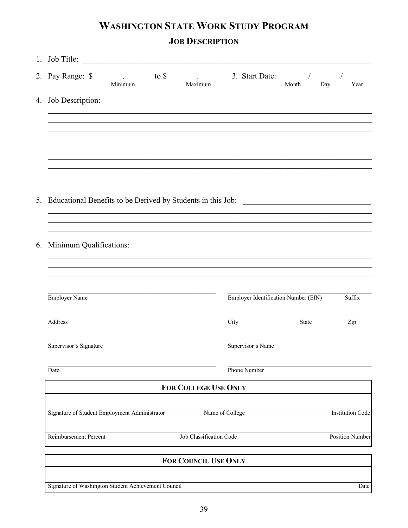# **WASHINGTON STATE WORK STUDY PROGRAM JOB DESCRIPTION**

| 1. Job Title:               |       |                                                                                                                                                                                                                                                                                                                                                                                                                                   |
|-----------------------------|-------|-----------------------------------------------------------------------------------------------------------------------------------------------------------------------------------------------------------------------------------------------------------------------------------------------------------------------------------------------------------------------------------------------------------------------------------|
|                             |       | Year                                                                                                                                                                                                                                                                                                                                                                                                                              |
|                             |       |                                                                                                                                                                                                                                                                                                                                                                                                                                   |
|                             |       |                                                                                                                                                                                                                                                                                                                                                                                                                                   |
|                             |       |                                                                                                                                                                                                                                                                                                                                                                                                                                   |
|                             |       |                                                                                                                                                                                                                                                                                                                                                                                                                                   |
|                             |       |                                                                                                                                                                                                                                                                                                                                                                                                                                   |
|                             |       |                                                                                                                                                                                                                                                                                                                                                                                                                                   |
|                             |       |                                                                                                                                                                                                                                                                                                                                                                                                                                   |
|                             |       |                                                                                                                                                                                                                                                                                                                                                                                                                                   |
|                             |       | Suffix                                                                                                                                                                                                                                                                                                                                                                                                                            |
| City                        | State | Zip                                                                                                                                                                                                                                                                                                                                                                                                                               |
|                             |       |                                                                                                                                                                                                                                                                                                                                                                                                                                   |
| Phone Number                |       |                                                                                                                                                                                                                                                                                                                                                                                                                                   |
| <b>FOR COLLEGE USE ONLY</b> |       |                                                                                                                                                                                                                                                                                                                                                                                                                                   |
| Name of College             |       | <b>Institution Code</b>                                                                                                                                                                                                                                                                                                                                                                                                           |
| Job Classification Code     |       | <b>Position Number</b>                                                                                                                                                                                                                                                                                                                                                                                                            |
| <b>FOR COUNCIL USE ONLY</b> |       |                                                                                                                                                                                                                                                                                                                                                                                                                                   |
|                             |       |                                                                                                                                                                                                                                                                                                                                                                                                                                   |
|                             |       | 2. Pay Range: $\frac{1}{\sqrt{2}}$ $\frac{1}{\sqrt{2}}$ $\frac{1}{\sqrt{2}}$ $\frac{1}{\sqrt{2}}$ $\frac{1}{\sqrt{2}}$ $\frac{1}{\sqrt{2}}$ $\frac{1}{\sqrt{2}}$ $\frac{1}{\sqrt{2}}$ $\frac{1}{\sqrt{2}}$ $\frac{1}{\sqrt{2}}$ $\frac{1}{\sqrt{2}}$ $\frac{1}{\sqrt{2}}$ $\frac{1}{\sqrt{2}}$ $\frac{1}{\sqrt{2}}$ $\frac{1}{\sqrt{2}}$ $\frac{1}{\sqrt{2}}$<br><b>Employer Identification Number (EIN)</b><br>Supervisor's Name |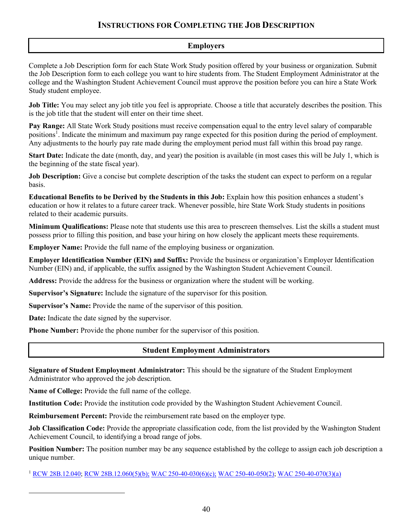#### **INSTRUCTIONS FOR COMPLETING THE JOB DESCRIPTION**

#### **Employers**

Complete a Job Description form for each State Work Study position offered by your business or organization. Submit the Job Description form to each college you want to hire students from. The Student Employment Administrator at the college and the Washington Student Achievement Council must approve the position before you can hire a State Work Study student employee.

**Job Title:** You may select any job title you feel is appropriate. Choose a title that accurately describes the position. This is the job title that the student will enter on their time sheet.

**Pay Range:** All State Work Study positions must receive compensation equal to the entry level salary of comparable positions<sup>[1](#page-53-0)</sup>. Indicate the minimum and maximum pay range expected for this position during the period of employment. Any adjustments to the hourly pay rate made during the employment period must fall within this broad pay range.

**Start Date:** Indicate the date (month, day, and year) the position is available (in most cases this will be July 1, which is the beginning of the state fiscal year).

**Job Description:** Give a concise but complete description of the tasks the student can expect to perform on a regular basis.

**Educational Benefits to be Derived by the Students in this Job:** Explain how this position enhances a student's education or how it relates to a future career track. Whenever possible, hire State Work Study students in positions related to their academic pursuits.

**Minimum Qualifications:** Please note that students use this area to prescreen themselves. List the skills a student must possess prior to filling this position, and base your hiring on how closely the applicant meets these requirements.

**Employer Name:** Provide the full name of the employing business or organization.

**Employer Identification Number (EIN) and Suffix:** Provide the business or organization's Employer Identification Number (EIN) and, if applicable, the suffix assigned by the Washington Student Achievement Council.

**Address:** Provide the address for the business or organization where the student will be working.

**Supervisor's Signature:** Include the signature of the supervisor for this position.

**Supervisor's Name:** Provide the name of the supervisor of this position.

**Date:** Indicate the date signed by the supervisor.

**Phone Number:** Provide the phone number for the supervisor of this position.

#### **Student Employment Administrators**

**Signature of Student Employment Administrator:** This should be the signature of the Student Employment Administrator who approved the job description.

**Name of College:** Provide the full name of the college.

**Institution Code:** Provide the institution code provided by the Washington Student Achievement Council.

**Reimbursement Percent:** Provide the reimbursement rate based on the employer type.

**Job Classification Code:** Provide the appropriate classification code, from the list provided by the Washington Student Achievement Council, to identifying a broad range of jobs.

**Position Number:** The position number may be any sequence established by the college to assign each job description a unique number.

<span id="page-53-0"></span><sup>1</sup> [RCW 28B.12.040;](http://apps.leg.wa.gov/rcw/default.aspx?cite=28B.12.040) [RCW 28B.12.060\(5\)\(b\);](http://apps.leg.wa.gov/rcw/default.aspx?cite=28B.12.060) [WAC 250-40-030\(6\)\(c\);](http://apps.leg.wa.gov/wac/default.aspx?cite=250-40-030) [WAC 250-40-050\(2\);](http://apps.leg.wa.gov/wac/default.aspx?cite=250-40-050) [WAC 250-40-070\(3\)\(a\)](http://apps.leg.wa.gov/WAC/default.aspx?cite=250-40-070)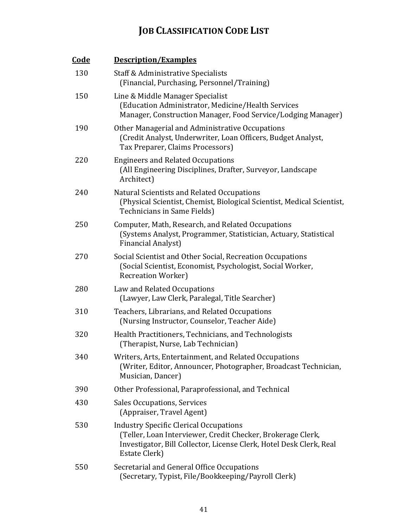# **JOB CLASSIFICATION CODE LIST**

| <u>Code</u> | <b>Description/Examples</b>                                                                                                                                                                          |
|-------------|------------------------------------------------------------------------------------------------------------------------------------------------------------------------------------------------------|
| 130         | Staff & Administrative Specialists<br>(Financial, Purchasing, Personnel/Training)                                                                                                                    |
| 150         | Line & Middle Manager Specialist<br>(Education Administrator, Medicine/Health Services<br>Manager, Construction Manager, Food Service/Lodging Manager)                                               |
| 190         | Other Managerial and Administrative Occupations<br>(Credit Analyst, Underwriter, Loan Officers, Budget Analyst,<br>Tax Preparer, Claims Processors)                                                  |
| 220         | <b>Engineers and Related Occupations</b><br>(All Engineering Disciplines, Drafter, Surveyor, Landscape<br>Architect)                                                                                 |
| 240         | Natural Scientists and Related Occupations<br>(Physical Scientist, Chemist, Biological Scientist, Medical Scientist,<br>Technicians in Same Fields)                                                  |
| 250         | Computer, Math, Research, and Related Occupations<br>(Systems Analyst, Programmer, Statistician, Actuary, Statistical<br><b>Financial Analyst)</b>                                                   |
| 270         | Social Scientist and Other Social, Recreation Occupations<br>(Social Scientist, Economist, Psychologist, Social Worker,<br><b>Recreation Worker</b> )                                                |
| 280         | Law and Related Occupations<br>(Lawyer, Law Clerk, Paralegal, Title Searcher)                                                                                                                        |
| 310         | Teachers, Librarians, and Related Occupations<br>(Nursing Instructor, Counselor, Teacher Aide)                                                                                                       |
| 320         | Health Practitioners, Technicians, and Technologists<br>(Therapist, Nurse, Lab Technician)                                                                                                           |
| 340         | Writers, Arts, Entertainment, and Related Occupations<br>(Writer, Editor, Announcer, Photographer, Broadcast Technician,<br>Musician, Dancer)                                                        |
| 390         | Other Professional, Paraprofessional, and Technical                                                                                                                                                  |
| 430         | <b>Sales Occupations, Services</b><br>(Appraiser, Travel Agent)                                                                                                                                      |
| 530         | <b>Industry Specific Clerical Occupations</b><br>(Teller, Loan Interviewer, Credit Checker, Brokerage Clerk,<br>Investigator, Bill Collector, License Clerk, Hotel Desk Clerk, Real<br>Estate Clerk) |
| 550         | Secretarial and General Office Occupations<br>(Secretary, Typist, File/Bookkeeping/Payroll Clerk)                                                                                                    |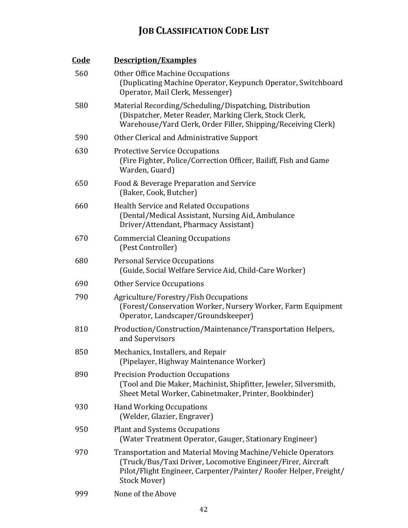# **JOB CLASSIFICATION CODE LIST**

| <u>Code</u> | <b>Description/Examples</b>                                                                                                                                                                                      |
|-------------|------------------------------------------------------------------------------------------------------------------------------------------------------------------------------------------------------------------|
| 560         | <b>Other Office Machine Occupations</b><br>(Duplicating Machine Operator, Keypunch Operator, Switchboard<br>Operator, Mail Clerk, Messenger)                                                                     |
| 580         | Material Recording/Scheduling/Dispatching, Distribution<br>(Dispatcher, Meter Reader, Marking Clerk, Stock Clerk,<br>Warehouse/Yard Clerk, Order Filler, Shipping/Receiving Clerk)                               |
| 590         | Other Clerical and Administrative Support                                                                                                                                                                        |
| 630         | <b>Protective Service Occupations</b><br>(Fire Fighter, Police/Correction Officer, Bailiff, Fish and Game<br>Warden, Guard)                                                                                      |
| 650         | Food & Beverage Preparation and Service<br>(Baker, Cook, Butcher)                                                                                                                                                |
| 660         | <b>Health Service and Related Occupations</b><br>(Dental/Medical Assistant, Nursing Aid, Ambulance<br>Driver/Attendant, Pharmacy Assistant)                                                                      |
| 670         | <b>Commercial Cleaning Occupations</b><br>(Pest Controller)                                                                                                                                                      |
| 680         | <b>Personal Service Occupations</b><br>(Guide, Social Welfare Service Aid, Child-Care Worker)                                                                                                                    |
| 690         | <b>Other Service Occupations</b>                                                                                                                                                                                 |
| 790         | Agriculture/Forestry/Fish Occupations<br>(Forest/Conservation Worker, Nursery Worker, Farm Equipment<br>Operator, Landscaper/Groundskeeper)                                                                      |
| 810         | Production/Construction/Maintenance/Transportation Helpers,<br>and Supervisors                                                                                                                                   |
| 850         | Mechanics, Installers, and Repair<br>(Pipelayer, Highway Maintenance Worker)                                                                                                                                     |
| 890         | <b>Precision Production Occupations</b><br>(Tool and Die Maker, Machinist, Shipfitter, Jeweler, Silversmith,<br>Sheet Metal Worker, Cabinetmaker, Printer, Bookbinder)                                           |
| 930         | <b>Hand Working Occupations</b><br>(Welder, Glazier, Engraver)                                                                                                                                                   |
| 950         | <b>Plant and Systems Occupations</b><br>(Water Treatment Operator, Gauger, Stationary Engineer)                                                                                                                  |
| 970         | Transportation and Material Moving Machine/Vehicle Operators<br>(Truck/Bus/Taxi Driver, Locomotive Engineer/Firer, Aircraft<br>Pilot/Flight Engineer, Carpenter/Painter/ Roofer Helper, Freight/<br>Stock Mover) |
| 999         | None of the Above                                                                                                                                                                                                |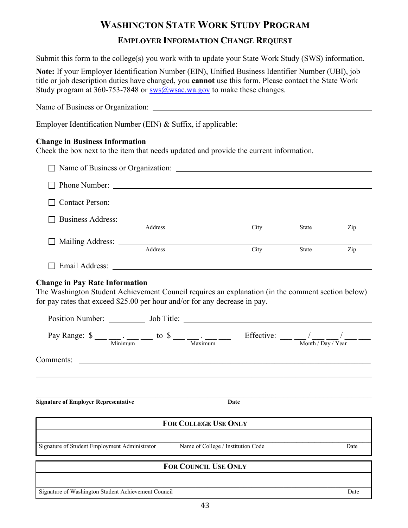# **WASHINGTON STATE WORK STUDY PROGRAM**

#### **EMPLOYER INFORMATION CHANGE REQUEST**

Submit this form to the college(s) you work with to update your State Work Study (SWS) information.

**Note:** If your Employer Identification Number (EIN), Unified Business Identifier Number (UBI), job title or job description duties have changed, you **cannot** use this form. Please contact the State Work Study program at 360-753-7848 or  $\frac{\text{sws}}{a}$  wsac.wa.gov to make these changes.

Name of Business or Organization: Employer Identification Number (EIN) & Suffix, if applicable: \_\_\_\_\_\_\_\_\_\_\_\_\_\_\_\_\_\_ **Change in Business Information** Check the box next to the item that needs updated and provide the current information. □ Name of Business or Organization: □ Phone Number: □ Contact Person: □ Business Address: <br>Address Address City State Zip Mailing Address: <u>Address</u> Address City State Zip Email Address:

### **Change in Pay Rate Information**

The Washington Student Achievement Council requires an explanation (in the comment section below) for pay rates that exceed \$25.00 per hour and/or for any decrease in pay.

| Pay Range: $\frac{\text{S}}{\text{Minimum}}$ to $\frac{\text{S}}{\text{Maximum}}$ to $\frac{\text{S}}{\text{Maximum}}$ |                                    | Effective: $\frac{1}{\frac{1}{\text{Month}/\text{Day}/\text{Year}}}$ |      |
|------------------------------------------------------------------------------------------------------------------------|------------------------------------|----------------------------------------------------------------------|------|
| Comments:                                                                                                              |                                    |                                                                      |      |
| <b>Signature of Employer Representative</b>                                                                            |                                    | Date                                                                 |      |
|                                                                                                                        | <b>FOR COLLEGE USE ONLY</b>        |                                                                      |      |
| Signature of Student Employment Administrator                                                                          | Name of College / Institution Code |                                                                      | Date |
|                                                                                                                        | <b>FOR COUNCIL USE ONLY</b>        |                                                                      |      |
| Signature of Washington Student Achievement Council                                                                    |                                    |                                                                      | Date |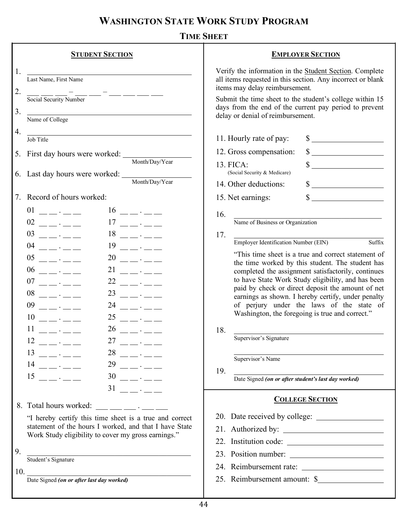# **WASHINGTON STATE WORK STUDY PROGRAM**

|          | <b>STUDENT SECTION</b>                                                                                                                                                                                                                                                                                                                                                                                                                                                                                                                                                                                                                                                                                                                                                                                     | <b>EMPLOYER SECTION</b>                                                                                                                                                                                                                                                                                                                                                                                                                                    |
|----------|------------------------------------------------------------------------------------------------------------------------------------------------------------------------------------------------------------------------------------------------------------------------------------------------------------------------------------------------------------------------------------------------------------------------------------------------------------------------------------------------------------------------------------------------------------------------------------------------------------------------------------------------------------------------------------------------------------------------------------------------------------------------------------------------------------|------------------------------------------------------------------------------------------------------------------------------------------------------------------------------------------------------------------------------------------------------------------------------------------------------------------------------------------------------------------------------------------------------------------------------------------------------------|
| 1.<br>2. | Last Name, First Name                                                                                                                                                                                                                                                                                                                                                                                                                                                                                                                                                                                                                                                                                                                                                                                      | Verify the information in the Student Section. Complete<br>all items requested in this section. Any incorrect or blank<br>items may delay reimbursement.                                                                                                                                                                                                                                                                                                   |
| 3.       | Name of College                                                                                                                                                                                                                                                                                                                                                                                                                                                                                                                                                                                                                                                                                                                                                                                            | Submit the time sheet to the student's college within 15<br>days from the end of the current pay period to prevent<br>delay or denial of reimbursement.                                                                                                                                                                                                                                                                                                    |
|          |                                                                                                                                                                                                                                                                                                                                                                                                                                                                                                                                                                                                                                                                                                                                                                                                            |                                                                                                                                                                                                                                                                                                                                                                                                                                                            |
| 4.       | <u> 1989 - Johann Stein, Amerikaansk politiker (* 1958)</u><br>Job Title                                                                                                                                                                                                                                                                                                                                                                                                                                                                                                                                                                                                                                                                                                                                   | 11. Hourly rate of pay:<br>$\frac{1}{\sqrt{2}}$                                                                                                                                                                                                                                                                                                                                                                                                            |
|          |                                                                                                                                                                                                                                                                                                                                                                                                                                                                                                                                                                                                                                                                                                                                                                                                            | $\frac{1}{\sqrt{1-\frac{1}{2}}}\frac{1}{\sqrt{1-\frac{1}{2}}}\frac{1}{\sqrt{1-\frac{1}{2}}}\frac{1}{\sqrt{1-\frac{1}{2}}}\frac{1}{\sqrt{1-\frac{1}{2}}}\frac{1}{\sqrt{1-\frac{1}{2}}}\frac{1}{\sqrt{1-\frac{1}{2}}}\frac{1}{\sqrt{1-\frac{1}{2}}}\frac{1}{\sqrt{1-\frac{1}{2}}}\frac{1}{\sqrt{1-\frac{1}{2}}}\frac{1}{\sqrt{1-\frac{1}{2}}}\frac{1}{\sqrt{1-\frac{1}{2}}}\frac{1}{\sqrt{1-\frac{1}{2}}}\frac{1}{\sqrt{1-\frac{$<br>12. Gross compensation: |
|          | Month/Day/Year                                                                                                                                                                                                                                                                                                                                                                                                                                                                                                                                                                                                                                                                                                                                                                                             | 13. FICA:<br>$\frac{\text{S}}{\text{S}}$<br>(Social Security & Medicare)                                                                                                                                                                                                                                                                                                                                                                                   |
|          | 6. Last day hours were worked: Month/Day/Year                                                                                                                                                                                                                                                                                                                                                                                                                                                                                                                                                                                                                                                                                                                                                              | 14. Other deductions:<br>$\frac{\text{S}}{\text{S}}$                                                                                                                                                                                                                                                                                                                                                                                                       |
| 7.       | Record of hours worked:                                                                                                                                                                                                                                                                                                                                                                                                                                                                                                                                                                                                                                                                                                                                                                                    | 15. Net earnings:                                                                                                                                                                                                                                                                                                                                                                                                                                          |
|          | 01<br>$16$ $ -$<br>$\mathbf{L} \cdot \mathbf{L}$<br>$02$ ---<br>17<br>$\frac{1}{2} \frac{1}{2} \frac{1}{2} \frac{1}{2} \frac{1}{2} \frac{1}{2} \frac{1}{2} \frac{1}{2} \frac{1}{2} \frac{1}{2} \frac{1}{2} \frac{1}{2} \frac{1}{2} \frac{1}{2} \frac{1}{2} \frac{1}{2} \frac{1}{2} \frac{1}{2} \frac{1}{2} \frac{1}{2} \frac{1}{2} \frac{1}{2} \frac{1}{2} \frac{1}{2} \frac{1}{2} \frac{1}{2} \frac{1}{2} \frac{1}{2} \frac{1}{2} \frac{1}{2} \frac{1}{2} \frac{$                                                                                                                                                                                                                                                                                                                                         | 16.<br>Name of Business or Organization                                                                                                                                                                                                                                                                                                                                                                                                                    |
|          | 03<br>18<br>$\mathcal{L} = \frac{1}{2} \frac{1}{2} \frac{1}{2} \frac{1}{2} \frac{1}{2} \frac{1}{2} \frac{1}{2} \frac{1}{2} \frac{1}{2} \frac{1}{2} \frac{1}{2} \frac{1}{2} \frac{1}{2} \frac{1}{2} \frac{1}{2} \frac{1}{2} \frac{1}{2} \frac{1}{2} \frac{1}{2} \frac{1}{2} \frac{1}{2} \frac{1}{2} \frac{1}{2} \frac{1}{2} \frac{1}{2} \frac{1}{2} \frac{1}{2} \frac{1}{2} \frac{1}{2} \frac{1}{2} \frac{$<br>$\frac{1}{2} \frac{1}{2} \frac{1}{2} \frac{1}{2} \frac{1}{2} \frac{1}{2} \frac{1}{2} \frac{1}{2} \frac{1}{2} \frac{1}{2} \frac{1}{2} \frac{1}{2} \frac{1}{2} \frac{1}{2} \frac{1}{2} \frac{1}{2} \frac{1}{2} \frac{1}{2} \frac{1}{2} \frac{1}{2} \frac{1}{2} \frac{1}{2} \frac{1}{2} \frac{1}{2} \frac{1}{2} \frac{1}{2} \frac{1}{2} \frac{1}{2} \frac{1}{2} \frac{1}{2} \frac{1}{2} \frac{$ | 17.                                                                                                                                                                                                                                                                                                                                                                                                                                                        |
|          | 04<br>19                                                                                                                                                                                                                                                                                                                                                                                                                                                                                                                                                                                                                                                                                                                                                                                                   | <b>Employer Identification Number (EIN)</b><br>Suffix                                                                                                                                                                                                                                                                                                                                                                                                      |
|          | 05<br>20<br>$\cdot$ $ -$<br>$\mathbb{R}^2$ . $\mathbb{R}^2$                                                                                                                                                                                                                                                                                                                                                                                                                                                                                                                                                                                                                                                                                                                                                | "This time sheet is a true and correct statement of<br>the time worked by this student. The student has                                                                                                                                                                                                                                                                                                                                                    |
|          | 06<br>21<br>$\mathcal{L} = \mathcal{L} \mathcal{L}$<br>$\mathcal{L} = \mathcal{L} \times \mathcal{L} = \mathcal{L}$                                                                                                                                                                                                                                                                                                                                                                                                                                                                                                                                                                                                                                                                                        | completed the assignment satisfactorily, continues                                                                                                                                                                                                                                                                                                                                                                                                         |
|          | 07<br>22<br>$\overline{\phantom{a}}$ . $\overline{\phantom{a}}$<br>$\mathbb{R}^2$ , $\mathbb{R}^2$ and $\mathbb{R}^2$                                                                                                                                                                                                                                                                                                                                                                                                                                                                                                                                                                                                                                                                                      | to have State Work Study eligibility, and has been<br>paid by check or direct deposit the amount of net                                                                                                                                                                                                                                                                                                                                                    |
|          | 08<br>23<br>$\mathcal{L}^{\text{max}}$ , where $\mathcal{L}^{\text{max}}$<br>$\cdots$ $\cdots$ $\cdots$                                                                                                                                                                                                                                                                                                                                                                                                                                                                                                                                                                                                                                                                                                    | earnings as shown. I hereby certify, under penalty                                                                                                                                                                                                                                                                                                                                                                                                         |
|          | 09<br>24<br>$\mathbb{R}^2$ . The contract of $\mathbb{R}^2$<br>$\mathcal{L} = \frac{1}{2}$                                                                                                                                                                                                                                                                                                                                                                                                                                                                                                                                                                                                                                                                                                                 | of perjury under the laws of the state of<br>Washington, the foregoing is true and correct."                                                                                                                                                                                                                                                                                                                                                               |
|          | 10<br>25<br>$\mathcal{L} = \mathcal{L} \mathcal{L}$                                                                                                                                                                                                                                                                                                                                                                                                                                                                                                                                                                                                                                                                                                                                                        |                                                                                                                                                                                                                                                                                                                                                                                                                                                            |
|          | 11<br>26<br>$\ddotsc$ $\ddotsc$<br>$\mathcal{L}^{\text{max}}$ , where $\mathcal{L}^{\text{max}}$                                                                                                                                                                                                                                                                                                                                                                                                                                                                                                                                                                                                                                                                                                           | 18.<br>Supervisor's Signature                                                                                                                                                                                                                                                                                                                                                                                                                              |
|          | 27<br>12                                                                                                                                                                                                                                                                                                                                                                                                                                                                                                                                                                                                                                                                                                                                                                                                   |                                                                                                                                                                                                                                                                                                                                                                                                                                                            |
|          | 13<br>$28 - - -$<br>$\mathbb{R}^2 \times \mathbb{R}^2$<br>29<br>14                                                                                                                                                                                                                                                                                                                                                                                                                                                                                                                                                                                                                                                                                                                                         | Supervisor's Name                                                                                                                                                                                                                                                                                                                                                                                                                                          |
|          | $\frac{1}{2} \frac{1}{2} \frac{1}{2} \frac{1}{2} \frac{1}{2} \frac{1}{2} \frac{1}{2} \frac{1}{2} \frac{1}{2} \frac{1}{2} \frac{1}{2} \frac{1}{2} \frac{1}{2} \frac{1}{2} \frac{1}{2} \frac{1}{2} \frac{1}{2} \frac{1}{2} \frac{1}{2} \frac{1}{2} \frac{1}{2} \frac{1}{2} \frac{1}{2} \frac{1}{2} \frac{1}{2} \frac{1}{2} \frac{1}{2} \frac{1}{2} \frac{1}{2} \frac{1}{2} \frac{1}{2} \frac{$<br>$\frac{1}{2}$ and $\frac{1}{2}$ and $\frac{1}{2}$ and $\frac{1}{2}$ and $\frac{1}{2}$ and $\frac{1}{2}$ and $\frac{1}{2}$<br>15<br>30                                                                                                                                                                                                                                                                      | 19.                                                                                                                                                                                                                                                                                                                                                                                                                                                        |
|          | $\frac{1}{2}$ . $\frac{1}{2}$ . $\frac{1}{2}$ . $\frac{1}{2}$<br>$\mathcal{L}(\mathcal{L}(\mathcal{L}(\mathcal{L}(\mathcal{L}(\mathcal{L}(\mathcal{L}(\mathcal{L}(\mathcal{L}(\mathcal{L}(\mathcal{L}(\mathcal{L}(\mathcal{L}(\mathcal{L}(\mathcal{L}(\mathcal{L}(\mathcal{L}(\mathcal{L}(\mathcal{L}(\mathcal{L}(\mathcal{L}(\mathcal{L}(\mathcal{L}(\mathcal{L}(\mathcal{L}(\mathcal{L}(\mathcal{L}(\mathcal{L}(\mathcal{L}(\mathcal{L}(\mathcal{L}(\mathcal{L}(\mathcal{L}(\mathcal{L}(\mathcal{L}(\mathcal{L}(\mathcal{$<br>31<br>$\mathcal{L} = \frac{1}{2}$                                                                                                                                                                                                                                          | Date Signed (on or after student's last day worked)                                                                                                                                                                                                                                                                                                                                                                                                        |
|          |                                                                                                                                                                                                                                                                                                                                                                                                                                                                                                                                                                                                                                                                                                                                                                                                            | <b>COLLEGE SECTION</b>                                                                                                                                                                                                                                                                                                                                                                                                                                     |
|          | 8. Total hours worked:<br>$\mathcal{L}^{\mathcal{L}}(\mathcal{L}^{\mathcal{L}})$ and $\mathcal{L}^{\mathcal{L}}(\mathcal{L}^{\mathcal{L}})$ . The contribution                                                                                                                                                                                                                                                                                                                                                                                                                                                                                                                                                                                                                                             |                                                                                                                                                                                                                                                                                                                                                                                                                                                            |
|          | "I hereby certify this time sheet is a true and correct<br>statement of the hours I worked, and that I have State                                                                                                                                                                                                                                                                                                                                                                                                                                                                                                                                                                                                                                                                                          |                                                                                                                                                                                                                                                                                                                                                                                                                                                            |
|          | Work Study eligibility to cover my gross earnings."                                                                                                                                                                                                                                                                                                                                                                                                                                                                                                                                                                                                                                                                                                                                                        | 21. Authorized by:                                                                                                                                                                                                                                                                                                                                                                                                                                         |
| 9.       |                                                                                                                                                                                                                                                                                                                                                                                                                                                                                                                                                                                                                                                                                                                                                                                                            |                                                                                                                                                                                                                                                                                                                                                                                                                                                            |
|          | Student's Signature                                                                                                                                                                                                                                                                                                                                                                                                                                                                                                                                                                                                                                                                                                                                                                                        | 23. Position number:                                                                                                                                                                                                                                                                                                                                                                                                                                       |
| 10.      | <u> 1989 - Johann Barn, amerikansk politiker (d. 1989)</u>                                                                                                                                                                                                                                                                                                                                                                                                                                                                                                                                                                                                                                                                                                                                                 |                                                                                                                                                                                                                                                                                                                                                                                                                                                            |
|          | Date Signed (on or after last day worked)                                                                                                                                                                                                                                                                                                                                                                                                                                                                                                                                                                                                                                                                                                                                                                  | 25. Reimbursement amount: \$                                                                                                                                                                                                                                                                                                                                                                                                                               |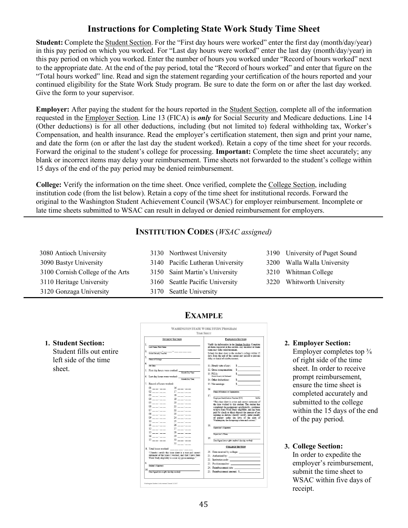## **Instructions for Completing State Work Study Time Sheet**

**Student:** Complete the Student Section. For the "First day hours were worked" enter the first day (month/day/year) in this pay period on which you worked. For "Last day hours were worked" enter the last day (month/day/year) in this pay period on which you worked. Enter the number of hours you worked under "Record of hours worked" next to the appropriate date. At the end of the pay period, total the "Record of hours worked" and enter that figure on the "Total hours worked" line. Read and sign the statement regarding your certification of the hours reported and your continued eligibility for the State Work Study program. Be sure to date the form on or after the last day worked. Give the form to your supervisor.

**Employer:** After paying the student for the hours reported in the Student Section, complete all of the information requested in the Employer Section. Line 13 (FICA) is *only* for Social Security and Medicare deductions. Line 14 (Other deductions) is for all other deductions, including (but not limited to) federal withholding tax, Worker's Compensation, and health insurance. Read the employer's certification statement, then sign and print your name, and date the form (on or after the last day the student worked). Retain a copy of the time sheet for your records. Forward the original to the student's college for processing. **Important:** Complete the time sheet accurately; any blank or incorrect items may delay your reimbursement. Time sheets not forwarded to the student's college within 15 days of the end of the pay period may be denied reimbursement.

**College:** Verify the information on the time sheet. Once verified, complete the College Section, including institution code (from the list below). Retain a copy of the time sheet for institutional records. Forward the original to the Washington Student Achievement Council (WSAC) for employer reimbursement. Incomplete or late time sheets submitted to WSAC can result in delayed or denied reimbursement for employers.

#### **INSTITUTION CODES** (*WSAC assigned)*

| 3080 Antioch University          | 3130 Northwest University        | 3190 University of Puget Sound |
|----------------------------------|----------------------------------|--------------------------------|
| 3090 Bastyr University           | 3140 Pacific Lutheran University | 3200 Walla Walla University    |
| 3100 Cornish College of the Arts | 3150 Saint Martin's University   | 3210 Whitman College           |
| 3110 Heritage University         | 3160 Seattle Pacific University  | 3220 Whitworth University      |
| 3120 Gonzaga University          | 3170 Seattle University          |                                |

## **EXAMPLE**

**1. Student Section:** Student fills out entire left side of the time sheet.

| <b>STUDENT SECTION</b>                                                                                                                                                                                                                                                                                                                                                                                                                                                                   | <b>EMPLOYER SECTION</b>                                                                                                                                                                                                                                                                                                                                                                                                                                                                                                                                                                                                                               |
|------------------------------------------------------------------------------------------------------------------------------------------------------------------------------------------------------------------------------------------------------------------------------------------------------------------------------------------------------------------------------------------------------------------------------------------------------------------------------------------|-------------------------------------------------------------------------------------------------------------------------------------------------------------------------------------------------------------------------------------------------------------------------------------------------------------------------------------------------------------------------------------------------------------------------------------------------------------------------------------------------------------------------------------------------------------------------------------------------------------------------------------------------------|
| -<br>Last Name First Name                                                                                                                                                                                                                                                                                                                                                                                                                                                                | Verify the information in the Student Section. Complete<br>all items requested in this section. Any incorrect or blank<br>items may delay reimbursement.                                                                                                                                                                                                                                                                                                                                                                                                                                                                                              |
| Name of College                                                                                                                                                                                                                                                                                                                                                                                                                                                                          | Submit the time sheet to the student's college within 15<br>days from the end of the current pay period to prevent<br>delay or denial of reimbursement.                                                                                                                                                                                                                                                                                                                                                                                                                                                                                               |
| the control of the control of the control of the control of<br>lak Tida                                                                                                                                                                                                                                                                                                                                                                                                                  | $s = 1$<br>11. Hourly rate of pay:                                                                                                                                                                                                                                                                                                                                                                                                                                                                                                                                                                                                                    |
| 5. First day hours were worked: Month Day Year                                                                                                                                                                                                                                                                                                                                                                                                                                           | $\sim$<br>12. Gross compensation:                                                                                                                                                                                                                                                                                                                                                                                                                                                                                                                                                                                                                     |
|                                                                                                                                                                                                                                                                                                                                                                                                                                                                                          | 13. FICA:<br>(Social Security & Medicane)<br>$\mathsf{s}$ . The contract of the contract of the contract of the contract of the contract of the contract of the contract of the contract of the contract of the contract of the contract of the contract of the contract of the                                                                                                                                                                                                                                                                                                                                                                       |
| 6. Last day hours were worked: $\frac{1}{\frac{1}{2} \cdot \frac{1}{2} \cdot \frac{1}{2} \cdot \frac{1}{2} \cdot \frac{1}{2} \cdot \frac{1}{2} \cdot \frac{1}{2} \cdot \frac{1}{2} \cdot \frac{1}{2} \cdot \frac{1}{2} \cdot \frac{1}{2} \cdot \frac{1}{2} \cdot \frac{1}{2} \cdot \frac{1}{2} \cdot \frac{1}{2} \cdot \frac{1}{2} \cdot \frac{1}{2} \cdot \frac{1}{2} \cdot \frac{1}{2} \cdot \frac{1}{2} \cdot \frac{1$                                                                | 14. Other deductions:<br>$\sim$                                                                                                                                                                                                                                                                                                                                                                                                                                                                                                                                                                                                                       |
| 7. Record of hours worked:                                                                                                                                                                                                                                                                                                                                                                                                                                                               | $\sim$<br>15. Net earnings:                                                                                                                                                                                                                                                                                                                                                                                                                                                                                                                                                                                                                           |
| $01 - 1 - 1$<br>$16 - - - -$<br>$02$ ----<br>$17 - - - -$<br>$03$ ----<br>$18 - - - -$<br>$04 - - - -$<br>$19 - - -$<br>$05$ ----<br>20<br>-----<br>$06 - - - -$<br>$21$ and $-$<br>$07 - - - - -$<br>$22$ $  -$<br>$08 - - - -$<br>23<br>بالمستحدث<br>$09$ -----<br>$24$ ----<br>$10 - - - -$<br>$25 - - -$<br>$11 = -$<br>26<br>بناء والمسامس<br>$12$ __ __<br>$27 - - - -$<br>$13$ -----<br>$28 - - -$<br>$14 - - - -$<br>29<br><b>Contract Contract</b><br>$15$ ----<br>$30 - - - -$ | 16.<br>Name of Business or Organization<br>17<br>Employer Identification Number (EIN)<br>Suffer<br>"This time sheet is a true and correct statement of<br>the time worked by this student. The student has<br>completed the assignment satisfactorily, continues<br>to have State Work Study eligibility, and has been<br>paid by check or direct deposit the amount of net<br>earnings as shown. I hereby certify, under penalty<br>of periury under the laws of the state of<br>Washington, the foregoing is true and correct."<br>18.<br>Supervisor's Signature<br>Supervisor's Name<br>19.<br>Date Signed (on or after student's last day worked) |
| $31 - - - -$                                                                                                                                                                                                                                                                                                                                                                                                                                                                             | <b>COLLEGE SECTION</b>                                                                                                                                                                                                                                                                                                                                                                                                                                                                                                                                                                                                                                |
| 8. Total hours worked: __ __ __ . __ _<br>"I hereby certify this time sheet is a true and correct<br>statement of the hours I worked, and that I have State<br>Work Study eligibility to cover my gross earnings."                                                                                                                                                                                                                                                                       | 20. Date received by college:<br>21. Authorized by:<br>22. Institution code:                                                                                                                                                                                                                                                                                                                                                                                                                                                                                                                                                                          |
|                                                                                                                                                                                                                                                                                                                                                                                                                                                                                          | 23. Position number:                                                                                                                                                                                                                                                                                                                                                                                                                                                                                                                                                                                                                                  |
| Student's Signature                                                                                                                                                                                                                                                                                                                                                                                                                                                                      |                                                                                                                                                                                                                                                                                                                                                                                                                                                                                                                                                                                                                                                       |
| 10.<br>Date Signed (on or after last day worked)                                                                                                                                                                                                                                                                                                                                                                                                                                         | 25. Reimbursement amount: \$                                                                                                                                                                                                                                                                                                                                                                                                                                                                                                                                                                                                                          |
|                                                                                                                                                                                                                                                                                                                                                                                                                                                                                          |                                                                                                                                                                                                                                                                                                                                                                                                                                                                                                                                                                                                                                                       |

**2. Employer Section:** 

Employer completes top  $\frac{3}{4}$ of right side of the time sheet. In order to receive prompt reimbursement, ensure the time sheet is completed accurately and submitted to the college within the 15 days of the end of the pay period.

**3. College Section:**  In order to expedite the employer's reimbursement, submit the time sheet to WSAC within five days of receipt.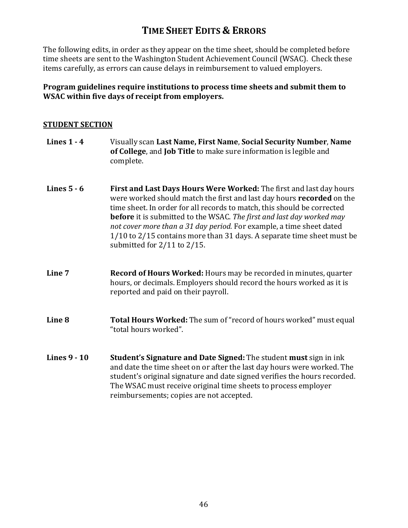# **TIME SHEET EDITS & ERRORS**

The following edits, in order as they appear on the time sheet, should be completed before time sheets are sent to the Washington Student Achievement Council (WSAC). Check these items carefully, as errors can cause delays in reimbursement to valued employers.

#### **Program guidelines require institutions to process time sheets and submit them to WSAC within five days of receipt from employers.**

#### **STUDENT SECTION**

| Lines $1 - 4$       | Visually scan Last Name, First Name, Social Security Number, Name<br>of College, and Job Title to make sure information is legible and<br>complete.                                                                                                                                                                                                                                                                                                                                           |
|---------------------|-----------------------------------------------------------------------------------------------------------------------------------------------------------------------------------------------------------------------------------------------------------------------------------------------------------------------------------------------------------------------------------------------------------------------------------------------------------------------------------------------|
| Lines $5 - 6$       | First and Last Days Hours Were Worked: The first and last day hours<br>were worked should match the first and last day hours recorded on the<br>time sheet. In order for all records to match, this should be corrected<br><b>before</b> it is submitted to the WSAC. The first and last day worked may<br>not cover more than a 31 day period. For example, a time sheet dated<br>1/10 to 2/15 contains more than 31 days. A separate time sheet must be<br>submitted for $2/11$ to $2/15$ . |
| Line 7              | <b>Record of Hours Worked:</b> Hours may be recorded in minutes, quarter<br>hours, or decimals. Employers should record the hours worked as it is<br>reported and paid on their payroll.                                                                                                                                                                                                                                                                                                      |
| Line <sub>8</sub>   | Total Hours Worked: The sum of "record of hours worked" must equal<br>"total hours worked".                                                                                                                                                                                                                                                                                                                                                                                                   |
| <b>Lines 9 - 10</b> | <b>Student's Signature and Date Signed: The student must sign in ink</b><br>and date the time sheet on or after the last day hours were worked. The<br>student's original signature and date signed verifies the hours recorded.<br>The WSAC must receive original time sheets to process employer<br>reimbursements; copies are not accepted.                                                                                                                                                |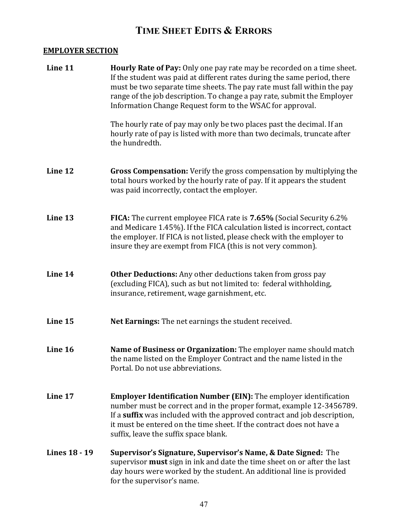# **TIME SHEET EDITS & ERRORS**

### **EMPLOYER SECTION**

| Line 11              | <b>Hourly Rate of Pay:</b> Only one pay rate may be recorded on a time sheet.<br>If the student was paid at different rates during the same period, there<br>must be two separate time sheets. The pay rate must fall within the pay<br>range of the job description. To change a pay rate, submit the Employer<br>Information Change Request form to the WSAC for approval. |
|----------------------|------------------------------------------------------------------------------------------------------------------------------------------------------------------------------------------------------------------------------------------------------------------------------------------------------------------------------------------------------------------------------|
|                      | The hourly rate of pay may only be two places past the decimal. If an<br>hourly rate of pay is listed with more than two decimals, truncate after<br>the hundredth.                                                                                                                                                                                                          |
| Line 12              | <b>Gross Compensation:</b> Verify the gross compensation by multiplying the<br>total hours worked by the hourly rate of pay. If it appears the student<br>was paid incorrectly, contact the employer.                                                                                                                                                                        |
| Line 13              | FICA: The current employee FICA rate is 7.65% (Social Security 6.2%)<br>and Medicare 1.45%). If the FICA calculation listed is incorrect, contact<br>the employer. If FICA is not listed, please check with the employer to<br>insure they are exempt from FICA (this is not very common).                                                                                   |
| Line 14              | <b>Other Deductions:</b> Any other deductions taken from gross pay<br>(excluding FICA), such as but not limited to: federal withholding,<br>insurance, retirement, wage garnishment, etc.                                                                                                                                                                                    |
| Line 15              | Net Earnings: The net earnings the student received.                                                                                                                                                                                                                                                                                                                         |
| Line 16              | Name of Business or Organization: The employer name should match<br>the name listed on the Employer Contract and the name listed in the<br>Portal. Do not use abbreviations.                                                                                                                                                                                                 |
| Line 17              | <b>Employer Identification Number (EIN):</b> The employer identification<br>number must be correct and in the proper format, example 12-3456789.<br>If a suffix was included with the approved contract and job description,<br>it must be entered on the time sheet. If the contract does not have a<br>suffix, leave the suffix space blank.                               |
| <b>Lines 18 - 19</b> | Supervisor's Signature, Supervisor's Name, & Date Signed: The<br>supervisor <b>must</b> sign in ink and date the time sheet on or after the last<br>day hours were worked by the student. An additional line is provided<br>for the supervisor's name.                                                                                                                       |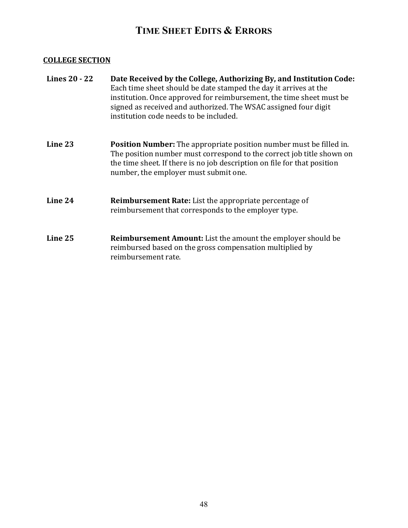# **TIME SHEET EDITS & ERRORS**

### **COLLEGE SECTION**

| Lines 20 - 22 | Date Received by the College, Authorizing By, and Institution Code:<br>Each time sheet should be date stamped the day it arrives at the<br>institution. Once approved for reimbursement, the time sheet must be<br>signed as received and authorized. The WSAC assigned four digit<br>institution code needs to be included. |
|---------------|------------------------------------------------------------------------------------------------------------------------------------------------------------------------------------------------------------------------------------------------------------------------------------------------------------------------------|
| Line 23       | <b>Position Number:</b> The appropriate position number must be filled in.<br>The position number must correspond to the correct job title shown on<br>the time sheet. If there is no job description on file for that position<br>number, the employer must submit one.                                                     |
| Line 24       | <b>Reimbursement Rate:</b> List the appropriate percentage of<br>reimbursement that corresponds to the employer type.                                                                                                                                                                                                        |
| Line 25       | <b>Reimbursement Amount:</b> List the amount the employer should be<br>reimbursed based on the gross compensation multiplied by<br>reimbursement rate.                                                                                                                                                                       |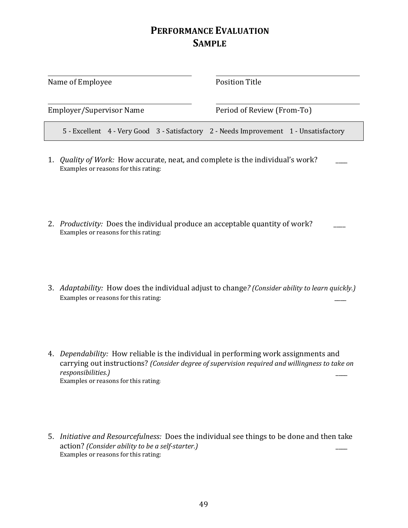# **PERFORMANCE EVALUATION SAMPLE**

| Name of Employee         |  | Position Title                                                                        |
|--------------------------|--|---------------------------------------------------------------------------------------|
| Employer/Supervisor Name |  | Period of Review (From-To)                                                            |
|                          |  | 5 - Excellent 4 - Very Good 3 - Satisfactory 2 - Needs Improvement 1 - Unsatisfactory |
|                          |  |                                                                                       |

- 1. *Quality of Work:* How accurate, neat, and complete is the individual's work? Examples or reasons for this rating:
- 2. *Productivity:* Does the individual produce an acceptable quantity of work? Examples or reasons for this rating:
- 3. *Adaptability:* How does the individual adjust to change*? (Consider ability to learn quickly.)*  Examples or reasons for this rating:
- 4. *Dependability:* How reliable is the individual in performing work assignments and carrying out instructions? *(Consider degree of supervision required and willingness to take on responsibilities.)* \_\_\_\_ Examples or reasons for this rating:
- 5. *Initiative and Resourcefulness:* Does the individual see things to be done and then take action? *(Consider ability to be a self-starter.)* \_\_\_\_ Examples or reasons for this rating: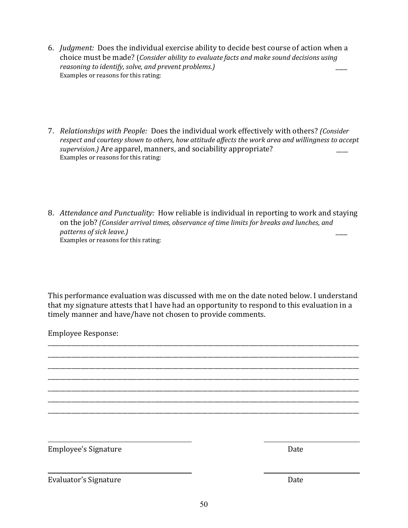- 6. *Judgment:* Does the individual exercise ability to decide best course of action when a choice must be made? (*Consider ability to evaluate facts and make sound decisions using reasoning to identify, solve, and prevent problems.)* \_\_\_\_ Examples or reasons for this rating:
- 7. *Relationships with People:* Does the individual work effectively with others? *(Consider respect and courtesy shown to others, how attitude affects the work area and willingness to accept supervision.)* Are apparel, manners, and sociability appropriate? \_\_\_\_ Examples or reasons for this rating:
- 8. *Attendance and Punctuality:* How reliable is individual in reporting to work and staying on the job? *(Consider arrival times, observance of time limits for breaks and lunches, and patterns of sick leave.)* \_\_\_\_ Examples or reasons for this rating:

This performance evaluation was discussed with me on the date noted below. I understand that my signature attests that I have had an opportunity to respond to this evaluation in a timely manner and have/have not chosen to provide comments.

\_\_\_\_\_\_\_\_\_\_\_\_\_\_\_\_\_\_\_\_\_\_\_\_\_\_\_\_\_\_\_\_\_\_\_\_\_\_\_\_\_\_\_\_\_\_\_\_\_\_\_\_\_\_\_\_\_\_\_\_\_\_\_\_\_\_\_\_\_\_\_\_\_\_\_\_\_\_\_\_\_\_\_\_\_\_\_\_\_\_\_\_\_\_\_\_\_\_\_\_\_\_\_\_\_ \_\_\_\_\_\_\_\_\_\_\_\_\_\_\_\_\_\_\_\_\_\_\_\_\_\_\_\_\_\_\_\_\_\_\_\_\_\_\_\_\_\_\_\_\_\_\_\_\_\_\_\_\_\_\_\_\_\_\_\_\_\_\_\_\_\_\_\_\_\_\_\_\_\_\_\_\_\_\_\_\_\_\_\_\_\_\_\_\_\_\_\_\_\_\_\_\_\_\_\_\_\_\_\_\_ \_\_\_\_\_\_\_\_\_\_\_\_\_\_\_\_\_\_\_\_\_\_\_\_\_\_\_\_\_\_\_\_\_\_\_\_\_\_\_\_\_\_\_\_\_\_\_\_\_\_\_\_\_\_\_\_\_\_\_\_\_\_\_\_\_\_\_\_\_\_\_\_\_\_\_\_\_\_\_\_\_\_\_\_\_\_\_\_\_\_\_\_\_\_\_\_\_\_\_\_\_\_\_\_\_ \_\_\_\_\_\_\_\_\_\_\_\_\_\_\_\_\_\_\_\_\_\_\_\_\_\_\_\_\_\_\_\_\_\_\_\_\_\_\_\_\_\_\_\_\_\_\_\_\_\_\_\_\_\_\_\_\_\_\_\_\_\_\_\_\_\_\_\_\_\_\_\_\_\_\_\_\_\_\_\_\_\_\_\_\_\_\_\_\_\_\_\_\_\_\_\_\_\_\_\_\_\_\_\_\_ \_\_\_\_\_\_\_\_\_\_\_\_\_\_\_\_\_\_\_\_\_\_\_\_\_\_\_\_\_\_\_\_\_\_\_\_\_\_\_\_\_\_\_\_\_\_\_\_\_\_\_\_\_\_\_\_\_\_\_\_\_\_\_\_\_\_\_\_\_\_\_\_\_\_\_\_\_\_\_\_\_\_\_\_\_\_\_\_\_\_\_\_\_\_\_\_\_\_\_\_\_\_\_\_\_ \_\_\_\_\_\_\_\_\_\_\_\_\_\_\_\_\_\_\_\_\_\_\_\_\_\_\_\_\_\_\_\_\_\_\_\_\_\_\_\_\_\_\_\_\_\_\_\_\_\_\_\_\_\_\_\_\_\_\_\_\_\_\_\_\_\_\_\_\_\_\_\_\_\_\_\_\_\_\_\_\_\_\_\_\_\_\_\_\_\_\_\_\_\_\_\_\_\_\_\_\_\_\_\_\_ \_\_\_\_\_\_\_\_\_\_\_\_\_\_\_\_\_\_\_\_\_\_\_\_\_\_\_\_\_\_\_\_\_\_\_\_\_\_\_\_\_\_\_\_\_\_\_\_\_\_\_\_\_\_\_\_\_\_\_\_\_\_\_\_\_\_\_\_\_\_\_\_\_\_\_\_\_\_\_\_\_\_\_\_\_\_\_\_\_\_\_\_\_\_\_\_\_\_\_\_\_\_\_\_\_

Employee Response:

Employee's Signature Date

Evaluator's Signature Date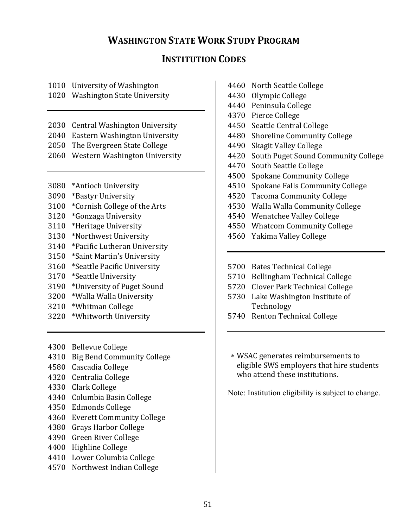# **WASHINGTON STATE WORK STUDY PROGRAM**

# **INSTITUTION CODES**

|  | 1010 University of Washington |
|--|-------------------------------|
|--|-------------------------------|

1020 Washington State University

- 2030 Central Washington University
- 2040 Eastern Washington University
- 2050 The Evergreen State College
- 2060 Western Washington University
- 3080 \*Antioch University
- 3090 \*Bastyr University
- 3100 \*Cornish College of the Arts
- 3120 \*Gonzaga University
- 3110 \*Heritage University
- 3130 \*Northwest University
- 3140 \*Pacific Lutheran University
- 3150 \*Saint Martin's University
- 3160 \*Seattle Pacific University
- 3170 \*Seattle University
- 3190 \*University of Puget Sound
- 3200 \*Walla Walla University
- 3210 \*Whitman College
- 3220 \*Whitworth University
- 4300 Bellevue College
- 4310 Big Bend Community College
- 4580 Cascadia College
- 4320 Centralia College
- 4330 Clark College
- 4340 Columbia Basin College
- 4350 Edmonds College
- 4360 Everett Community College
- 4380 Grays Harbor College
- 4390 Green River College
- 4400 Highline College
- 4410 Lower Columbia College
- 4570 Northwest Indian College
- 4460 North Seattle College
- 4430 Olympic College
- 4440 Peninsula College
- 4370 Pierce College
- 4450 Seattle Central College
- 4480 Shoreline Community College
- 4490 Skagit Valley College
- 4420 South Puget Sound Community College
- 4470 South Seattle College
- 4500 Spokane Community College
- 4510 Spokane Falls Community College
- 4520 Tacoma Community College
- 4530 Walla Walla Community College
- 4540 Wenatchee Valley College
- 4550 Whatcom Community College
- 4560 Yakima Valley College
- 5700 Bates Technical College
- 5710 Bellingham Technical College
- 5720 Clover Park Technical College
- 5730 Lake Washington Institute of Technology
- 5740 Renton Technical College
- ∗ WSAC generates reimbursements to eligible SWS employers that hire students who attend these institutions.

Note: Institution eligibility is subject to change.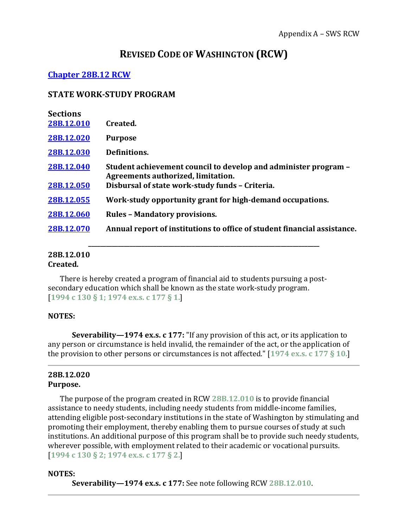# **REVISED CODE OF WASHINGTON (RCW)**

## **[Chapter 28B.12 RCW](http://apps.leg.wa.gov/RCW/default.aspx?cite=28B.12&full=true)**

#### **STATE WORK-STUDY PROGRAM**

| <b>Sections</b><br>28B.12.010 | Created.                                                                                                                                                 |
|-------------------------------|----------------------------------------------------------------------------------------------------------------------------------------------------------|
| 28B.12.020                    | <b>Purpose</b>                                                                                                                                           |
| 28B.12.030                    | Definitions.                                                                                                                                             |
| 28B.12.040<br>28B.12.050      | Student achievement council to develop and administer program –<br>Agreements authorized, limitation.<br>Disbursal of state work-study funds - Criteria. |
| 28B.12.055                    | Work-study opportunity grant for high-demand occupations.                                                                                                |
| 28B.12.060                    | <b>Rules - Mandatory provisions.</b>                                                                                                                     |
| 28B.12.070                    | Annual report of institutions to office of student financial assistance.                                                                                 |
|                               |                                                                                                                                                          |

**\_\_\_\_\_\_\_\_\_\_\_\_\_\_\_\_\_\_\_\_\_\_\_\_\_\_\_\_\_\_\_\_\_\_\_\_\_\_\_\_\_\_\_\_\_\_\_\_\_\_\_\_\_\_\_\_\_\_\_\_\_\_\_\_\_\_\_\_\_\_\_\_\_\_\_\_\_\_**

# <span id="page-65-0"></span>**28B.12.010**

#### **Created.**

There is hereby created a program of financial aid to students pursuing a postsecondary education which shall be known as the state work-study program. [**[1994 c 130 § 1;](http://lawfilesext.leg.wa.gov/biennium/1993-94/Pdf/Bills/Session%20Laws/House/2560-S.SL.pdf?cite=1994%20c%20130%20%C2%A7%201;) [1974 ex.s. c 177 § 1.](http://leg.wa.gov/CodeReviser/documents/sessionlaw/1974ex1c177.pdf?cite=1974%20ex.s.%20c%20177%20%C2%A7%201.)**]

#### **NOTES:**

**Severability—1974 ex.s. c 177:** "If any provision of this act, or its application to any person or circumstance is held invalid, the remainder of the act, or the application of the provision to other persons or circumstances is not affected." [**[1974 ex.s. c 177 § 10.](http://leg.wa.gov/CodeReviser/documents/sessionlaw/1974ex1c177.pdf?cite=1974%20ex.s.%20c%20177%20%C2%A7%2010.)**]

#### <span id="page-65-1"></span>**28B.12.020 Purpose.**

The purpose of the program created in RCW **[28B.12.010](http://apps.leg.wa.gov/RCW/default.aspx?cite=28B.12&full=true#28B.12.010)** is to provide financial assistance to needy students, including needy students from middle-income families, attending eligible post-secondary institutions in the state of Washington by stimulating and promoting their employment, thereby enabling them to pursue courses of study at such institutions. An additional purpose of this program shall be to provide such needy students, wherever possible, with employment related to their academic or vocational pursuits. [**[1994 c 130 § 2;](http://lawfilesext.leg.wa.gov/biennium/1993-94/Pdf/Bills/Session%20Laws/House/2560-S.SL.pdf?cite=1994%20c%20130%20%C2%A7%202;) [1974 ex.s. c 177 § 2.](http://leg.wa.gov/CodeReviser/documents/sessionlaw/1974ex1c177.pdf?cite=1974%20ex.s.%20c%20177%20%C2%A7%202.)**]

#### **NOTES:**

**Severability—1974 ex.s. c 177:** See note following RCW **[28B.12.010](http://apps.leg.wa.gov/RCW/default.aspx?cite=28B.12&full=true#28B.12.010)**.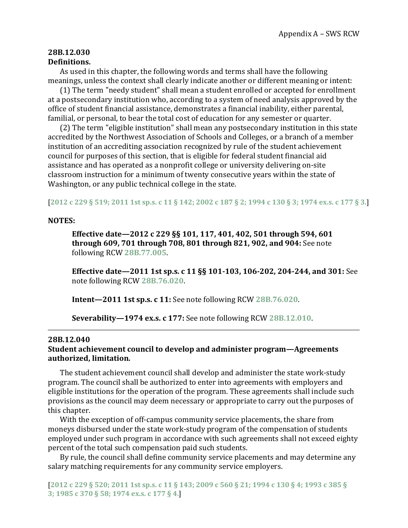#### <span id="page-66-0"></span>**28B.12.030 Definitions.**

As used in this chapter, the following words and terms shall have the following meanings, unless the context shall clearly indicate another or different meaning or intent:

(1) The term "needy student" shall mean a student enrolled or accepted for enrollment at a postsecondary institution who, according to a system of need analysis approved by the office of student financial assistance, demonstrates a financial inability, either parental, familial, or personal, to bear the total cost of education for any semester or quarter.

(2) The term "eligible institution" shall mean any postsecondary institution in this state accredited by the Northwest Association of Schools and Colleges, or a branch of a member institution of an accrediting association recognized by rule of the student achievement council for purposes of this section, that is eligible for federal student financial aid assistance and has operated as a nonprofit college or university delivering on-site classroom instruction for a minimum of twenty consecutive years within the state of Washington, or any public technical college in the state.

[**[2012 c 229 § 519;](http://lawfilesext.leg.wa.gov/biennium/2011-12/Pdf/Bills/Session%20Laws/House/2483-S2.SL.pdf?cite=2012%20c%20229%20%C2%A7%20519;) [2011 1st sp.s. c 11 § 142;](http://lawfilesext.leg.wa.gov/biennium/2011-12/Pdf/Bills/Session%20Laws/Senate/5182-S2.SL.pdf?cite=2011%201st%20sp.s.%20c%2011%20%C2%A7%20142;) [2002 c 187 § 2;](http://lawfilesext.leg.wa.gov/biennium/2001-02/Pdf/Bills/Session%20Laws/Senate/5166-S.SL.pdf?cite=2002%20c%20187%20%C2%A7%202;) [1994 c 130 § 3;](http://lawfilesext.leg.wa.gov/biennium/1993-94/Pdf/Bills/Session%20Laws/House/2560-S.SL.pdf?cite=1994%20c%20130%20%C2%A7%203;) [1974 ex.s. c 177 § 3.](http://leg.wa.gov/CodeReviser/documents/sessionlaw/1974ex1c177.pdf?cite=1974%20ex.s.%20c%20177%20%C2%A7%203.)**]

#### **NOTES:**

**Effective date—2012 c 229 §§ 101, 117, 401, 402, 501 through 594, 601 through 609, 701 through 708, 801 through 821, 902, and 904:** See note following RCW **[28B.77.005](http://app.leg.wa.gov/RCW/default.aspx?cite=28B.77.005)**.

**Effective date—2011 1st sp.s. c 11 §§ 101-103, 106-202, 204-244, and 301:** See note following RCW **[28B.76.020](http://app.leg.wa.gov/RCW/default.aspx?cite=28B.76.020)**.

**Intent—2011 1st sp.s. c 11:** See note following RCW **[28B.76.020](http://app.leg.wa.gov/RCW/default.aspx?cite=28B.76.020)**.

**Severability—1974 ex.s. c 177:** See note following RCW **[28B.12.010](http://apps.leg.wa.gov/RCW/default.aspx?cite=28B.12&full=true#28B.12.010)**.

#### <span id="page-66-1"></span>**28B.12.040**

#### **Student achievement council to develop and administer program—Agreements authorized, limitation.**

The student achievement council shall develop and administer the state work-study program. The council shall be authorized to enter into agreements with employers and eligible institutions for the operation of the program. These agreements shall include such provisions as the council may deem necessary or appropriate to carry out the purposes of this chapter.

With the exception of off-campus community service placements, the share from moneys disbursed under the state work-study program of the compensation of students employed under such program in accordance with such agreements shall not exceed eighty percent of the total such compensation paid such students.

By rule, the council shall define community service placements and may determine any salary matching requirements for any community service employers.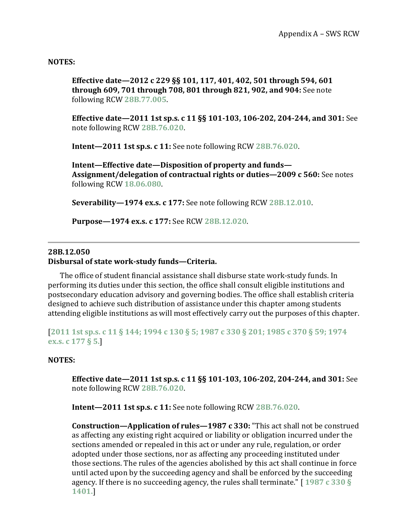#### **NOTES:**

**Effective date—2012 c 229 §§ 101, 117, 401, 402, 501 through 594, 601 through 609, 701 through 708, 801 through 821, 902, and 904:** See note following RCW **[28B.77.005](http://app.leg.wa.gov/RCW/default.aspx?cite=28B.77.005)**.

**Effective date—2011 1st sp.s. c 11 §§ 101-103, 106-202, 204-244, and 301:** See note following RCW **[28B.76.020](http://app.leg.wa.gov/RCW/default.aspx?cite=28B.76.020)**.

**Intent—2011 1st sp.s. c 11:** See note following RCW **[28B.76.020](http://app.leg.wa.gov/RCW/default.aspx?cite=28B.76.020)**.

**Intent—Effective date—Disposition of property and funds— Assignment/delegation of contractual rights or duties—2009 c 560:** See notes following RCW **[18.06.080](http://app.leg.wa.gov/RCW/default.aspx?cite=18.06.080)**.

**Severability—1974 ex.s. c 177:** See note following RCW **[28B.12.010](http://apps.leg.wa.gov/RCW/default.aspx?cite=28B.12&full=true#28B.12.010)**.

**Purpose—1974 ex.s. c 177:** See RCW **[28B.12.020](http://apps.leg.wa.gov/RCW/default.aspx?cite=28B.12&full=true#28B.12.020)**.

#### <span id="page-67-0"></span>**28B.12.050**

#### **Disbursal of state work-study funds—Criteria.**

The office of student financial assistance shall disburse state work-study funds. In performing its duties under this section, the office shall consult eligible institutions and postsecondary education advisory and governing bodies. The office shall establish criteria designed to achieve such distribution of assistance under this chapter among students attending eligible institutions as will most effectively carry out the purposes of this chapter.

[**[2011 1st sp.s. c 11 § 144;](http://lawfilesext.leg.wa.gov/biennium/2011-12/Pdf/Bills/Session%20Laws/Senate/5182-S2.SL.pdf?cite=2011%201st%20sp.s.%20c%2011%20%C2%A7%20144;) [1994 c 130 § 5;](http://lawfilesext.leg.wa.gov/biennium/1993-94/Pdf/Bills/Session%20Laws/House/2560-S.SL.pdf?cite=1994%20c%20130%20%C2%A7%205;) [1987 c 330 § 201;](http://leg.wa.gov/CodeReviser/documents/sessionlaw/1987c330.pdf?cite=1987%20c%20330%20%C2%A7%20201;) [1985 c 370 § 59;](http://leg.wa.gov/CodeReviser/documents/sessionlaw/1985c370.pdf?cite=1985%20c%20370%20%C2%A7%2059;) [1974](http://leg.wa.gov/CodeReviser/documents/sessionlaw/1974ex1c177.pdf?cite=1974%20ex.s.%20c%20177%20%C2%A7%205.)  ex.s. c [177 § 5.](http://leg.wa.gov/CodeReviser/documents/sessionlaw/1974ex1c177.pdf?cite=1974%20ex.s.%20c%20177%20%C2%A7%205.)**]

#### **NOTES:**

**Effective date—2011 1st sp.s. c 11 §§ 101-103, 106-202, 204-244, and 301:** See note following RCW **[28B.76.020](http://app.leg.wa.gov/RCW/default.aspx?cite=28B.76.020)**.

**Intent—2011 1st sp.s. c 11:** See note following RCW **[28B.76.020](http://app.leg.wa.gov/RCW/default.aspx?cite=28B.76.020)**.

**Construction—Application of rules—1987 c 330:** "This act shall not be construed as affecting any existing right acquired or liability or obligation incurred under the sections amended or repealed in this act or under any rule, regulation, or order adopted under those sections, nor as affecting any proceeding instituted under those sections. The rules of the agencies abolished by this act shall continue in force until acted upon by the succeeding agency and shall be enforced by the succeeding agency. If there is no succeeding agency, the rules shall terminate." [ **[1987 c 330 §](http://leg.wa.gov/CodeReviser/documents/sessionlaw/1987c330.pdf?cite=1987%20c%20330%20%C2%A7%201401.)  [1401.](http://leg.wa.gov/CodeReviser/documents/sessionlaw/1987c330.pdf?cite=1987%20c%20330%20%C2%A7%201401.)**]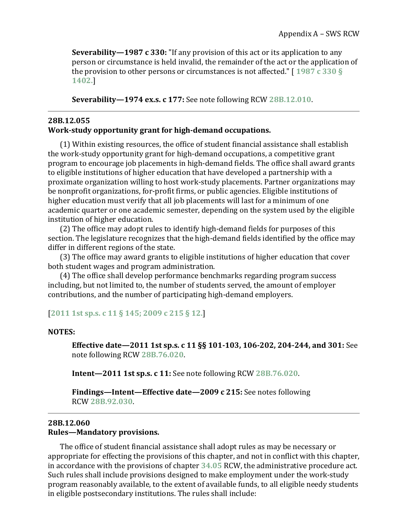**Severability—1987 c 330:** "If any provision of this act or its application to any person or circumstance is held invalid, the remainder of the act or the application of the provision to other persons or circumstances is not affected." [ **[1987 c 330 §](http://leg.wa.gov/CodeReviser/documents/sessionlaw/1987c330.pdf?cite=1987%20c%20330%20%C2%A7%201402.)  [1402.](http://leg.wa.gov/CodeReviser/documents/sessionlaw/1987c330.pdf?cite=1987%20c%20330%20%C2%A7%201402.)**]

**Severability—1974 ex.s. c 177:** See note following RCW **[28B.12.010](http://apps.leg.wa.gov/RCW/default.aspx?cite=28B.12&full=true#28B.12.010)**.

#### <span id="page-68-0"></span>**28B.12.055 Work-study opportunity grant for high-demand occupations.**

(1) Within existing resources, the office of student financial assistance shall establish the work-study opportunity grant for high-demand occupations, a competitive grant program to encourage job placements in high-demand fields. The office shall award grants to eligible institutions of higher education that have developed a partnership with a proximate organization willing to host work-study placements. Partner organizations may be nonprofit organizations, for-profit firms, or public agencies. Eligible institutions of higher education must verify that all job placements will last for a minimum of one academic quarter or one academic semester, depending on the system used by the eligible institution of higher education.

(2) The office may adopt rules to identify high-demand fields for purposes of this section. The legislature recognizes that the high-demand fields identified by the office may differ in different regions of the state.

(3) The office may award grants to eligible institutions of higher education that cover both student wages and program administration.

(4) The office shall develop performance benchmarks regarding program success including, but not limited to, the number of students served, the amount of employer contributions, and the number of participating high-demand employers.

#### [**[2011 1st sp.s. c 11 § 145;](http://lawfilesext.leg.wa.gov/biennium/2011-12/Pdf/Bills/Session%20Laws/Senate/5182-S2.SL.pdf?cite=2011%201st%20sp.s.%20c%2011%20%C2%A7%20145;) [2009 c 215 § 12.](http://lawfilesext.leg.wa.gov/biennium/2009-10/Pdf/Bills/Session%20Laws/House/2021-S2.SL.pdf?cite=2009%20c%20215%20%C2%A7%2012.)**]

#### **NOTES:**

**Effective date—2011 1st sp.s. c 11 §§ 101-103, 106-202, 204-244, and 301:** See note following RCW **[28B.76.020](http://app.leg.wa.gov/RCW/default.aspx?cite=28B.76.020)**.

**Intent—2011 1st sp.s. c 11:** See note following RCW **[28B.76.020](http://app.leg.wa.gov/RCW/default.aspx?cite=28B.76.020)**.

**Findings—Intent—Effective date—2009 c 215:** See notes following RCW **[28B.92.030](http://app.leg.wa.gov/RCW/default.aspx?cite=28B.92.030)**.

#### <span id="page-68-1"></span>**28B.12.060 Rules—Mandatory provisions.**

The office of student financial assistance shall adopt rules as may be necessary or appropriate for effecting the provisions of this chapter, and not in conflict with this chapter, in accordance with the provisions of chapter **[34.05](http://app.leg.wa.gov/RCW/default.aspx?cite=34.05)** RCW, the administrative procedure act. Such rules shall include provisions designed to make employment under the work-study program reasonably available, to the extent of available funds, to all eligible needy students in eligible postsecondary institutions. The rules shall include: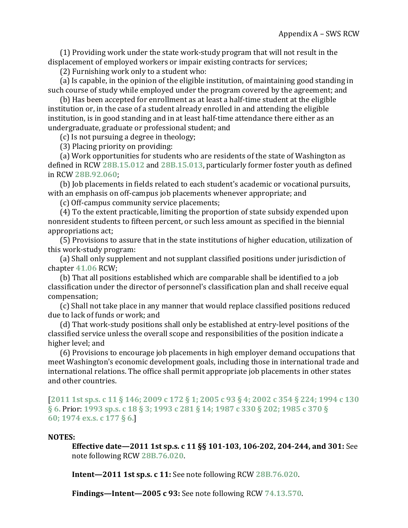(1) Providing work under the state work-study program that will not result in the displacement of employed workers or impair existing contracts for services;

(2) Furnishing work only to a student who:

(a) Is capable, in the opinion of the eligible institution, of maintaining good standing in such course of study while employed under the program covered by the agreement; and

(b) Has been accepted for enrollment as at least a half-time student at the eligible institution or, in the case of a student already enrolled in and attending the eligible institution, is in good standing and in at least half-time attendance there either as an undergraduate, graduate or professional student; and

(c) Is not pursuing a degree in theology;

(3) Placing priority on providing:

(a) Work opportunities for students who are residents of the state of Washington as defined in RCW **[28B.15.012](http://app.leg.wa.gov/RCW/default.aspx?cite=28B.15.012)** and **[28B.15.013](http://app.leg.wa.gov/RCW/default.aspx?cite=28B.15.013)**, particularly former foster youth as defined in RCW **[28B.92.060](http://app.leg.wa.gov/RCW/default.aspx?cite=28B.92.060)**;

(b) Job placements in fields related to each student's academic or vocational pursuits, with an emphasis on off-campus job placements whenever appropriate; and

(c) Off-campus community service placements;

(4) To the extent practicable, limiting the proportion of state subsidy expended upon nonresident students to fifteen percent, or such less amount as specified in the biennial appropriations act;

(5) Provisions to assure that in the state institutions of higher education, utilization of this work-study program:

(a) Shall only supplement and not supplant classified positions under jurisdiction of chapter **[41.06](http://app.leg.wa.gov/RCW/default.aspx?cite=41.06)** RCW;

(b) That all positions established which are comparable shall be identified to a job classification under the director of personnel's classification plan and shall receive equal compensation;

(c) Shall not take place in any manner that would replace classified positions reduced due to lack of funds or work; and

(d) That work-study positions shall only be established at entry-level positions of the classified service unless the overall scope and responsibilities of the position indicate a higher level; and

(6) Provisions to encourage job placements in high employer demand occupations that meet Washington's economic development goals, including those in international trade and international relations. The office shall permit appropriate job placements in other states and other countries.

[**[2011 1st sp.s. c 11 § 146;](http://lawfilesext.leg.wa.gov/biennium/2011-12/Pdf/Bills/Session%20Laws/Senate/5182-S2.SL.pdf?cite=2011%201st%20sp.s.%20c%2011%20%C2%A7%20146;) [2009 c 172 § 1;](http://lawfilesext.leg.wa.gov/biennium/2009-10/Pdf/Bills/Session%20Laws/Senate/5044-S.SL.pdf?cite=2009%20c%20172%20%C2%A7%201;) [2005 c 93 § 4;](http://lawfilesext.leg.wa.gov/biennium/2005-06/Pdf/Bills/Session%20Laws/House/1079-S.SL.pdf?cite=2005%20c%2093%20%C2%A7%204;) [2002 c 354 § 224;](http://lawfilesext.leg.wa.gov/biennium/2001-02/Pdf/Bills/Session%20Laws/House/1268-S.SL.pdf?cite=2002%20c%20354%20%C2%A7%20224;) [1994 c 130](http://lawfilesext.leg.wa.gov/biennium/1993-94/Pdf/Bills/Session%20Laws/House/2560-S.SL.pdf?cite=1994%20c%20130%20%C2%A7%206.)  [§ 6.](http://lawfilesext.leg.wa.gov/biennium/1993-94/Pdf/Bills/Session%20Laws/House/2560-S.SL.pdf?cite=1994%20c%20130%20%C2%A7%206.)** Prior: **[1993 sp.s. c 18 § 3;](http://lawfilesext.leg.wa.gov/biennium/1993-94/Pdf/Bills/Session%20Laws/Senate/5982-S.SL.pdf?cite=1993%20sp.s.%20c%2018%20%C2%A7%203;) [1993 c 281 § 14;](http://lawfilesext.leg.wa.gov/biennium/1993-94/Pdf/Bills/Session%20Laws/House/2054-S.SL.pdf?cite=1993%20c%20281%20%C2%A7%2014;) [1987 c 330 § 202;](http://leg.wa.gov/CodeReviser/documents/sessionlaw/1987c330.pdf?cite=1987%20c%20330%20%C2%A7%20202;) [1985 c 370 §](http://leg.wa.gov/CodeReviser/documents/sessionlaw/1985c370.pdf?cite=1985%20c%20370%20%C2%A7%2060;)  [60;](http://leg.wa.gov/CodeReviser/documents/sessionlaw/1985c370.pdf?cite=1985%20c%20370%20%C2%A7%2060;) [1974 ex.s. c 177 § 6.](http://leg.wa.gov/CodeReviser/documents/sessionlaw/1974ex1c177.pdf?cite=1974%20ex.s.%20c%20177%20%C2%A7%206.)**]

#### **NOTES:**

**Effective date—2011 1st sp.s. c 11 §§ 101-103, 106-202, 204-244, and 301:** See note following RCW **[28B.76.020](http://app.leg.wa.gov/RCW/default.aspx?cite=28B.76.020)**.

**Intent—2011 1st sp.s. c 11:** See note following RCW **[28B.76.020](http://app.leg.wa.gov/RCW/default.aspx?cite=28B.76.020)**.

**Findings—Intent—2005 c 93:** See note following RCW **[74.13.570](http://app.leg.wa.gov/RCW/default.aspx?cite=74.13.570)**.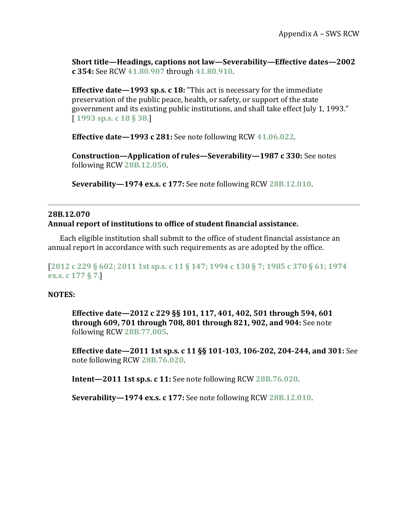**Short title—Headings, captions not law—Severability—Effective dates—2002 c 354:** See RCW **[41.80.907](http://app.leg.wa.gov/RCW/default.aspx?cite=41.80.907)** through **[41.80.910](http://app.leg.wa.gov/RCW/default.aspx?cite=41.80.910)**.

**Effective date—1993 sp.s. c 18:** "This act is necessary for the immediate preservation of the public peace, health, or safety, or support of the state government and its existing public institutions, and shall take effect July 1, 1993." [ **[1993 sp.s. c 18 § 38.](http://lawfilesext.leg.wa.gov/biennium/1993-94/Pdf/Bills/Session%20Laws/Senate/5982-S.SL.pdf?cite=1993%20sp.s.%20c%2018%20%C2%A7%2038.)**]

**Effective date—1993 c 281:** See note following RCW **[41.06.022](http://app.leg.wa.gov/RCW/default.aspx?cite=41.06.022)**.

**Construction—Application of rules—Severability—1987 c 330:** See notes following RCW **[28B.12.050](http://apps.leg.wa.gov/RCW/default.aspx?cite=28B.12&full=true#28B.12.050)**.

**Severability—1974 ex.s. c 177:** See note following RCW **[28B.12.010](http://apps.leg.wa.gov/RCW/default.aspx?cite=28B.12&full=true#28B.12.010)**.

#### <span id="page-70-0"></span>**28B.12.070 Annual report of institutions to office of student financial assistance.**

Each eligible institution shall submit to the office of student financial assistance an annual report in accordance with such requirements as are adopted by the office.

#### [**[2012 c 229 § 602;](http://lawfilesext.leg.wa.gov/biennium/2011-12/Pdf/Bills/Session%20Laws/House/2483-S2.SL.pdf?cite=2012%20c%20229%20%C2%A7%20602;) [2011 1st sp.s. c 11 § 147;](http://lawfilesext.leg.wa.gov/biennium/2011-12/Pdf/Bills/Session%20Laws/Senate/5182-S2.SL.pdf?cite=2011%201st%20sp.s.%20c%2011%20%C2%A7%20147;) [1994 c 130 § 7;](http://lawfilesext.leg.wa.gov/biennium/1993-94/Pdf/Bills/Session%20Laws/House/2560-S.SL.pdf?cite=1994%20c%20130%20%C2%A7%207;) [1985 c 370 § 61;](http://leg.wa.gov/CodeReviser/documents/sessionlaw/1985c370.pdf?cite=1985%20c%20370%20%C2%A7%2061;) [1974](http://leg.wa.gov/CodeReviser/documents/sessionlaw/1974ex1c177.pdf?cite=1974%20ex.s.%20c%20177%20%C2%A7%207.)  [ex.s. c 177 § 7.](http://leg.wa.gov/CodeReviser/documents/sessionlaw/1974ex1c177.pdf?cite=1974%20ex.s.%20c%20177%20%C2%A7%207.)**]

#### **NOTES:**

**Effective date—2012 c 229 §§ 101, 117, 401, 402, 501 through 594, 601 through 609, 701 through 708, 801 through 821, 902, and 904:** See note following RCW **[28B.77.005](http://app.leg.wa.gov/RCW/default.aspx?cite=28B.77.005)**.

**Effective date—2011 1st sp.s. c 11 §§ 101-103, 106-202, 204-244, and 301:** See note following RCW **[28B.76.020](http://app.leg.wa.gov/RCW/default.aspx?cite=28B.76.020)**.

**Intent—2011 1st sp.s. c 11:** See note following RCW **[28B.76.020](http://app.leg.wa.gov/RCW/default.aspx?cite=28B.76.020)**.

**Severability—1974 ex.s. c 177:** See note following RCW **[28B.12.010](http://apps.leg.wa.gov/RCW/default.aspx?cite=28B.12&full=true#28B.12.010)**.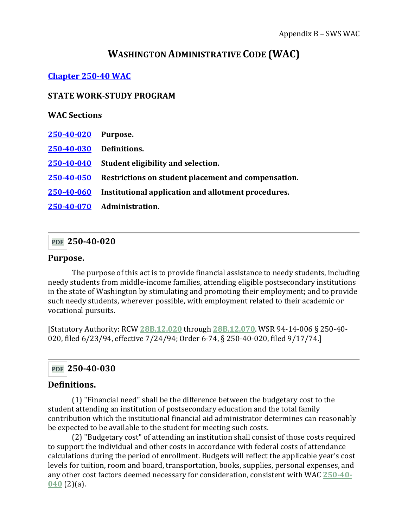# **WASHINGTON ADMINISTRATIVE CODE (WAC)**

## **[Chapter 250-40 WAC](http://apps.leg.wa.gov/WAC/default.aspx?cite=250-40&full=true)**

#### **STATE WORK-STUDY PROGRAM**

#### **WAC Sections**

- **250-40-020 Purpose.**
- **[250-40-030](#page-71-0) Definitions.**
- **[250-40-040](#page-73-0) Student eligibility and selection.**
- **[250-40-050](#page-74-0) Restrictions on student placement and compensation.**
- **[250-40-060](#page-76-0) Institutional application and allotment procedures.**
- **[250-40-070](#page-77-0) Administration.**

### **[PDF](https://apps.leg.wa.gov/WAC/default.aspx?cite=250-40-020&pdf=true) 250-40-020**

#### **Purpose.**

The purpose of this act is to provide financial assistance to needy students, including needy students from middle-income families, attending eligible postsecondary institutions in the state of Washington by stimulating and promoting their employment; and to provide such needy students, wherever possible, with employment related to their academic or vocational pursuits.

[Statutory Authority: RCW **[28B.12.020](http://app.leg.wa.gov/RCW/default.aspx?cite=28B.12.020)** through **[28B.12.070](http://app.leg.wa.gov/RCW/default.aspx?cite=28B.12.070)**. WSR 94-14-006 § 250-40- 020, filed 6/23/94, effective 7/24/94; Order 6-74, § 250-40-020, filed 9/17/74.]

### <span id="page-71-0"></span>**[PDF](https://apps.leg.wa.gov/WAC/default.aspx?cite=250-40-030&pdf=true) 250-40-030**

### **Definitions.**

(1) "Financial need" shall be the difference between the budgetary cost to the student attending an institution of postsecondary education and the total family contribution which the institutional financial aid administrator determines can reasonably be expected to be available to the student for meeting such costs.

(2) "Budgetary cost" of attending an institution shall consist of those costs required to support the individual and other costs in accordance with federal costs of attendance calculations during the period of enrollment. Budgets will reflect the applicable year's cost levels for tuition, room and board, transportation, books, supplies, personal expenses, and any other cost factors deemed necessary for consideration, consistent with WAC **[250-40-](https://apps.leg.wa.gov/WAC/default.aspx?cite=250-40&full=true#250-40-040) [040](https://apps.leg.wa.gov/WAC/default.aspx?cite=250-40&full=true#250-40-040)** (2)(a).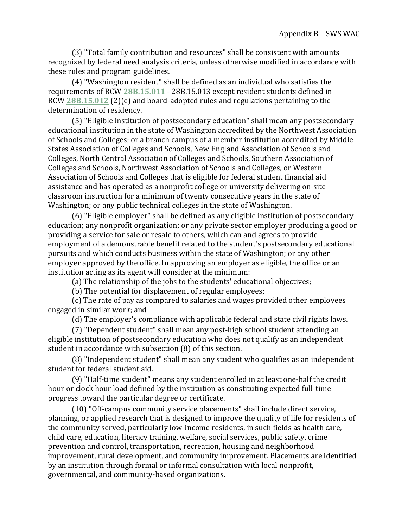(3) "Total family contribution and resources" shall be consistent with amounts recognized by federal need analysis criteria, unless otherwise modified in accordance with these rules and program guidelines.

(4) "Washington resident" shall be defined as an individual who satisfies the requirements of RCW **[28B.15.011](http://app.leg.wa.gov/RCW/default.aspx?cite=28B.15.011)** - 28B.15.013 except resident students defined in RCW **[28B.15.012](http://app.leg.wa.gov/RCW/default.aspx?cite=28B.15.012)** (2)(e) and board-adopted rules and regulations pertaining to the determination of residency.

(5) "Eligible institution of postsecondary education" shall mean any postsecondary educational institution in the state of Washington accredited by the Northwest Association of Schools and Colleges; or a branch campus of a member institution accredited by Middle States Association of Colleges and Schools, New England Association of Schools and Colleges, North Central Association of Colleges and Schools, Southern Association of Colleges and Schools, Northwest Association of Schools and Colleges, or Western Association of Schools and Colleges that is eligible for federal student financial aid assistance and has operated as a nonprofit college or university delivering on-site classroom instruction for a minimum of twenty consecutive years in the state of Washington; or any public technical colleges in the state of Washington.

(6) "Eligible employer" shall be defined as any eligible institution of postsecondary education; any nonprofit organization; or any private sector employer producing a good or providing a service for sale or resale to others, which can and agrees to provide employment of a demonstrable benefit related to the student's postsecondary educational pursuits and which conducts business within the state of Washington; or any other employer approved by the office. In approving an employer as eligible, the office or an institution acting as its agent will consider at the minimum:

(a) The relationship of the jobs to the students' educational objectives;

(b) The potential for displacement of regular employees;

(c) The rate of pay as compared to salaries and wages provided other employees engaged in similar work; and

(d) The employer's compliance with applicable federal and state civil rights laws.

(7) "Dependent student" shall mean any post-high school student attending an eligible institution of postsecondary education who does not qualify as an independent student in accordance with subsection (8) of this section.

(8) "Independent student" shall mean any student who qualifies as an independent student for federal student aid.

(9) "Half-time student" means any student enrolled in at least one-half the credit hour or clock hour load defined by the institution as constituting expected full-time progress toward the particular degree or certificate.

(10) "Off-campus community service placements" shall include direct service, planning, or applied research that is designed to improve the quality of life for residents of the community served, particularly low-income residents, in such fields as health care, child care, education, literacy training, welfare, social services, public safety, crime prevention and control, transportation, recreation, housing and neighborhood improvement, rural development, and community improvement. Placements are identified by an institution through formal or informal consultation with local nonprofit, governmental, and community-based organizations.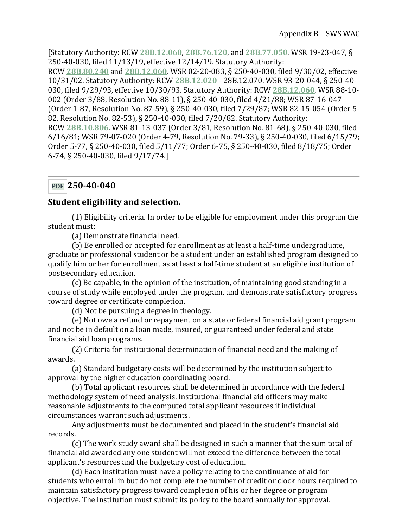[Statutory Authority: RCW **[28B.12.060](http://app.leg.wa.gov/RCW/default.aspx?cite=28B.12.060)**, **[28B.76.120](http://app.leg.wa.gov/RCW/default.aspx?cite=28B.76.120)**, and **[28B.77.050](http://app.leg.wa.gov/RCW/default.aspx?cite=28B.77.050)**. WSR 19-23-047, § 250-40-030, filed 11/13/19, effective 12/14/19. Statutory Authority: RCW **[28B.80.240](http://app.leg.wa.gov/RCW/default.aspx?cite=28B.80.240)** and **[28B.12.060](http://app.leg.wa.gov/RCW/default.aspx?cite=28B.12.060)**. WSR 02-20-083, § 250-40-030, filed 9/30/02, effective 10/31/02. Statutory Authority: RCW **[28B.12.020](http://app.leg.wa.gov/RCW/default.aspx?cite=28B.12.020)** - 28B.12.070. WSR 93-20-044, § 250-40- 030, filed 9/29/93, effective 10/30/93. Statutory Authority: RCW **[28B.12.060](http://app.leg.wa.gov/RCW/default.aspx?cite=28B.12.060)**. WSR 88-10- 002 (Order 3/88, Resolution No. 88-11), § 250-40-030, filed 4/21/88; WSR 87-16-047 (Order 1-87, Resolution No. 87-59), § 250-40-030, filed 7/29/87; WSR 82-15-054 (Order 5- 82, Resolution No. 82-53), § 250-40-030, filed 7/20/82. Statutory Authority: RCW **[28B.10.806](http://app.leg.wa.gov/RCW/default.aspx?cite=28B.10.806)**. WSR 81-13-037 (Order 3/81, Resolution No. 81-68), § 250-40-030, filed 6/16/81; WSR 79-07-020 (Order 4-79, Resolution No. 79-33), § 250-40-030, filed 6/15/79; Order 5-77, § 250-40-030, filed 5/11/77; Order 6-75, § 250-40-030, filed 8/18/75; Order 6-74, § 250-40-030, filed 9/17/74.]

## **[PDF](https://apps.leg.wa.gov/WAC/default.aspx?cite=250-40-040&pdf=true) 250-40-040**

## **Student eligibility and selection.**

(1) Eligibility criteria. In order to be eligible for employment under this program the student must:

(a) Demonstrate financial need.

(b) Be enrolled or accepted for enrollment as at least a half-time undergraduate, graduate or professional student or be a student under an established program designed to qualify him or her for enrollment as at least a half-time student at an eligible institution of postsecondary education.

(c) Be capable, in the opinion of the institution, of maintaining good standing in a course of study while employed under the program, and demonstrate satisfactory progress toward degree or certificate completion.

(d) Not be pursuing a degree in theology.

(e) Not owe a refund or repayment on a state or federal financial aid grant program and not be in default on a loan made, insured, or guaranteed under federal and state financial aid loan programs.

(2) Criteria for institutional determination of financial need and the making of awards.

(a) Standard budgetary costs will be determined by the institution subject to approval by the higher education coordinating board.

(b) Total applicant resources shall be determined in accordance with the federal methodology system of need analysis. Institutional financial aid officers may make reasonable adjustments to the computed total applicant resources if individual circumstances warrant such adjustments.

Any adjustments must be documented and placed in the student's financial aid records.

(c) The work-study award shall be designed in such a manner that the sum total of financial aid awarded any one student will not exceed the difference between the total applicant's resources and the budgetary cost of education.

(d) Each institution must have a policy relating to the continuance of aid for students who enroll in but do not complete the number of credit or clock hours required to maintain satisfactory progress toward completion of his or her degree or program objective. The institution must submit its policy to the board annually for approval.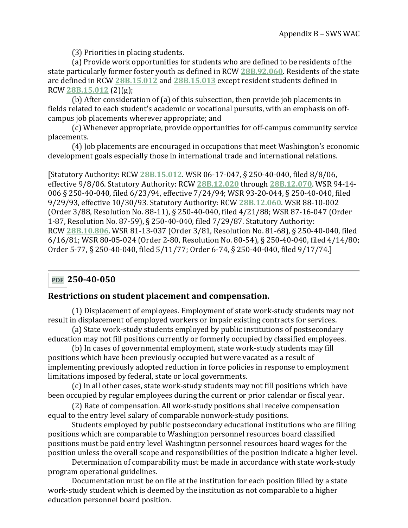(3) Priorities in placing students.

(a) Provide work opportunities for students who are defined to be residents of the state particularly former foster youth as defined in RCW **[28B.92.060](http://app.leg.wa.gov/RCW/default.aspx?cite=28B.92.060)**. Residents of the state are defined in RCW **[28B.15.012](http://app.leg.wa.gov/RCW/default.aspx?cite=28B.15.012)** and **[28B.15.013](http://app.leg.wa.gov/RCW/default.aspx?cite=28B.15.013)** except resident students defined in RCW **[28B.15.012](http://app.leg.wa.gov/RCW/default.aspx?cite=28B.15.012)** (2)(g);

(b) After consideration of (a) of this subsection, then provide job placements in fields related to each student's academic or vocational pursuits, with an emphasis on offcampus job placements wherever appropriate; and

(c) Whenever appropriate, provide opportunities for off-campus community service placements.

(4) Job placements are encouraged in occupations that meet Washington's economic development goals especially those in international trade and international relations.

[Statutory Authority: RCW **[28B.15.012](http://app.leg.wa.gov/RCW/default.aspx?cite=28B.15.012)**. WSR 06-17-047, § 250-40-040, filed 8/8/06, effective 9/8/06. Statutory Authority: RCW **[28B.12.020](http://app.leg.wa.gov/RCW/default.aspx?cite=28B.12.020)** through **[28B.12.070](http://app.leg.wa.gov/RCW/default.aspx?cite=28B.12.070)**. WSR 94-14- 006 § 250-40-040, filed 6/23/94, effective 7/24/94; WSR 93-20-044, § 250-40-040, filed 9/29/93, effective 10/30/93. Statutory Authority: RCW **[28B.12.060](http://app.leg.wa.gov/RCW/default.aspx?cite=28B.12.060)**. WSR 88-10-002 (Order 3/88, Resolution No. 88-11), § 250-40-040, filed 4/21/88; WSR 87-16-047 (Order 1-87, Resolution No. 87-59), § 250-40-040, filed 7/29/87. Statutory Authority: RCW **[28B.10.806](http://app.leg.wa.gov/RCW/default.aspx?cite=28B.10.806)**. WSR 81-13-037 (Order 3/81, Resolution No. 81-68), § 250-40-040, filed 6/16/81; WSR 80-05-024 (Order 2-80, Resolution No. 80-54), § 250-40-040, filed 4/14/80; Order 5-77, § 250-40-040, filed 5/11/77; Order 6-74, § 250-40-040, filed 9/17/74.]

# **[PDF](https://apps.leg.wa.gov/WAC/default.aspx?cite=250-40-050&pdf=true) 250-40-050**

#### **Restrictions on student placement and compensation.**

(1) Displacement of employees. Employment of state work-study students may not result in displacement of employed workers or impair existing contracts for services.

(a) State work-study students employed by public institutions of postsecondary education may not fill positions currently or formerly occupied by classified employees.

(b) In cases of governmental employment, state work-study students may fill positions which have been previously occupied but were vacated as a result of implementing previously adopted reduction in force policies in response to employment limitations imposed by federal, state or local governments.

(c) In all other cases, state work-study students may not fill positions which have been occupied by regular employees during the current or prior calendar or fiscal year.

(2) Rate of compensation. All work-study positions shall receive compensation equal to the entry level salary of comparable nonwork-study positions.

Students employed by public postsecondary educational institutions who are filling positions which are comparable to Washington personnel resources board classified positions must be paid entry level Washington personnel resources board wages for the position unless the overall scope and responsibilities of the position indicate a higher level.

Determination of comparability must be made in accordance with state work-study program operational guidelines.

Documentation must be on file at the institution for each position filled by a state work-study student which is deemed by the institution as not comparable to a higher education personnel board position.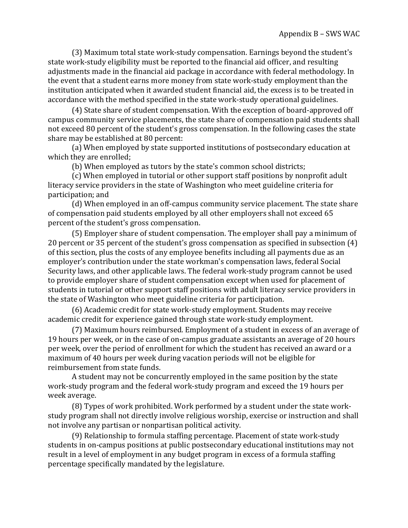(3) Maximum total state work-study compensation. Earnings beyond the student's state work-study eligibility must be reported to the financial aid officer, and resulting adjustments made in the financial aid package in accordance with federal methodology. In the event that a student earns more money from state work-study employment than the institution anticipated when it awarded student financial aid, the excess is to be treated in accordance with the method specified in the state work-study operational guidelines.

(4) State share of student compensation. With the exception of board-approved off campus community service placements, the state share of compensation paid students shall not exceed 80 percent of the student's gross compensation. In the following cases the state share may be established at 80 percent:

(a) When employed by state supported institutions of postsecondary education at which they are enrolled;

(b) When employed as tutors by the state's common school districts;

(c) When employed in tutorial or other support staff positions by nonprofit adult literacy service providers in the state of Washington who meet guideline criteria for participation; and

(d) When employed in an off-campus community service placement. The state share of compensation paid students employed by all other employers shall not exceed 65 percent of the student's gross compensation.

(5) Employer share of student compensation. The employer shall pay a minimum of 20 percent or 35 percent of the student's gross compensation as specified in subsection (4) of this section, plus the costs of any employee benefits including all payments due as an employer's contribution under the state workman's compensation laws, federal Social Security laws, and other applicable laws. The federal work-study program cannot be used to provide employer share of student compensation except when used for placement of students in tutorial or other support staff positions with adult literacy service providers in the state of Washington who meet guideline criteria for participation.

(6) Academic credit for state work-study employment. Students may receive academic credit for experience gained through state work-study employment.

(7) Maximum hours reimbursed. Employment of a student in excess of an average of 19 hours per week, or in the case of on-campus graduate assistants an average of 20 hours per week, over the period of enrollment for which the student has received an award or a maximum of 40 hours per week during vacation periods will not be eligible for reimbursement from state funds.

A student may not be concurrently employed in the same position by the state work-study program and the federal work-study program and exceed the 19 hours per week average.

(8) Types of work prohibited. Work performed by a student under the state workstudy program shall not directly involve religious worship, exercise or instruction and shall not involve any partisan or nonpartisan political activity.

(9) Relationship to formula staffing percentage. Placement of state work-study students in on-campus positions at public postsecondary educational institutions may not result in a level of employment in any budget program in excess of a formula staffing percentage specifically mandated by the legislature.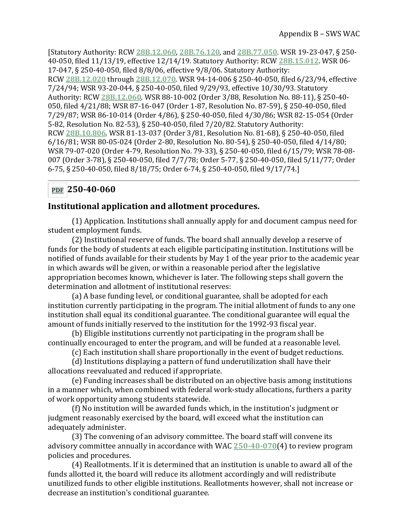[Statutory Authority: RCW **[28B.12.060](http://app.leg.wa.gov/RCW/default.aspx?cite=28B.12.060)**, **[28B.76.120](http://app.leg.wa.gov/RCW/default.aspx?cite=28B.76.120)**, and **[28B.77.050](http://app.leg.wa.gov/RCW/default.aspx?cite=28B.77.050)**. WSR 19-23-047, § 250- 40-050, filed 11/13/19, effective 12/14/19. Statutory Authority: RCW **[28B.15.012](http://app.leg.wa.gov/RCW/default.aspx?cite=28B.15.012)**. WSR 06- 17-047, § 250-40-050, filed 8/8/06, effective 9/8/06. Statutory Authority: RCW **[28B.12.020](http://app.leg.wa.gov/RCW/default.aspx?cite=28B.12.020)** through **[28B.12.070](http://app.leg.wa.gov/RCW/default.aspx?cite=28B.12.070)**. WSR 94-14-006 § 250-40-050, filed 6/23/94, effective 7/24/94; WSR 93-20-044, § 250-40-050, filed 9/29/93, effective 10/30/93. Statutory Authority: RCW **[28B.12.060](http://app.leg.wa.gov/RCW/default.aspx?cite=28B.12.060)**. WSR 88-10-002 (Order 3/88, Resolution No. 88-11), § 250-40- 050, filed 4/21/88; WSR 87-16-047 (Order 1-87, Resolution No. 87-59), § 250-40-050, filed 7/29/87; WSR 86-10-014 (Order 4/86), § 250-40-050, filed 4/30/86; WSR 82-15-054 (Order 5-82, Resolution No. 82-53), § 250-40-050, filed 7/20/82. Statutory Authority: RCW **[28B.10.806](http://app.leg.wa.gov/RCW/default.aspx?cite=28B.10.806)**. WSR 81-13-037 (Order 3/81, Resolution No. 81-68), § 250-40-050, filed 6/16/81; WSR 80-05-024 (Order 2-80, Resolution No. 80-54), § 250-40-050, filed 4/14/80; WSR 79-07-020 (Order 4-79, Resolution No. 79-33), § 250-40-050, filed 6/15/79; WSR 78-08- 007 (Order 3-78), § 250-40-050, filed 7/7/78; Order 5-77, § 250-40-050, filed 5/11/77; Order 6-75, § 250-40-050, filed 8/18/75; Order 6-74, § 250-40-050, filed 9/17/74.]

## **[PDF](https://apps.leg.wa.gov/WAC/default.aspx?cite=250-40-060&pdf=true) 250-40-060**

#### **Institutional application and allotment procedures.**

(1) Application. Institutions shall annually apply for and document campus need for student employment funds.

(2) Institutional reserve of funds. The board shall annually develop a reserve of funds for the body of students at each eligible participating institution. Institutions will be notified of funds available for their students by May 1 of the year prior to the academic year in which awards will be given, or within a reasonable period after the legislative appropriation becomes known, whichever is later. The following steps shall govern the determination and allotment of institutional reserves:

(a) A base funding level, or conditional guarantee, shall be adopted for each institution currently participating in the program. The initial allotment of funds to any one institution shall equal its conditional guarantee. The conditional guarantee will equal the amount of funds initially reserved to the institution for the 1992-93 fiscal year.

(b) Eligible institutions currently not participating in the program shall be continually encouraged to enter the program, and will be funded at a reasonable level.

(c) Each institution shall share proportionally in the event of budget reductions.

(d) Institutions displaying a pattern of fund underutilization shall have their allocations reevaluated and reduced if appropriate.

(e) Funding increases shall be distributed on an objective basis among institutions in a manner which, when combined with federal work-study allocations, furthers a parity of work opportunity among students statewide.

(f) No institution will be awarded funds which, in the institution's judgment or judgment reasonably exercised by the board, will exceed what the institution can adequately administer.

(3) The convening of an advisory committee. The board staff will convene its advisory committee annually in accordance with WAC **[250-40-070](https://apps.leg.wa.gov/WAC/default.aspx?cite=250-40&full=true#250-40-070)**(4) to review program policies and procedures.

(4) Reallotments. If it is determined that an institution is unable to award all of the funds allotted it, the board will reduce its allotment accordingly and will redistribute unutilized funds to other eligible institutions. Reallotments however, shall not increase or decrease an institution's conditional guarantee.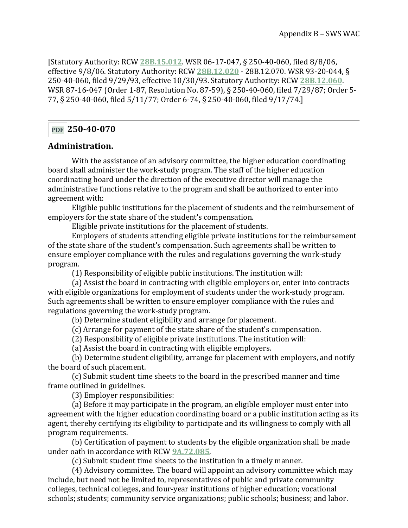[Statutory Authority: RCW **[28B.15.012](http://app.leg.wa.gov/RCW/default.aspx?cite=28B.15.012)**. WSR 06-17-047, § 250-40-060, filed 8/8/06, effective 9/8/06. Statutory Authority: RCW **[28B.12.020](http://app.leg.wa.gov/RCW/default.aspx?cite=28B.12.020)** - 28B.12.070. WSR 93-20-044, § 250-40-060, filed 9/29/93, effective 10/30/93. Statutory Authority: RCW **[28B.12.060](http://app.leg.wa.gov/RCW/default.aspx?cite=28B.12.060)**. WSR 87-16-047 (Order 1-87, Resolution No. 87-59), § 250-40-060, filed 7/29/87; Order 5- 77, § 250-40-060, filed 5/11/77; Order 6-74, § 250-40-060, filed 9/17/74.]

# **[PDF](https://apps.leg.wa.gov/WAC/default.aspx?cite=250-40-070&pdf=true) 250-40-070**

#### **Administration.**

With the assistance of an advisory committee, the higher education coordinating board shall administer the work-study program. The staff of the higher education coordinating board under the direction of the executive director will manage the administrative functions relative to the program and shall be authorized to enter into agreement with:

Eligible public institutions for the placement of students and the reimbursement of employers for the state share of the student's compensation.

Eligible private institutions for the placement of students.

Employers of students attending eligible private institutions for the reimbursement of the state share of the student's compensation. Such agreements shall be written to ensure employer compliance with the rules and regulations governing the work-study program.

(1) Responsibility of eligible public institutions. The institution will:

(a) Assist the board in contracting with eligible employers or, enter into contracts with eligible organizations for employment of students under the work-study program. Such agreements shall be written to ensure employer compliance with the rules and regulations governing the work-study program.

(b) Determine student eligibility and arrange for placement.

(c) Arrange for payment of the state share of the student's compensation.

(2) Responsibility of eligible private institutions. The institution will:

(a) Assist the board in contracting with eligible employers.

(b) Determine student eligibility, arrange for placement with employers, and notify the board of such placement.

(c) Submit student time sheets to the board in the prescribed manner and time frame outlined in guidelines.

(3) Employer responsibilities:

(a) Before it may participate in the program, an eligible employer must enter into agreement with the higher education coordinating board or a public institution acting as its agent, thereby certifying its eligibility to participate and its willingness to comply with all program requirements.

(b) Certification of payment to students by the eligible organization shall be made under oath in accordance with RCW **[9A.72.085](http://app.leg.wa.gov/RCW/default.aspx?cite=9A.72.085)**.

(c) Submit student time sheets to the institution in a timely manner.

(4) Advisory committee. The board will appoint an advisory committee which may include, but need not be limited to, representatives of public and private community colleges, technical colleges, and four-year institutions of higher education; vocational schools; students; community service organizations; public schools; business; and labor.